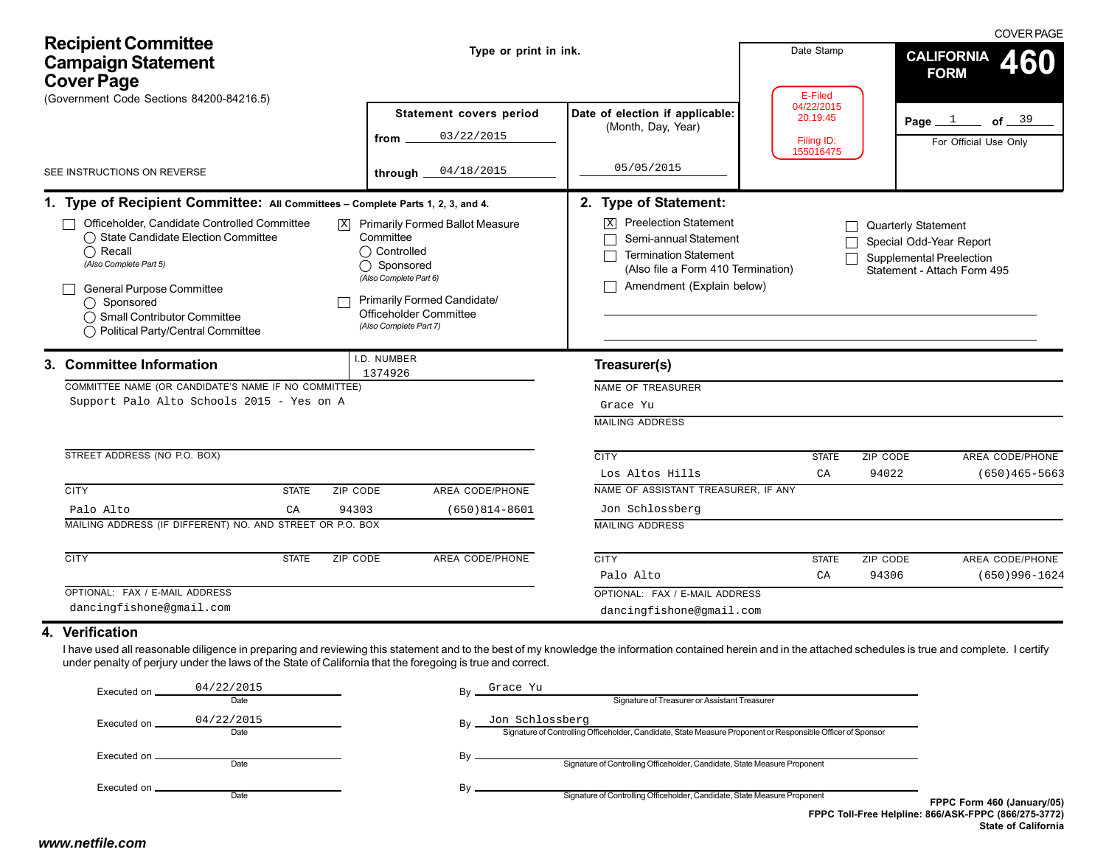| <b>Recipient Committee</b><br><b>Campaign Statement</b><br><b>Cover Page</b>                                                                                                                                                                                                                                                                   | Type or print in ink.                                                                                                                           | Date Stamp<br>E-Filed                                                                                       | <b>COVER PAGE</b><br><b>CALIFORNIA</b><br>460<br><b>FORM</b> |                                                                                                                  |
|------------------------------------------------------------------------------------------------------------------------------------------------------------------------------------------------------------------------------------------------------------------------------------------------------------------------------------------------|-------------------------------------------------------------------------------------------------------------------------------------------------|-------------------------------------------------------------------------------------------------------------|--------------------------------------------------------------|------------------------------------------------------------------------------------------------------------------|
| (Government Code Sections 84200-84216.5)<br>SEE INSTRUCTIONS ON REVERSE                                                                                                                                                                                                                                                                        | Statement covers period<br>03/22/2015<br>from<br>04/18/2015<br>through _                                                                        | Date of election if applicable:<br>(Month, Day, Year)<br>05/05/2015                                         | 04/22/2015<br>20:19:45<br>Filing ID:<br>155016475            | Page $1$<br>of $39$<br>For Official Use Only                                                                     |
| 1. Type of Recipient Committee: All Committees - Complete Parts 1, 2, 3, and 4.<br>Officeholder, Candidate Controlled Committee<br> X <br>◯ State Candidate Election Committee                                                                                                                                                                 | <b>Primarily Formed Ballot Measure</b><br>Committee                                                                                             | 2. Type of Statement:<br><b>X</b> Preelection Statement<br>Semi-annual Statement                            |                                                              | <b>Quarterly Statement</b><br>Special Odd-Year Report                                                            |
| $\bigcap$ Recall<br>(Also Complete Part 5)<br>General Purpose Committee<br>$\bigcap$ Sponsored<br>◯ Small Contributor Committee<br>◯ Political Party/Central Committee                                                                                                                                                                         | ◯ Controlled<br>◯ Sponsored<br>(Also Complete Part 6)<br><b>Primarily Formed Candidate/</b><br>Officeholder Committee<br>(Also Complete Part 7) | <b>Termination Statement</b><br>(Also file a Form 410 Termination)<br>Amendment (Explain below)             |                                                              | <b>Supplemental Preelection</b><br>Statement - Attach Form 495                                                   |
| 3. Committee Information<br>COMMITTEE NAME (OR CANDIDATE'S NAME IF NO COMMITTEE)<br>Support Palo Alto Schools 2015 - Yes on A                                                                                                                                                                                                                  | I.D. NUMBER<br>1374926                                                                                                                          | Treasurer(s)<br>NAME OF TREASURER<br>Grace Yu<br><b>MAILING ADDRESS</b>                                     |                                                              |                                                                                                                  |
| STREET ADDRESS (NO P.O. BOX)                                                                                                                                                                                                                                                                                                                   |                                                                                                                                                 | <b>CITY</b><br>Los Altos Hills                                                                              | <b>STATE</b><br>CA                                           | ZIP CODE<br>AREA CODE/PHONE<br>94022<br>$(650)465 - 5663$                                                        |
| <b>CITY</b><br><b>STATE</b><br>ZIP CODE<br>94303<br>Palo Alto<br>CA<br>MAILING ADDRESS (IF DIFFERENT) NO. AND STREET OR P.O. BOX                                                                                                                                                                                                               | AREA CODE/PHONE<br>$(650)814-8601$                                                                                                              | NAME OF ASSISTANT TREASURER, IF ANY<br>Jon Schlossberg<br><b>MAILING ADDRESS</b>                            |                                                              |                                                                                                                  |
| <b>CITY</b><br><b>STATE</b><br>ZIP CODE<br>OPTIONAL: FAX / E-MAIL ADDRESS                                                                                                                                                                                                                                                                      | AREA CODE/PHONE                                                                                                                                 | <b>CITY</b><br>Palo Alto                                                                                    | <b>STATE</b><br>CA                                           | ZIP CODE<br>AREA CODE/PHONE<br>94306<br>$(650)996 - 1624$                                                        |
| dancingfishone@gmail.com                                                                                                                                                                                                                                                                                                                       |                                                                                                                                                 | OPTIONAL: FAX / E-MAIL ADDRESS<br>dancingfishone@gmail.com                                                  |                                                              |                                                                                                                  |
| 4. Verification<br>I have used all reasonable diligence in preparing and reviewing this statement and to the best of my knowledge the information contained herein and in the attached schedules is true and complete. I certify<br>under penalty of perjury under the laws of the State of California that the foregoing is true and correct. |                                                                                                                                                 |                                                                                                             |                                                              |                                                                                                                  |
| 04/22/2015<br>Executed on<br>Date                                                                                                                                                                                                                                                                                                              | Grace Yu                                                                                                                                        | Signature of Treasurer or Assistant Treasurer                                                               |                                                              |                                                                                                                  |
| 04/22/2015<br>Executed on<br>Date                                                                                                                                                                                                                                                                                                              | Jon Schlossberg                                                                                                                                 | Signature of Controlling Officeholder, Candidate, State Measure Proponent or Responsible Officer of Sponsor |                                                              |                                                                                                                  |
| Executed on _<br>Date                                                                                                                                                                                                                                                                                                                          | By                                                                                                                                              | Signature of Controlling Officeholder, Candidate, State Measure Proponent                                   |                                                              |                                                                                                                  |
| Executed on.<br>Date                                                                                                                                                                                                                                                                                                                           | By                                                                                                                                              | Signature of Controlling Officeholder, Candidate, State Measure Proponent                                   |                                                              | FPPC Form 460 (January/05)<br>FPPC Toll-Free Helpline: 866/ASK-FPPC (866/275-3772)<br><b>State of California</b> |
| www.netfile.com                                                                                                                                                                                                                                                                                                                                |                                                                                                                                                 |                                                                                                             |                                                              |                                                                                                                  |

#### **4. Verification**

| Executed on   | 04/22/2015 | Bv | Grace Yu                                                                                                    |                |
|---------------|------------|----|-------------------------------------------------------------------------------------------------------------|----------------|
|               | Date       |    | Signature of Treasurer or Assistant Treasurer                                                               |                |
| Executed on . | 04/22/2015 | Bv | Jon Schlossberg                                                                                             |                |
|               | Date       |    | Signature of Controlling Officeholder, Candidate, State Measure Proponent or Responsible Officer of Sponsor |                |
| Executed on _ |            | Bv |                                                                                                             |                |
|               | Date       |    | Signature of Controlling Officeholder, Candidate, State Measure Proponent                                   |                |
| Executed on . |            | Bv |                                                                                                             |                |
|               | Date       |    | Signature of Controlling Officeholder, Candidate, State Measure Proponent                                   | <b>FPPC Fo</b> |
|               |            |    | <b>FPPC Toll-Free Helpline: 866/ASK-</b>                                                                    |                |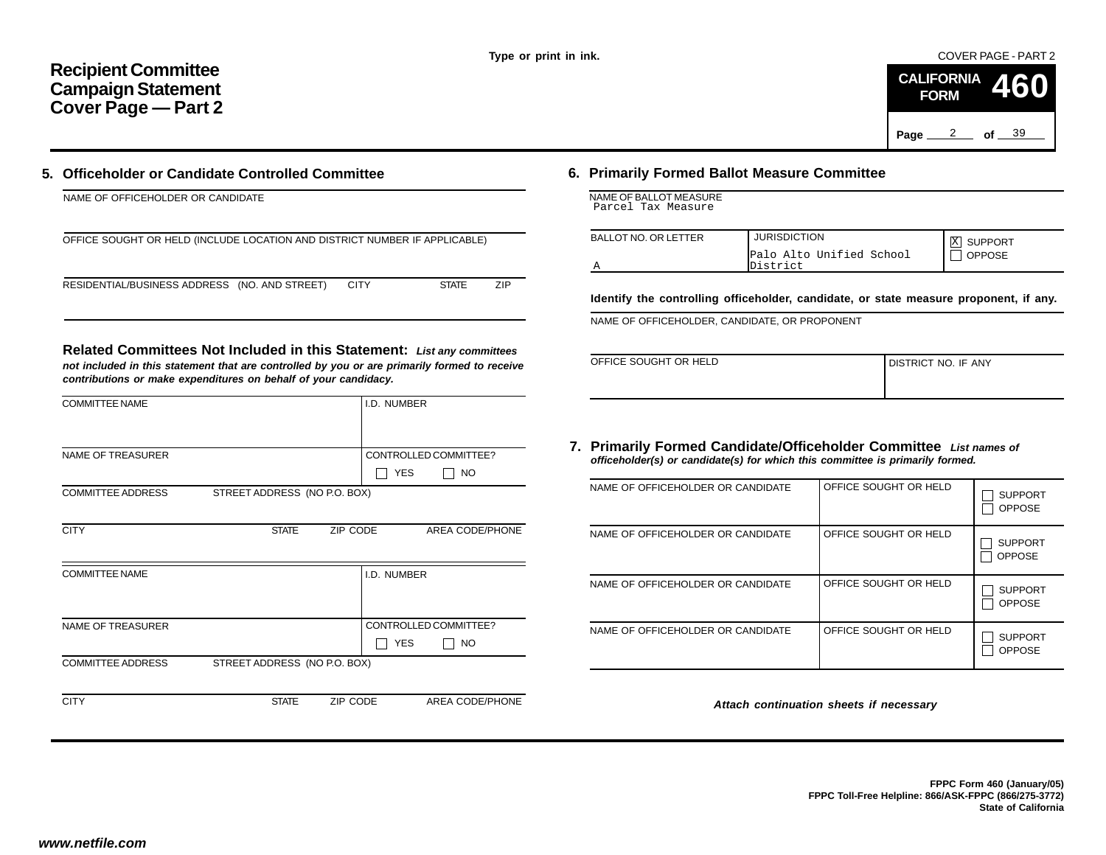COVER PAGE - PART 2



## **5. Officeholder or Candidate Controlled Committee**

| NAME OF OFFICEHOLDER OR CANDIDATE                                          |             |              |     |
|----------------------------------------------------------------------------|-------------|--------------|-----|
| OFFICE SOUGHT OR HELD (INCLUDE LOCATION AND DISTRICT NUMBER IF APPLICABLE) |             |              |     |
| RESIDENTIAL/BUSINESS ADDRESS (NO. AND STREET)                              | <b>CITY</b> | <b>STATE</b> | 7IP |

|                                                                                                                                                                                                                                           |                                                   |                                                                                                                                                     |                                         |                          | Page                  | 2<br>of $\_\_39$                                                                 |
|-------------------------------------------------------------------------------------------------------------------------------------------------------------------------------------------------------------------------------------------|---------------------------------------------------|-----------------------------------------------------------------------------------------------------------------------------------------------------|-----------------------------------------|--------------------------|-----------------------|----------------------------------------------------------------------------------|
| Officeholder or Candidate Controlled Committee                                                                                                                                                                                            |                                                   | 6. Primarily Formed Ballot Measure Committee                                                                                                        |                                         |                          |                       |                                                                                  |
| NAME OF OFFICEHOLDER OR CANDIDATE                                                                                                                                                                                                         |                                                   | NAME OF BALLOT MEASURE<br>Parcel Tax Measure                                                                                                        |                                         |                          |                       |                                                                                  |
| OFFICE SOUGHT OR HELD (INCLUDE LOCATION AND DISTRICT NUMBER IF APPLICABLE)                                                                                                                                                                |                                                   | <b>BALLOT NO. OR LETTER</b><br>Α                                                                                                                    | <b>JURISDICTION</b><br>District         | Palo Alto Unified School |                       | X SUPPORT<br>$\Box$ OPPOSE                                                       |
| RESIDENTIAL/BUSINESS ADDRESS (NO. AND STREET)<br><b>CITY</b>                                                                                                                                                                              | <b>STATE</b><br>ZIP                               | Identify the controlling officeholder, candidate, or state measure proponent,                                                                       |                                         |                          |                       |                                                                                  |
| Related Committees Not Included in this Statement: List any committees<br>not included in this statement that are controlled by you or are primarily formed to receive<br>contributions or make expenditures on behalf of your candidacy. |                                                   | NAME OF OFFICEHOLDER, CANDIDATE, OR PROPONENT<br>OFFICE SOUGHT OR HELD                                                                              |                                         |                          | DISTRICT NO. IF ANY   |                                                                                  |
| <b>COMMITTEE NAME</b>                                                                                                                                                                                                                     | I.D. NUMBER                                       |                                                                                                                                                     |                                         |                          |                       |                                                                                  |
| <b>NAME OF TREASURER</b>                                                                                                                                                                                                                  | CONTROLLED COMMITTEE?<br>$\Box$ YES<br>$\vert$ NO | 7. Primarily Formed Candidate/Officeholder Committee List names of<br>officeholder(s) or candidate(s) for which this committee is primarily formed. |                                         |                          |                       |                                                                                  |
| <b>COMMITTEE ADDRESS</b><br>STREET ADDRESS (NO P.O. BOX)                                                                                                                                                                                  |                                                   | NAME OF OFFICEHOLDER OR CANDIDATE                                                                                                                   |                                         |                          | OFFICE SOUGHT OR HELD | <b>SUPP</b><br>$\Box$ OPPC                                                       |
| <b>CITY</b><br><b>STATE</b><br>ZIP CODE                                                                                                                                                                                                   | AREA CODE/PHONE                                   | NAME OF OFFICEHOLDER OR CANDIDATE                                                                                                                   |                                         |                          | OFFICE SOUGHT OR HELD | $\Box$ SUPP<br>$\Box$ OPPC                                                       |
| <b>COMMITTEE NAME</b>                                                                                                                                                                                                                     | I.D. NUMBER                                       | NAME OF OFFICEHOLDER OR CANDIDATE                                                                                                                   |                                         |                          | OFFICE SOUGHT OR HELD | $\Box$ SUPP<br><b>OPPO</b>                                                       |
| NAME OF TREASURER                                                                                                                                                                                                                         | CONTROLLED COMMITTEE?<br>$\Box$ YES<br>$\Box$ No  | NAME OF OFFICEHOLDER OR CANDIDATE                                                                                                                   |                                         |                          | OFFICE SOUGHT OR HELD | <b>SUPP</b><br>$\Box$ OPPC                                                       |
| STREET ADDRESS (NO P.O. BOX)<br><b>COMMITTEE ADDRESS</b>                                                                                                                                                                                  |                                                   |                                                                                                                                                     |                                         |                          |                       |                                                                                  |
| <b>CITY</b><br>ZIP CODE<br><b>STATE</b>                                                                                                                                                                                                   | AREA CODE/PHONE                                   |                                                                                                                                                     | Attach continuation sheets if necessary |                          |                       |                                                                                  |
| w.netfile.com                                                                                                                                                                                                                             |                                                   |                                                                                                                                                     |                                         |                          |                       | FPPC Form 460 (Jar<br>FPPC Toll-Free Helpline: 866/ASK-FPPC (866/2<br>State of C |

# **6. Primarily Formed Ballot Measure Committee**

|  | NAME OF BALLOT MEASURE |  |
|--|------------------------|--|
|  | Parcel Tax Measure     |  |

| <b>BALLOT NO. OR LETTER</b> | <b>JURISDICTION</b>                  | <b>X SUPPORT</b> |
|-----------------------------|--------------------------------------|------------------|
|                             | Palo Alto Unified School<br>District | <b>OPPOSE</b>    |

**Identify the controlling officeholder, candidate, or state measure proponent, if any.**

| OFFICE SOUGHT OR HELD | I DISTRICT NO. IF ANY |
|-----------------------|-----------------------|
|                       |                       |

#### **7. Primarily Formed Candidate/Officeholder Committee** *List names of officeholder(s) or candidate(s) for which this committee is primarily formed.*

| NAME OF OFFICEHOLDER OR CANDIDATE | OFFICE SOUGHT OR HELD | <b>SUPPORT</b><br><b>OPPOSE</b> |
|-----------------------------------|-----------------------|---------------------------------|
| NAME OF OFFICEHOLDER OR CANDIDATE | OFFICE SOUGHT OR HELD | <b>SUPPORT</b><br><b>OPPOSE</b> |
| NAME OF OFFICEHOLDER OR CANDIDATE | OFFICE SOUGHT OR HELD | <b>SUPPORT</b><br><b>OPPOSE</b> |
| NAME OF OFFICEHOLDER OR CANDIDATE | OFFICE SOUGHT OR HELD | <b>SUPPORT</b><br><b>OPPOSE</b> |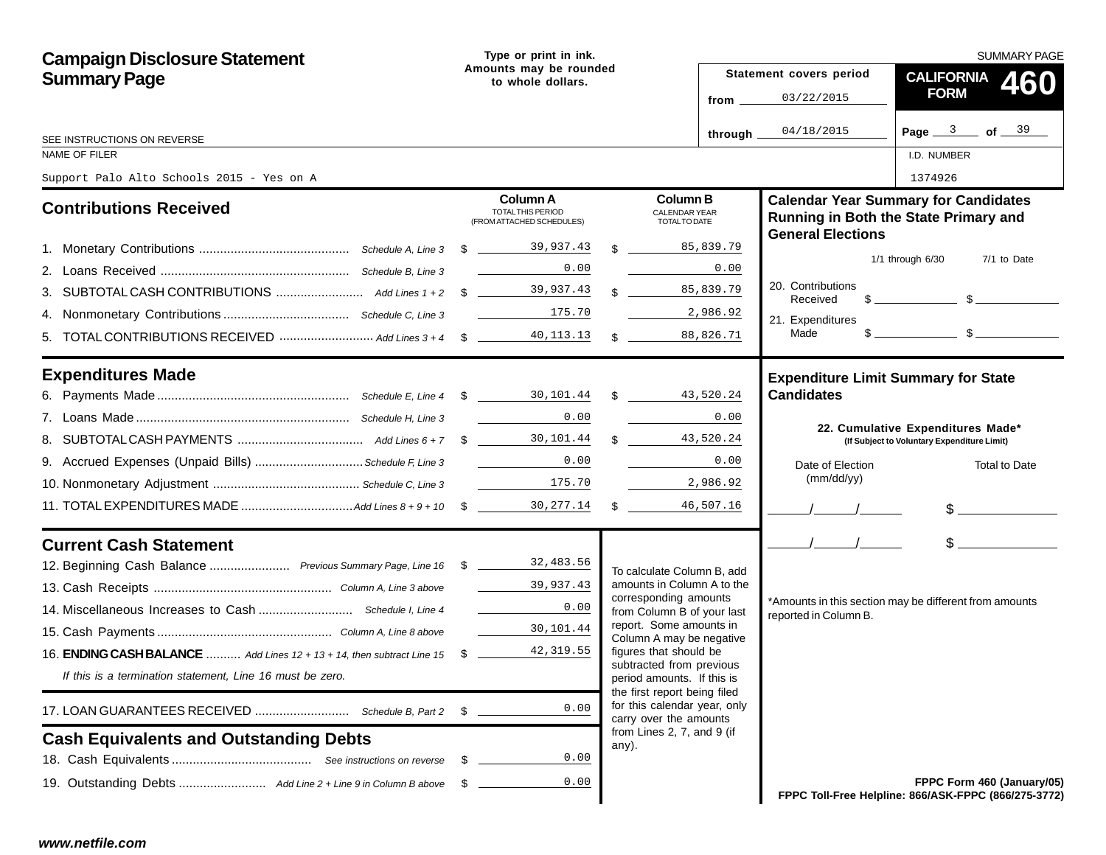| <b>Campaign Disclosure Statement</b>                                            | Type or print in ink.                                                                                                                                                                                   |      |                                                                                        |                  |                               | <b>SUMMARY PAGE</b>                                                                                                                                                                                                                                                                                                 |
|---------------------------------------------------------------------------------|---------------------------------------------------------------------------------------------------------------------------------------------------------------------------------------------------------|------|----------------------------------------------------------------------------------------|------------------|-------------------------------|---------------------------------------------------------------------------------------------------------------------------------------------------------------------------------------------------------------------------------------------------------------------------------------------------------------------|
| <b>Summary Page</b>                                                             | Amounts may be rounded<br>to whole dollars.                                                                                                                                                             |      |                                                                                        |                  | Statement covers period       | <b>CALIFORNIA</b><br>460                                                                                                                                                                                                                                                                                            |
|                                                                                 |                                                                                                                                                                                                         |      |                                                                                        | from $\_\_$      | 03/22/2015                    | <b>FORM</b>                                                                                                                                                                                                                                                                                                         |
|                                                                                 |                                                                                                                                                                                                         |      |                                                                                        | through $\equiv$ | 04/18/2015                    | Page $3$ of $39$                                                                                                                                                                                                                                                                                                    |
| SEE INSTRUCTIONS ON REVERSE<br>NAME OF FILER                                    |                                                                                                                                                                                                         |      |                                                                                        |                  |                               | I.D. NUMBER                                                                                                                                                                                                                                                                                                         |
| Support Palo Alto Schools 2015 - Yes on A                                       |                                                                                                                                                                                                         |      |                                                                                        |                  |                               | 1374926                                                                                                                                                                                                                                                                                                             |
|                                                                                 | <b>Column A</b>                                                                                                                                                                                         |      | <b>Column B</b>                                                                        |                  |                               | <b>Calendar Year Summary for Candidates</b>                                                                                                                                                                                                                                                                         |
| <b>Contributions Received</b>                                                   | TOTAL THIS PERIOD<br>(FROM ATTACHED SCHEDULES)                                                                                                                                                          |      | <b>CALENDAR YEAR</b><br>TOTAL TO DATE                                                  |                  | <b>General Elections</b>      | Running in Both the State Primary and                                                                                                                                                                                                                                                                               |
|                                                                                 |                                                                                                                                                                                                         |      | \$ 85,839.79                                                                           |                  |                               | $1/1$ through $6/30$<br>7/1 to Date                                                                                                                                                                                                                                                                                 |
|                                                                                 |                                                                                                                                                                                                         | 0.00 |                                                                                        | 0.00             |                               |                                                                                                                                                                                                                                                                                                                     |
|                                                                                 |                                                                                                                                                                                                         |      | $\text{\$}85,839.79$                                                                   |                  | 20. Contributions<br>Received | $\frac{1}{2}$ $\frac{1}{2}$ $\frac{1}{2}$ $\frac{1}{2}$ $\frac{1}{2}$ $\frac{1}{2}$ $\frac{1}{2}$ $\frac{1}{2}$ $\frac{1}{2}$ $\frac{1}{2}$ $\frac{1}{2}$ $\frac{1}{2}$ $\frac{1}{2}$ $\frac{1}{2}$ $\frac{1}{2}$ $\frac{1}{2}$ $\frac{1}{2}$ $\frac{1}{2}$ $\frac{1}{2}$ $\frac{1}{2}$ $\frac{1}{2}$ $\frac{1}{2}$ |
|                                                                                 |                                                                                                                                                                                                         |      | 2,986.92                                                                               |                  | 21. Expenditures              |                                                                                                                                                                                                                                                                                                                     |
|                                                                                 |                                                                                                                                                                                                         |      |                                                                                        |                  | Made                          | $\sim$ $\sim$ $\sim$ $\sim$                                                                                                                                                                                                                                                                                         |
| <b>Expenditures Made</b>                                                        |                                                                                                                                                                                                         |      |                                                                                        |                  |                               | <b>Expenditure Limit Summary for State</b>                                                                                                                                                                                                                                                                          |
|                                                                                 |                                                                                                                                                                                                         |      |                                                                                        |                  | <b>Candidates</b>             |                                                                                                                                                                                                                                                                                                                     |
|                                                                                 |                                                                                                                                                                                                         | 0.00 |                                                                                        | 0.00             |                               | 22. Cumulative Expenditures Made*                                                                                                                                                                                                                                                                                   |
|                                                                                 |                                                                                                                                                                                                         |      |                                                                                        |                  |                               | (If Subject to Voluntary Expenditure Limit)                                                                                                                                                                                                                                                                         |
|                                                                                 |                                                                                                                                                                                                         |      |                                                                                        | 0.00             | Date of Election              | Total to Date                                                                                                                                                                                                                                                                                                       |
|                                                                                 |                                                                                                                                                                                                         |      |                                                                                        | 2,986.92         | (mm/dd/yy)                    |                                                                                                                                                                                                                                                                                                                     |
|                                                                                 |                                                                                                                                                                                                         |      |                                                                                        |                  |                               | $\frac{1}{2}$                                                                                                                                                                                                                                                                                                       |
| <b>Current Cash Statement</b>                                                   |                                                                                                                                                                                                         |      |                                                                                        |                  | $\frac{1}{2}$                 | $\frac{1}{2}$                                                                                                                                                                                                                                                                                                       |
| 12. Beginning Cash Balance  Previous Summary Page, Line 16 \$ 183.483.56        |                                                                                                                                                                                                         |      | To calculate Column B, add                                                             |                  |                               |                                                                                                                                                                                                                                                                                                                     |
|                                                                                 | 39,937.43                                                                                                                                                                                               |      | amounts in Column A to the                                                             |                  |                               |                                                                                                                                                                                                                                                                                                                     |
|                                                                                 | $\label{eq:2.1} \frac{1}{\sqrt{2\pi}}\left(\frac{1}{\sqrt{2\pi}}\right)^{1/2}\left(\frac{1}{\sqrt{2\pi}}\right)^{1/2}\left(\frac{1}{\sqrt{2\pi}}\right)^{1/2}\left(\frac{1}{\sqrt{2\pi}}\right)^{1/2}.$ | 0.00 | corresponding amounts<br>from Column B of your last                                    |                  | reported in Column B.         | *Amounts in this section may be different from amounts                                                                                                                                                                                                                                                              |
|                                                                                 | 30,101.44                                                                                                                                                                                               |      | report. Some amounts in<br>Column A may be negative                                    |                  |                               |                                                                                                                                                                                                                                                                                                                     |
| 16. <b>ENDING CASH BALANCE</b> Add Lines 12 + 13 + 14, then subtract Line 15 \$ | 42,319.55                                                                                                                                                                                               |      | figures that should be                                                                 |                  |                               |                                                                                                                                                                                                                                                                                                                     |
| If this is a termination statement, Line 16 must be zero.                       |                                                                                                                                                                                                         |      | subtracted from previous<br>period amounts. If this is<br>the first report being filed |                  |                               |                                                                                                                                                                                                                                                                                                                     |
|                                                                                 | \$                                                                                                                                                                                                      | 0.00 | for this calendar year, only<br>carry over the amounts                                 |                  |                               |                                                                                                                                                                                                                                                                                                                     |
| <b>Cash Equivalents and Outstanding Debts</b>                                   |                                                                                                                                                                                                         |      | from Lines 2, 7, and 9 (if<br>any).                                                    |                  |                               |                                                                                                                                                                                                                                                                                                                     |
|                                                                                 | - \$                                                                                                                                                                                                    | 0.00 |                                                                                        |                  |                               |                                                                                                                                                                                                                                                                                                                     |
|                                                                                 |                                                                                                                                                                                                         | 0.00 |                                                                                        |                  |                               | FPPC Form 460 (January/05)<br>FPPC Toll-Free Helpline: 866/ASK-FPPC (866/275-3772)                                                                                                                                                                                                                                  |
|                                                                                 |                                                                                                                                                                                                         |      |                                                                                        |                  |                               |                                                                                                                                                                                                                                                                                                                     |
| www.netfile.com                                                                 |                                                                                                                                                                                                         |      |                                                                                        |                  |                               |                                                                                                                                                                                                                                                                                                                     |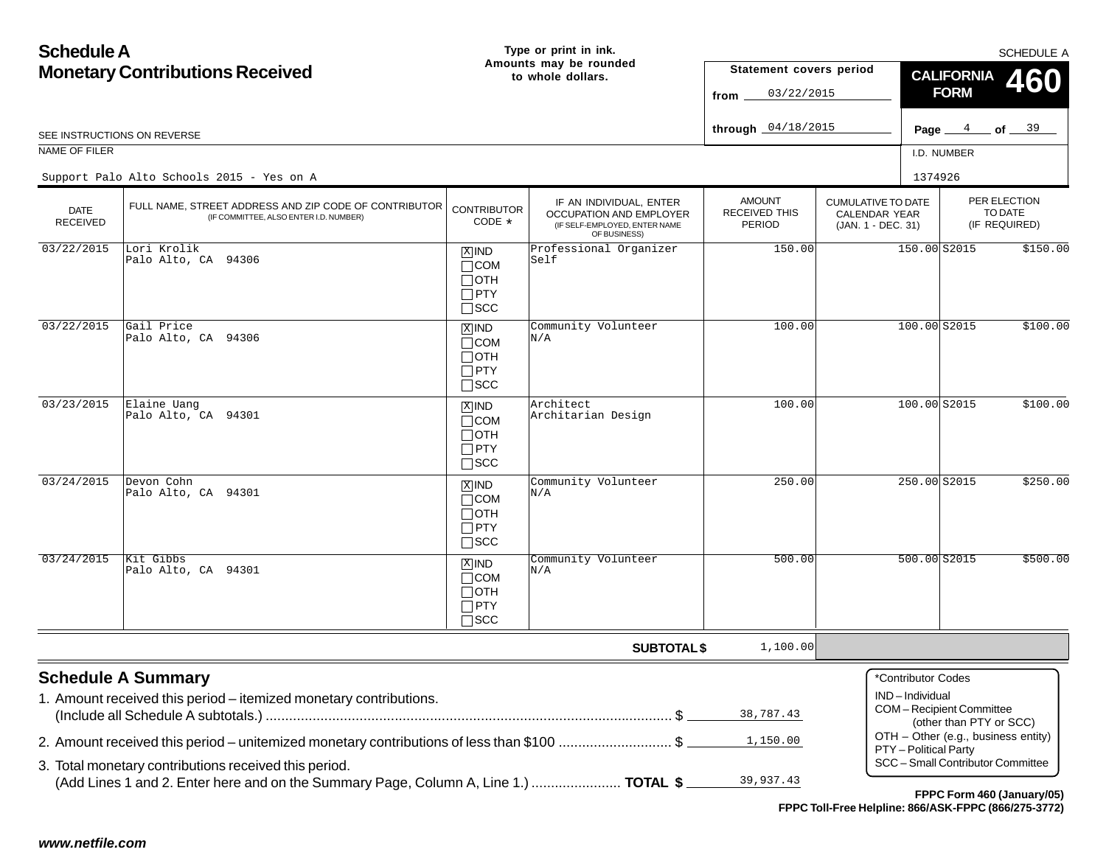#### **Schedule AMonetary Contributions Received Page**  $4$  of  $39$ **Type or print in ink. Amounts may be rounded to whole dollars.**PER ELECTIONTO DATE(IF REQUIRED) CUMULATIVE TO DATECALENDAR YEAR(JAN. 1 - DEC. 31) AMOUNTRECEIVED THISPERIODIF AN INDIVIDUAL, ENTER OCCUPATION AND EMPLOYER (IF SELF-EMPLOYED, ENTER NAME OF BUSINESS) DATE RECEIVEDSEE INSTRUCTIONS ON REVERSENAME OF FILER I.D. NUMBERSCHEDULE A**SUBTOTAL \$ CALIFORNIAFORMStatement covers period fromthrough Schedule A Summary** 1. Amount received this period – itemized monetary contributions. (Include all Schedule A subtotals.) ........................................................................................................ \$ 2. Amount received this period – unitemized monetary contributions of less than \$100 ............................. \$ 3. Total monetary contributions received this period. (Add Lines 1 and 2. Enter here and on the Summary Page, Column A, Line 1.) ....................... **TOTAL \$** FULL NAME, STREET ADDRESS AND ZIP CODE OF CONTRIBUTOR (IF COMMITTEE, ALSO ENTER I.D. NUMBER) **CONTRIBUTOR** CODE\*\*Contributor CodesIND – IndividualCOM – Recipient Committee (other than PTY or SCC) OTH – Other (e.g., business entity) PTY – Political Party SCC – Small Contributor Committee $\overline{\text{X}}$ ind COM  $\Box$ OTH  $\Box$ PTY  $\Box$ SCC **460** $\overline{\text{x}}$ ind  $\Box$ COM  $\Box$ OTH PTY  $\Box$ SCC ⊠IND  $\Box$ COM  $\Box$ OTH PTYSCC **XIND** COM  $\Box$ OTH PTY SCC IND  $\Box$ COM  $\Box$ OTH  $\Box$ PTY  $\Box$ scc **FPPC Form 460 (January/05)** <sup>4</sup> <sup>39</sup> 03/22/2015 04/18/2015 Support Palo Alto Schools 2015 - Yes on AA 2001 - 2002 - 2014 - 2022 - 2022 - 2022 - 2022 - 2022 - 2022 - 2023 - 2023 - 2023 - 2023 - 2023 - 2023 - 202<br>Digwyddiadau a cyfeiriadau a cyfeiriadau a cyfeiriadau a cyfeiriadau a cyfeiriadau a cyfeiriadau a cyfeiriadau  $03/22/2015$  Lori Krolik Palo Alto, CA 94306 Professional Organizer Self150.00150.00 S2015 \$150.00  $03/22/2015$ Gail Price Palo Alto, CA 94306 Community Volunteer N/A100.00 100.00 S2015 \$100.00 03/23/2015 Elaine Uang Palo Alto, CA 94301 Architect Architarian Design100.00 100.00 S2015 \$100.00  $03/24/2015$  Devon Cohn Palo Alto, CA 94301 $\frac{1}{2}$  Community Volunteer  $\frac{1}{N/A}$  250.00 250.00 250.00 250.00 250.00 250.00 250.00 250.00 250.00 250.00 250.00 250.00 250 250.00 250 250.00 250  $\frac{1}{2}$  $03/24/2015$ Kit Gibbs Palo Alto, CA 94301 $\frac{1}{1}$  Community Volunteer  $\frac{1}{N/A}$  500.00 500.00 500.00 500.00 500.00 500.00 500.00  $\frac{1}{10}$ 1,100.0038,787.431,150.0039,937.43

**FPPC Toll-Free Helpline: 866/ASK-FPPC (866/275-3772)**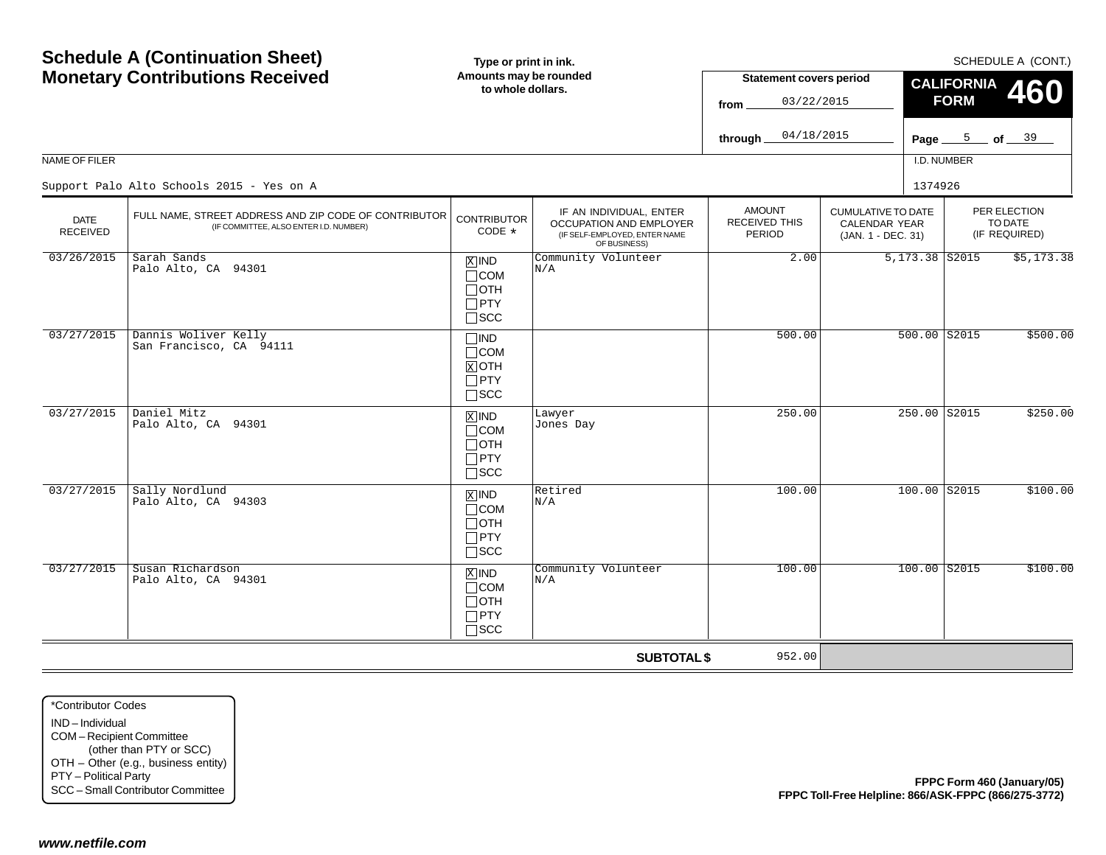| <b>Schedule A (Continuation Sheet)</b>                                                                      |                                                                                                     | Type or print in ink.                                              |                                                                                                     | SCHEDULE A (CONT.)                                   |                                                                         |                                      |                                          |            |  |
|-------------------------------------------------------------------------------------------------------------|-----------------------------------------------------------------------------------------------------|--------------------------------------------------------------------|-----------------------------------------------------------------------------------------------------|------------------------------------------------------|-------------------------------------------------------------------------|--------------------------------------|------------------------------------------|------------|--|
| <b>Monetary Contributions Received</b>                                                                      |                                                                                                     | Amounts may be rounded<br>to whole dollars.                        |                                                                                                     | <b>Statement covers period</b><br>03/22/2015<br>from |                                                                         | <b>CALIFORNIA</b><br><b>FORM</b>     |                                          | <b>460</b> |  |
|                                                                                                             |                                                                                                     |                                                                    |                                                                                                     | 04/18/2015<br>through                                |                                                                         | Page $\frac{5}{2}$ of $\frac{39}{2}$ |                                          |            |  |
| NAME OF FILER                                                                                               |                                                                                                     |                                                                    |                                                                                                     |                                                      |                                                                         | I.D. NUMBER                          |                                          |            |  |
|                                                                                                             | Support Palo Alto Schools 2015 - Yes on A                                                           |                                                                    |                                                                                                     |                                                      | 1374926                                                                 |                                      |                                          |            |  |
| <b>DATE</b><br><b>RECEIVED</b>                                                                              | FULL NAME, STREET ADDRESS AND ZIP CODE OF CONTRIBUTOR<br>(IF COMMITTEE, ALSO ENTER I.D. NUMBER)     | <b>CONTRIBUTOR</b><br>CODE *                                       | IF AN INDIVIDUAL, ENTER<br>OCCUPATION AND EMPLOYER<br>(IF SELF-EMPLOYED, ENTER NAME<br>OF BUSINESS) | <b>AMOUNT</b><br><b>RECEIVED THIS</b><br>PERIOD      | <b>CUMULATIVE TO DATE</b><br><b>CALENDAR YEAR</b><br>(JAN. 1 - DEC. 31) |                                      | PER ELECTION<br>TO DATE<br>(IF REQUIRED) |            |  |
| 03/26/2015                                                                                                  | Sarah Sands<br>Palo Alto, CA 94301                                                                  | $X$ IND<br>$\Box$ COM<br>$\Box$ OTH<br>$\Box$ PTY<br>$\square$ SCC | Community Volunteer<br>N/A                                                                          | 2.00                                                 | 5,173.38 S2015                                                          |                                      |                                          | \$5,173.38 |  |
| 03/27/2015                                                                                                  | Dannis Woliver Kelly<br>San Francisco, CA 94111                                                     | $\Box$ IND<br>$\Box$ COM<br>$X$ OTH<br>$\Box$ PTY<br>$\square$ SCC |                                                                                                     | 500.00                                               |                                                                         | $500.00$ $S2015$                     |                                          | \$500.00   |  |
| 03/27/2015                                                                                                  | Daniel Mitz<br>Palo Alto, CA 94301                                                                  | $X$ IND<br>$\Box$ COM<br>$\Box$ OTH<br>$\Box$ PTY<br>$\square$ SCC | Lawyer<br>Jones Day                                                                                 | 250.00                                               |                                                                         | 250.00 S2015                         |                                          | \$250.00   |  |
| 03/27/2015                                                                                                  | Sally Nordlund<br>Palo Alto, CA 94303                                                               | $X$ IND<br>$\Box$ COM<br>$\Box$ OTH<br>$\Box$ PTY<br>$\square$ SCC | Retired<br>N/A                                                                                      | 100.00                                               |                                                                         | $100.00$ S2015                       |                                          | \$100.00   |  |
| 03/27/2015                                                                                                  | Susan Richardson<br>Palo Alto, CA 94301                                                             | $X$ IND<br>$\Box$ COM<br>$\Box$ OTH<br>$\Box$ PTY<br>$\Box$<br>SCC | Community Volunteer<br>N/A                                                                          | 100.00                                               |                                                                         | $100.00$ S2015                       |                                          | \$100.00   |  |
|                                                                                                             |                                                                                                     |                                                                    | <b>SUBTOTAL \$</b>                                                                                  | 952.00                                               |                                                                         |                                      |                                          |            |  |
| *Contributor Codes<br>IND-Individual<br>COM-Recipient Committee<br>PTY - Political Party<br>www.netfile.com | (other than PTY or SCC)<br>OTH - Other (e.g., business entity)<br>SCC - Small Contributor Committee |                                                                    |                                                                                                     |                                                      | FPPC Toll-Free Helpline: 866/ASK-FPPC (866/275-3772)                    | FPPC Form 460 (January/05)           |                                          |            |  |
|                                                                                                             |                                                                                                     |                                                                    |                                                                                                     |                                                      |                                                                         |                                      |                                          |            |  |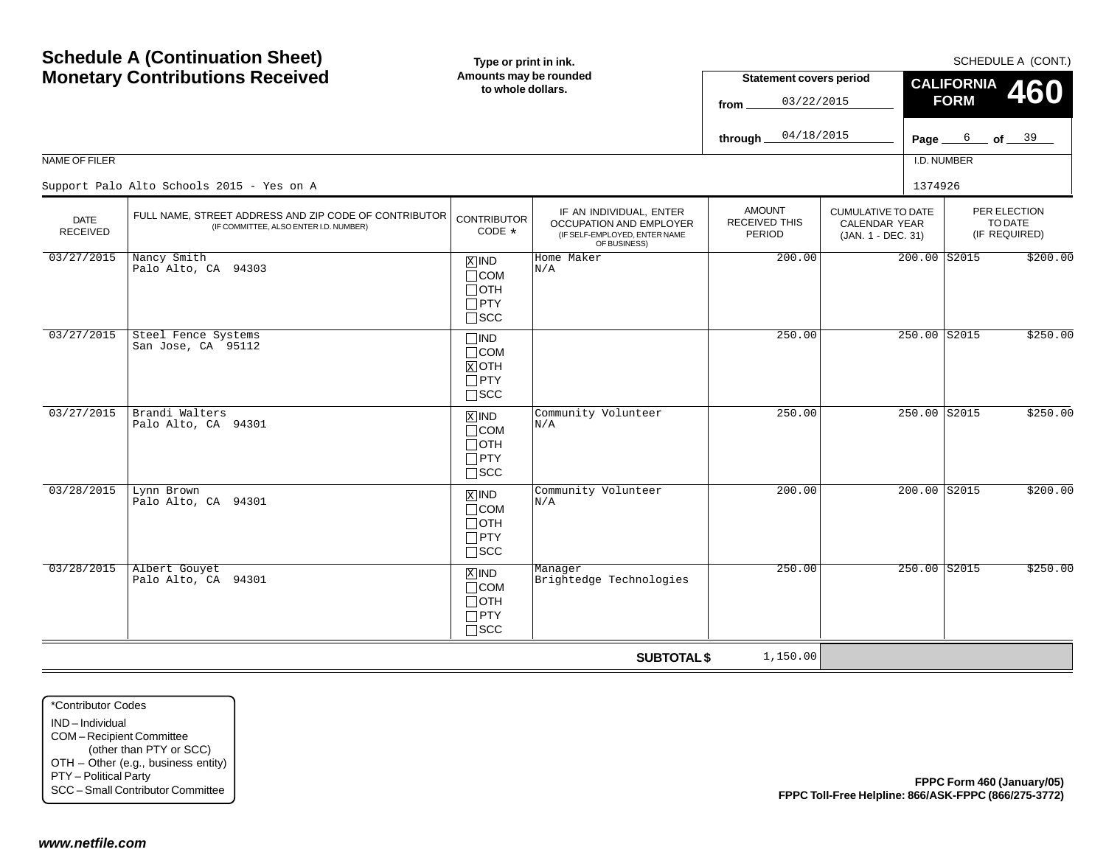| <b>Schedule A (Continuation Sheet)</b>                                                                      |                                                                                                     | Type or print in ink.                                              |                                                                                                     | SCHEDULE A (CONT.)                       |                                                                         |               |                   |                                          |                            |
|-------------------------------------------------------------------------------------------------------------|-----------------------------------------------------------------------------------------------------|--------------------------------------------------------------------|-----------------------------------------------------------------------------------------------------|------------------------------------------|-------------------------------------------------------------------------|---------------|-------------------|------------------------------------------|----------------------------|
|                                                                                                             | <b>Monetary Contributions Received</b>                                                              | Amounts may be rounded<br>to whole dollars.                        |                                                                                                     | <b>Statement covers period</b>           |                                                                         |               | <b>CALIFORNIA</b> |                                          | <b>460</b>                 |
|                                                                                                             |                                                                                                     |                                                                    |                                                                                                     | 03/22/2015<br>from                       |                                                                         |               | <b>FORM</b>       |                                          |                            |
|                                                                                                             |                                                                                                     |                                                                    |                                                                                                     | 04/18/2015<br>through                    |                                                                         | Page $\equiv$ |                   | $6$ of $39$                              |                            |
| NAME OF FILER                                                                                               |                                                                                                     |                                                                    |                                                                                                     |                                          |                                                                         | I.D. NUMBER   |                   |                                          |                            |
|                                                                                                             | Support Palo Alto Schools 2015 - Yes on A                                                           |                                                                    |                                                                                                     |                                          |                                                                         | 1374926       |                   |                                          |                            |
| <b>DATE</b><br><b>RECEIVED</b>                                                                              | FULL NAME, STREET ADDRESS AND ZIP CODE OF CONTRIBUTOR<br>(IF COMMITTEE, ALSO ENTER I.D. NUMBER)     | <b>CONTRIBUTOR</b><br>CODE *                                       | IF AN INDIVIDUAL, ENTER<br>OCCUPATION AND EMPLOYER<br>(IF SELF-EMPLOYED, ENTER NAME<br>OF BUSINESS) | <b>AMOUNT</b><br>RECEIVED THIS<br>PERIOD | <b>CUMULATIVE TO DATE</b><br><b>CALENDAR YEAR</b><br>(JAN. 1 - DEC. 31) |               |                   | PER ELECTION<br>TO DATE<br>(IF REQUIRED) |                            |
| 03/27/2015                                                                                                  | Nancy Smith<br>Palo Alto, CA 94303                                                                  | $X$ IND<br>$\Box$ COM<br>$\Box$ OTH<br>$\Box$ PTY<br>$\square$ SCC | Home Maker<br>N/A                                                                                   | 200.00                                   |                                                                         |               | 200.00 S2015      |                                          | \$200.00                   |
| 03/27/2015                                                                                                  | Steel Fence Systems<br>San Jose, CA 95112                                                           | $\Box$ IND<br>$\Box$ COM<br>$X$ OTH<br>$\Box$ PTY<br>$\square$ SCC |                                                                                                     | 250.00                                   |                                                                         |               | 250.00 S2015      |                                          | \$250.00                   |
| 03/27/2015                                                                                                  | Brandi Walters<br>Palo Alto, CA 94301                                                               | $X$ IND<br>$\Box$ COM<br>$\Box$ OTH<br>$\Box$ PTY<br>$\square$ SCC | Community Volunteer<br>N/A                                                                          | 250.00                                   |                                                                         |               | 250.00 S2015      |                                          | \$250.00                   |
| 03/28/2015                                                                                                  | Lynn Brown<br>Palo Alto, CA 94301                                                                   | $X$ IND<br>$\Box$ COM<br>$\Box$ OTH<br>$\Box$ PTY<br>$\square$ SCC | Community Volunteer<br>N/A                                                                          | 200.00                                   |                                                                         |               | 200.00 S2015      |                                          | \$200.00                   |
| 03/28/2015                                                                                                  | Albert Gouyet<br>Palo Alto, CA 94301                                                                | $X$ IND<br>$\Box$ COM<br>$\Box$ OTH<br>$\Box$ PTY<br>$\Box$ scc    | Manager<br>Brightedge Technologies                                                                  | 250.00                                   |                                                                         |               | $250.00$ S2015    |                                          | \$250.00                   |
|                                                                                                             |                                                                                                     |                                                                    | <b>SUBTOTAL \$</b>                                                                                  | 1,150.00                                 |                                                                         |               |                   |                                          |                            |
| *Contributor Codes<br>IND-Individual<br>COM-Recipient Committee<br>PTY - Political Party<br>www.netfile.com | (other than PTY or SCC)<br>OTH - Other (e.g., business entity)<br>SCC - Small Contributor Committee |                                                                    |                                                                                                     |                                          | FPPC Toll-Free Helpline: 866/ASK-FPPC (866/275-3772)                    |               |                   |                                          | FPPC Form 460 (January/05) |
|                                                                                                             |                                                                                                     |                                                                    |                                                                                                     |                                          |                                                                         |               |                   |                                          |                            |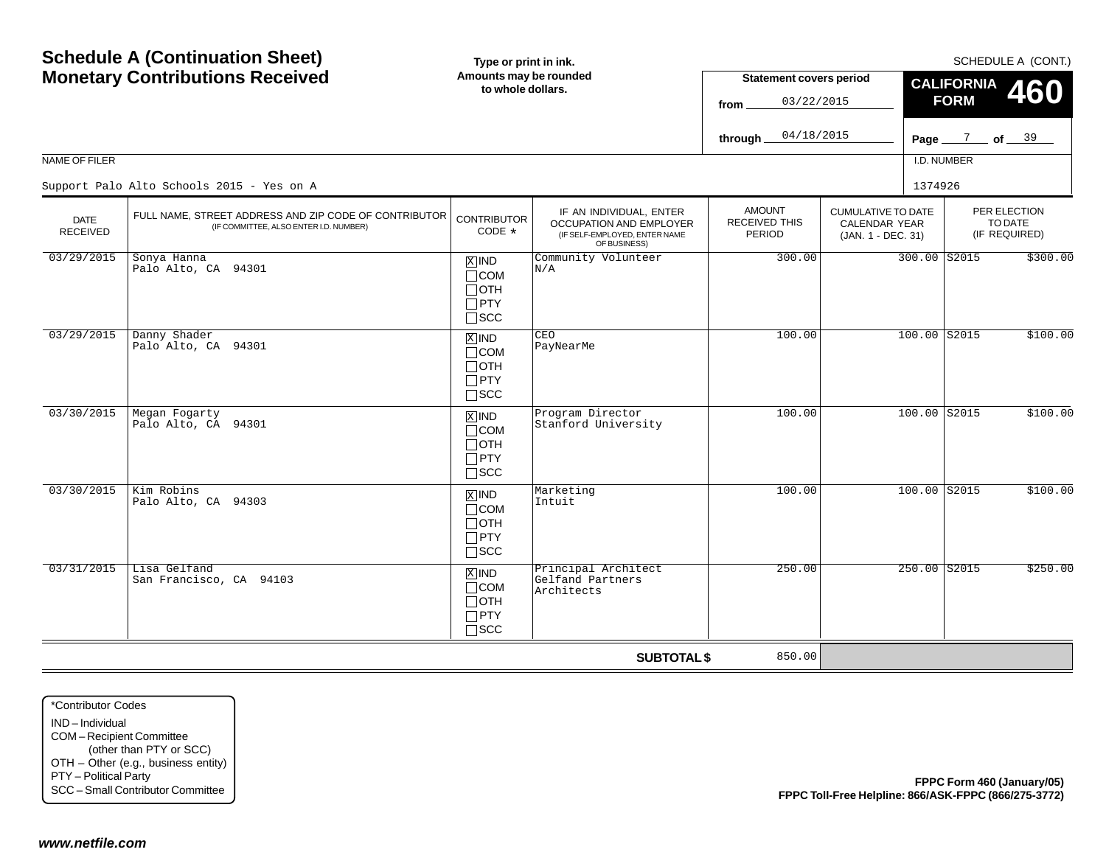|                                                                                                             | <b>Schedule A (Continuation Sheet)</b><br><b>Monetary Contributions Received</b>                    | Type or print in ink.<br>Amounts may be rounded                    |                                                                                                            |                                                        |                                                                         |                                                |                                          | SCHEDULE A (CONT.) |  |
|-------------------------------------------------------------------------------------------------------------|-----------------------------------------------------------------------------------------------------|--------------------------------------------------------------------|------------------------------------------------------------------------------------------------------------|--------------------------------------------------------|-------------------------------------------------------------------------|------------------------------------------------|------------------------------------------|--------------------|--|
|                                                                                                             |                                                                                                     |                                                                    | to whole dollars.                                                                                          | 03/22/2015<br>from                                     | <b>Statement covers period</b>                                          | <b>CALIFORNIA</b><br><b>460</b><br><b>FORM</b> |                                          |                    |  |
|                                                                                                             |                                                                                                     |                                                                    |                                                                                                            | 04/18/2015<br>through                                  |                                                                         | Page $\frac{7}{2}$ of $\frac{39}{2}$           |                                          |                    |  |
| NAME OF FILER                                                                                               |                                                                                                     |                                                                    |                                                                                                            |                                                        |                                                                         | I.D. NUMBER                                    |                                          |                    |  |
|                                                                                                             | Support Palo Alto Schools 2015 - Yes on A                                                           |                                                                    |                                                                                                            |                                                        | 1374926                                                                 |                                                |                                          |                    |  |
| <b>DATE</b><br><b>RECEIVED</b>                                                                              | FULL NAME, STREET ADDRESS AND ZIP CODE OF CONTRIBUTOR<br>(IF COMMITTEE, ALSO ENTER I.D. NUMBER)     | <b>CONTRIBUTOR</b><br>CODE *                                       | IF AN INDIVIDUAL, ENTER<br><b>OCCUPATION AND EMPLOYER</b><br>(IF SELF-EMPLOYED, ENTER NAME<br>OF BUSINESS) | <b>AMOUNT</b><br><b>RECEIVED THIS</b><br><b>PERIOD</b> | <b>CUMULATIVE TO DATE</b><br><b>CALENDAR YEAR</b><br>(JAN. 1 - DEC. 31) |                                                | PER ELECTION<br>TO DATE<br>(IF REQUIRED) |                    |  |
| 03/29/2015                                                                                                  | Sonya Hanna<br>Palo Alto, CA 94301                                                                  | $X$ IND<br>$\Box$ COM<br>$\Box$ OTH<br>$\Box$ PTY<br>$\square$ SCC | Community Volunteer<br>N/A                                                                                 | 300.00                                                 |                                                                         | 300.00 S2015                                   |                                          | \$300.00           |  |
| 03/29/2015                                                                                                  | Danny Shader<br>Palo Alto, CA 94301                                                                 | $X$ IND<br>$\Box$ COM<br>$\Box$ OTH<br>$\Box$ PTY<br>$\square$ SCC | CEO<br>PayNearMe                                                                                           | 100.00                                                 | 100.00 S2015                                                            |                                                |                                          | \$100.00           |  |
| 03/30/2015                                                                                                  | Megan Fogarty<br>Palo Alto, CA 94301                                                                | $X$ IND<br>$\Box$ COM<br>$\Box$ OTH<br>$\Box$ PTY<br>$\square$ SCC | Program Director<br>Stanford University                                                                    | 100.00                                                 | 100.00 S2015                                                            |                                                |                                          | \$100.00           |  |
| 03/30/2015                                                                                                  | Kim Robins<br>Palo Alto, CA 94303                                                                   | $X$ IND<br>$\Box$ COM<br>$\Box$ OTH<br>$\Box$ PTY<br>$\Box$<br>SCC | Marketing<br>Intuit                                                                                        | 100.00                                                 | $100.00$ S2015                                                          |                                                |                                          | \$100.00           |  |
| 03/31/2015                                                                                                  | Lisa Gelfand<br>San Francisco, CA 94103                                                             | $X$ IND<br>$\Box$ COM<br>$\Box$ OTH<br>$\Box$ PTY<br>$\square$ SCC | Principal Architect<br>Gelfand Partners<br>Architects                                                      | 250.00                                                 |                                                                         | 250.00 S2015                                   |                                          | \$250.00           |  |
|                                                                                                             |                                                                                                     |                                                                    | <b>SUBTOTAL \$</b>                                                                                         | 850.00                                                 |                                                                         |                                                |                                          |                    |  |
| *Contributor Codes<br>IND-Individual<br>COM-Recipient Committee<br>PTY - Political Party<br>www.netfile.com | (other than PTY or SCC)<br>OTH - Other (e.g., business entity)<br>SCC - Small Contributor Committee |                                                                    |                                                                                                            |                                                        | FPPC Toll-Free Helpline: 866/ASK-FPPC (866/275-3772)                    | FPPC Form 460 (January/05)                     |                                          |                    |  |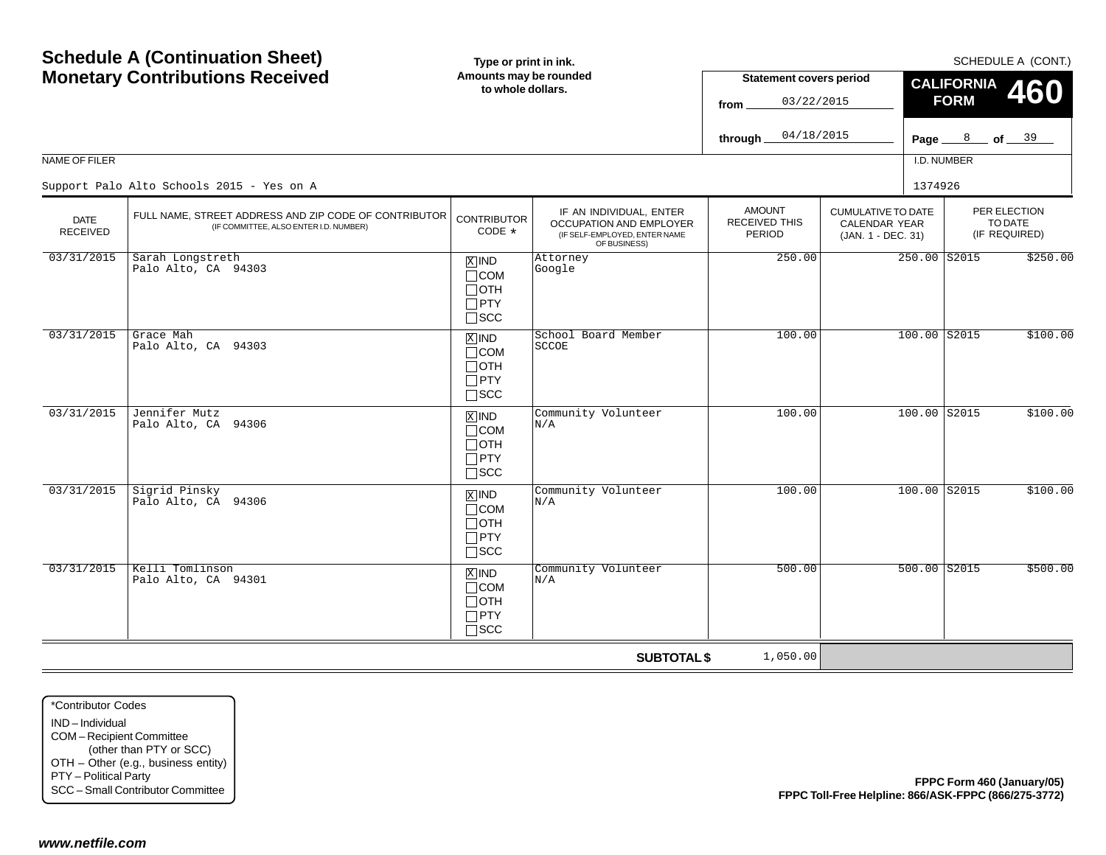|                                                                                                             | <b>Schedule A (Continuation Sheet)</b>                                                              | Type or print in ink.                                              |                                                                                                     |                                                 |                                                                         |                   |                                               | SCHEDULE A (CONT.)         |
|-------------------------------------------------------------------------------------------------------------|-----------------------------------------------------------------------------------------------------|--------------------------------------------------------------------|-----------------------------------------------------------------------------------------------------|-------------------------------------------------|-------------------------------------------------------------------------|-------------------|-----------------------------------------------|----------------------------|
|                                                                                                             | <b>Monetary Contributions Received</b>                                                              | Amounts may be rounded<br>to whole dollars.                        |                                                                                                     | <b>Statement covers period</b>                  |                                                                         | <b>CALIFORNIA</b> |                                               | 460                        |
|                                                                                                             |                                                                                                     |                                                                    |                                                                                                     | 03/22/2015<br>from                              |                                                                         | <b>FORM</b>       |                                               |                            |
|                                                                                                             |                                                                                                     |                                                                    |                                                                                                     | 04/18/2015<br>through                           | Page $\equiv$                                                           |                   | $\frac{8}{\sqrt{5}}$ of $\frac{39}{\sqrt{5}}$ |                            |
| NAME OF FILER                                                                                               |                                                                                                     |                                                                    |                                                                                                     |                                                 |                                                                         | I.D. NUMBER       |                                               |                            |
|                                                                                                             | Support Palo Alto Schools 2015 - Yes on A                                                           |                                                                    |                                                                                                     |                                                 |                                                                         | 1374926           |                                               |                            |
| <b>DATE</b><br><b>RECEIVED</b>                                                                              | FULL NAME, STREET ADDRESS AND ZIP CODE OF CONTRIBUTOR<br>(IF COMMITTEE, ALSO ENTER I.D. NUMBER)     | <b>CONTRIBUTOR</b><br>CODE *                                       | IF AN INDIVIDUAL, ENTER<br>OCCUPATION AND EMPLOYER<br>(IF SELF-EMPLOYED, ENTER NAME<br>OF BUSINESS) | <b>AMOUNT</b><br><b>RECEIVED THIS</b><br>PERIOD | <b>CUMULATIVE TO DATE</b><br><b>CALENDAR YEAR</b><br>(JAN. 1 - DEC. 31) |                   | PER ELECTION<br>TO DATE<br>(IF REQUIRED)      |                            |
| 03/31/2015                                                                                                  | Sarah Longstreth<br>Palo Alto, CA 94303                                                             | $X$ IND<br>$\Box$ COM<br>$\Box$ OTH<br>$\Box$ PTY<br>$\square$ SCC | Attorney<br>Google                                                                                  | 250.00                                          |                                                                         | 250.00 S2015      |                                               | \$250.00                   |
| 03/31/2015                                                                                                  | Grace Mah<br>Palo Alto, CA 94303                                                                    | $X$ IND<br>$\Box$ COM<br>$\Box$ OTH<br>$\Box$ PTY<br>$\square$ SCC | School Board Member<br><b>SCCOE</b>                                                                 | 100.00                                          |                                                                         | 100.00 S2015      |                                               | \$100.00                   |
| 03/31/2015                                                                                                  | Jennifer Mutz<br>Palo Alto, CA 94306                                                                | $X$ IND<br>$\Box$ COM<br>$\Box$ OTH<br>$\Box$ PTY<br>$\square$ SCC | Community Volunteer<br>N/A                                                                          | 100.00                                          |                                                                         | 100.00 S2015      |                                               | \$100.00                   |
| 03/31/2015                                                                                                  | Sigrid Pinsky<br>Palo Alto, CA 94306                                                                | $X$ IND<br>$\Box$ COM<br>$\Box$ OTH<br>$\Box$ PTY<br>$\square$ SCC | Community Volunteer<br>N/A                                                                          | 100.00                                          |                                                                         | $100.00$ S2015    |                                               | \$100.00                   |
| 03/31/2015                                                                                                  | Kelli Tomlinson<br>Palo Alto, CA 94301                                                              | $X$ IND<br>$\Box$ COM<br>$\Box$ OTH<br>$\Box$ PTY<br>$\Box$<br>SCC | Community Volunteer<br>N/A                                                                          | 500.00                                          |                                                                         | $500.00$ $S2015$  |                                               | \$500.00                   |
|                                                                                                             |                                                                                                     |                                                                    | <b>SUBTOTAL \$</b>                                                                                  | 1,050.00                                        |                                                                         |                   |                                               |                            |
| *Contributor Codes<br>IND-Individual<br>COM-Recipient Committee<br>PTY - Political Party<br>www.netfile.com | (other than PTY or SCC)<br>OTH - Other (e.g., business entity)<br>SCC - Small Contributor Committee |                                                                    |                                                                                                     |                                                 | FPPC Toll-Free Helpline: 866/ASK-FPPC (866/275-3772)                    |                   |                                               | FPPC Form 460 (January/05) |
|                                                                                                             |                                                                                                     |                                                                    |                                                                                                     |                                                 |                                                                         |                   |                                               |                            |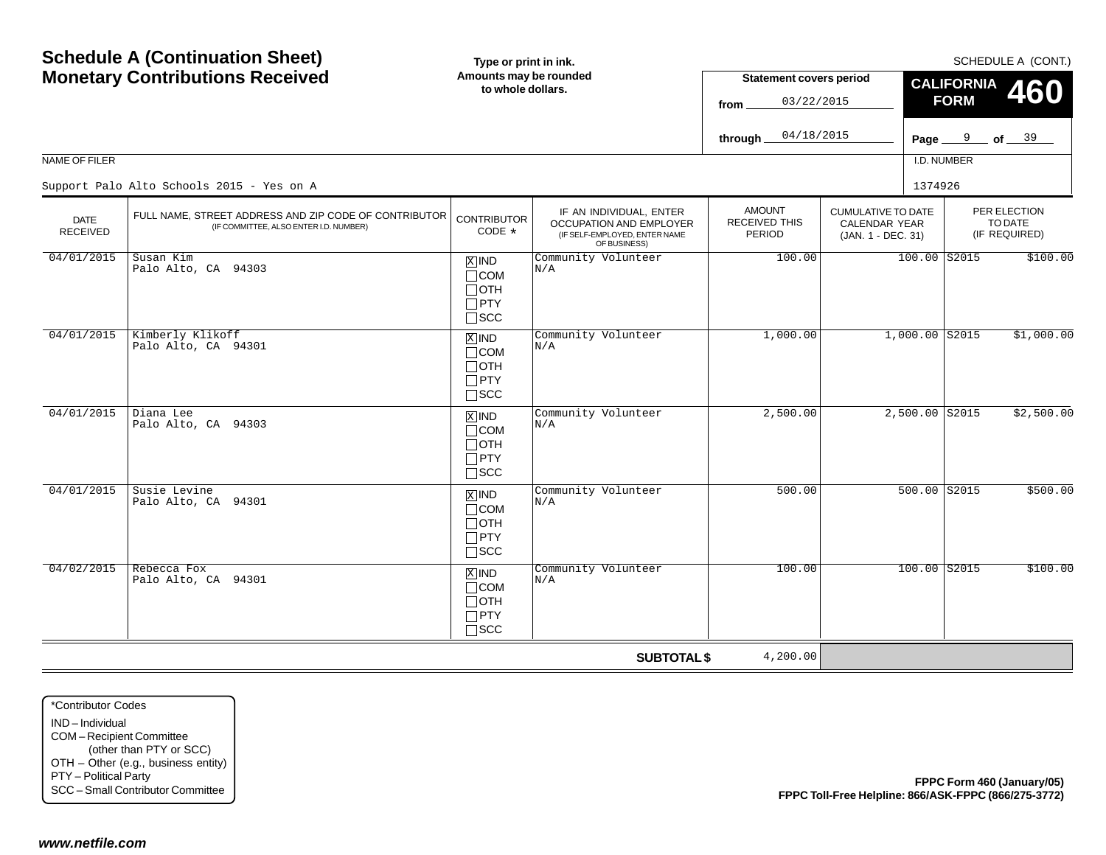|                                                                                                             | <b>Schedule A (Continuation Sheet)</b>                                                              | Type or print in ink.                                                             |                                                                                                     |                                                 |                                                                         |                   | SCHEDULE A (CONT.)                       |
|-------------------------------------------------------------------------------------------------------------|-----------------------------------------------------------------------------------------------------|-----------------------------------------------------------------------------------|-----------------------------------------------------------------------------------------------------|-------------------------------------------------|-------------------------------------------------------------------------|-------------------|------------------------------------------|
|                                                                                                             | <b>Monetary Contributions Received</b>                                                              | Amounts may be rounded<br>to whole dollars.                                       |                                                                                                     | <b>Statement covers period</b>                  |                                                                         | <b>CALIFORNIA</b> | <b>460</b>                               |
|                                                                                                             |                                                                                                     |                                                                                   |                                                                                                     | 03/22/2015<br>from                              |                                                                         | <b>FORM</b>       |                                          |
|                                                                                                             |                                                                                                     |                                                                                   |                                                                                                     | 04/18/2015<br>through                           |                                                                         |                   | Page $9$ of $39$                         |
| NAME OF FILER                                                                                               |                                                                                                     |                                                                                   |                                                                                                     |                                                 |                                                                         | I.D. NUMBER       |                                          |
|                                                                                                             | Support Palo Alto Schools 2015 - Yes on A                                                           |                                                                                   |                                                                                                     |                                                 | 1374926                                                                 |                   |                                          |
| <b>DATE</b><br><b>RECEIVED</b>                                                                              | FULL NAME, STREET ADDRESS AND ZIP CODE OF CONTRIBUTOR<br>(IF COMMITTEE, ALSO ENTER I.D. NUMBER)     | <b>CONTRIBUTOR</b><br>CODE *                                                      | IF AN INDIVIDUAL, ENTER<br>OCCUPATION AND EMPLOYER<br>(IF SELF-EMPLOYED, ENTER NAME<br>OF BUSINESS) | <b>AMOUNT</b><br><b>RECEIVED THIS</b><br>PERIOD | <b>CUMULATIVE TO DATE</b><br><b>CALENDAR YEAR</b><br>(JAN. 1 - DEC. 31) |                   | PER ELECTION<br>TO DATE<br>(IF REQUIRED) |
| 04/01/2015                                                                                                  | Susan Kim<br>Palo Alto, CA 94303                                                                    | $X$ IND<br>$\Box$ COM<br>$\Box$ OTH<br>$\Box$ PTY<br>$\square$ SCC                | Community Volunteer<br>N/A                                                                          | 100.00                                          |                                                                         | $100.00$ S2015    | \$100.00                                 |
| 04/01/2015                                                                                                  | Kimberly Klikoff<br>Palo Alto, CA 94301                                                             | $X$ IND<br>$\Box$ COM<br>$\Box$ OTH<br>$\Box$ PTY<br>$\square$ SCC                | Community Volunteer<br>N/A                                                                          | 1,000.00                                        | $1,000.00$ S2015                                                        |                   | \$1,000.00                               |
| 04/01/2015                                                                                                  | Diana Lee<br>Palo Alto, CA 94303                                                                    | $X$ IND<br>$\Box$ COM<br>$\Box$ OTH<br>$\Box$ PTY<br>$\square$ SCC                | Community Volunteer<br>N/A                                                                          | 2,500.00                                        | 2,500.00 S2015                                                          |                   | \$2,500.00                               |
| 04/01/2015                                                                                                  | Susie Levine<br>Palo Alto, CA 94301                                                                 | $\boxed{\text{X}}$ IND<br>$\Box$ COM<br>$\Box$ OTH<br>$\Box$ PTY<br>$\square$ SCC | Community Volunteer<br>N/A                                                                          | 500.00                                          |                                                                         | 500.00 S2015      | \$500.00                                 |
| 04/02/2015                                                                                                  | Rebecca Fox<br>Palo Alto, CA 94301                                                                  | $X$ IND<br>$\Box$ COM<br>$\Box$ OTH<br>$\Box$ PTY<br>$\square$ SCC                | Community Volunteer<br>N/A                                                                          | 100.00                                          |                                                                         | $100.00$ $S2015$  | \$100.00                                 |
|                                                                                                             |                                                                                                     |                                                                                   | <b>SUBTOTAL \$</b>                                                                                  | 4,200.00                                        |                                                                         |                   |                                          |
| *Contributor Codes<br>IND-Individual<br>COM-Recipient Committee<br>PTY - Political Party<br>www.netfile.com | (other than PTY or SCC)<br>OTH - Other (e.g., business entity)<br>SCC - Small Contributor Committee |                                                                                   |                                                                                                     |                                                 | FPPC Toll-Free Helpline: 866/ASK-FPPC (866/275-3772)                    |                   | FPPC Form 460 (January/05)               |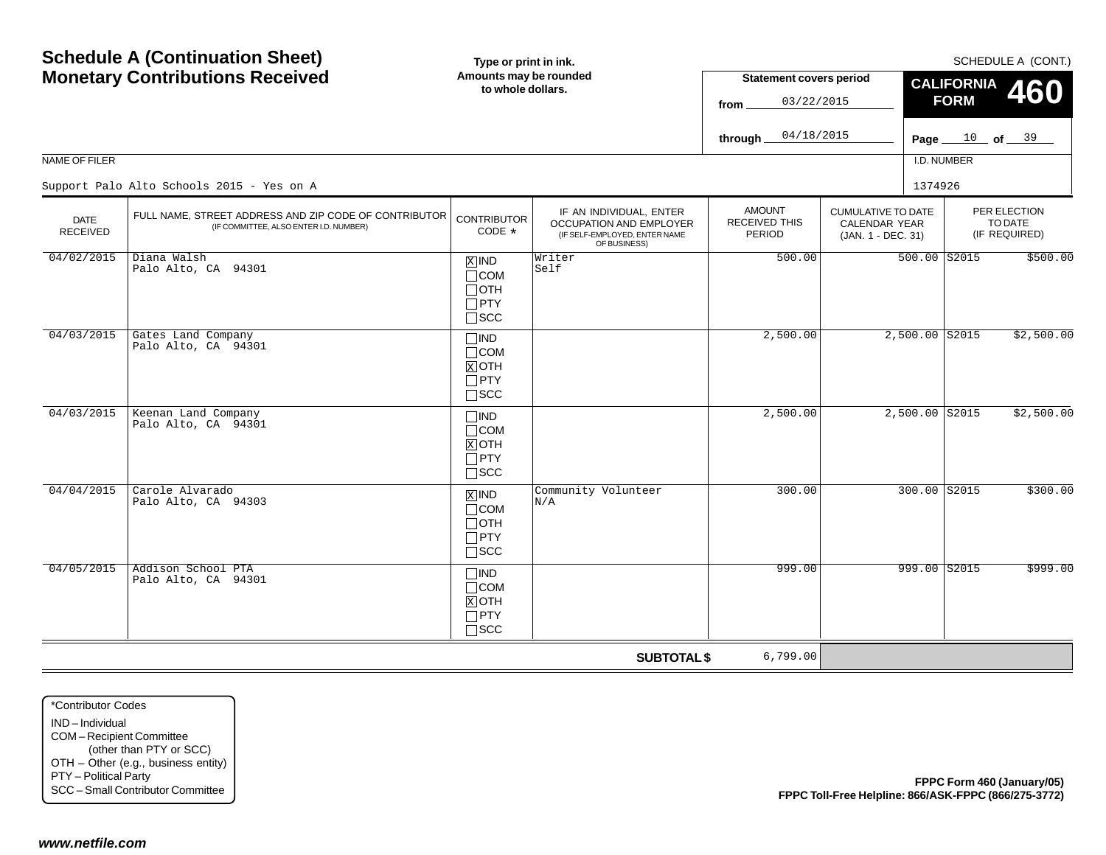|                                                                                                             | <b>Schedule A (Continuation Sheet)</b>                                                              | Type or print in ink.                                              |                                                                                                     |                                          |                                                                         |                  |                   |                                                  | SCHEDULE A (CONT.)         |
|-------------------------------------------------------------------------------------------------------------|-----------------------------------------------------------------------------------------------------|--------------------------------------------------------------------|-----------------------------------------------------------------------------------------------------|------------------------------------------|-------------------------------------------------------------------------|------------------|-------------------|--------------------------------------------------|----------------------------|
|                                                                                                             | <b>Monetary Contributions Received</b>                                                              | Amounts may be rounded<br>to whole dollars.                        |                                                                                                     | <b>Statement covers period</b>           |                                                                         |                  | <b>CALIFORNIA</b> |                                                  |                            |
|                                                                                                             |                                                                                                     |                                                                    |                                                                                                     | 03/22/2015<br>from                       |                                                                         |                  | <b>FORM</b>       |                                                  | <b>460</b>                 |
|                                                                                                             |                                                                                                     |                                                                    |                                                                                                     |                                          |                                                                         |                  |                   |                                                  |                            |
|                                                                                                             |                                                                                                     |                                                                    |                                                                                                     | 04/18/2015<br>through                    |                                                                         | Page $\equiv$    |                   | $\frac{10}{\text{of}}$ of $\frac{39}{\text{of}}$ |                            |
| NAME OF FILER                                                                                               |                                                                                                     |                                                                    |                                                                                                     |                                          |                                                                         | I.D. NUMBER      |                   |                                                  |                            |
|                                                                                                             | Support Palo Alto Schools 2015 - Yes on A                                                           |                                                                    |                                                                                                     |                                          |                                                                         | 1374926          |                   |                                                  |                            |
| <b>DATE</b><br><b>RECEIVED</b>                                                                              | FULL NAME, STREET ADDRESS AND ZIP CODE OF CONTRIBUTOR<br>(IF COMMITTEE, ALSO ENTER I.D. NUMBER)     | <b>CONTRIBUTOR</b><br>CODE *                                       | IF AN INDIVIDUAL, ENTER<br>OCCUPATION AND EMPLOYER<br>(IF SELF-EMPLOYED, ENTER NAME<br>OF BUSINESS) | <b>AMOUNT</b><br>RECEIVED THIS<br>PERIOD | <b>CUMULATIVE TO DATE</b><br><b>CALENDAR YEAR</b><br>(JAN. 1 - DEC. 31) |                  |                   | PER ELECTION<br>TO DATE<br>(IF REQUIRED)         |                            |
| 04/02/2015                                                                                                  | Diana Walsh<br>Palo Alto, CA 94301                                                                  | $X$ IND<br>$\Box$ COM<br>$\Box$ OTH<br>$\Box$ PTY<br>$\square$ SCC | Writer<br>Self                                                                                      | 500.00                                   |                                                                         | $500.00$ $S2015$ |                   |                                                  | \$500.00                   |
| 04/03/2015                                                                                                  | Gates Land Company<br>Palo Alto, CA 94301                                                           | $\Box$ IND<br>$\Box$ COM<br>$X$ OTH<br>$\Box$ PTY<br>$\Box$<br>SCC |                                                                                                     | 2,500.00                                 |                                                                         |                  | $2,500.00$ S2015  |                                                  | \$2,500.00                 |
| 04/03/2015                                                                                                  | Keenan Land Company<br>Palo Alto, CA 94301                                                          | $\Box$ IND<br>$\Box$ COM<br>$X$ OTH<br>$\Box$ PTY<br>$\square$ SCC |                                                                                                     | 2,500.00                                 |                                                                         |                  | $2,500.00$ S2015  |                                                  | \$2,500.00                 |
| 04/04/2015                                                                                                  | Carole Alvarado<br>Palo Alto, CA 94303                                                              | $X$ IND<br>$\Box$ COM<br>$\Box$ OTH<br>$\Box$ PTY<br>$\square$ SCC | Community Volunteer<br>N/A                                                                          | 300.00                                   |                                                                         |                  | 300.00 S2015      |                                                  | \$300.00                   |
| 04/05/2015                                                                                                  | Addison School PTA<br>Palo Alto, CA 94301                                                           | $\Box$ IND<br>$\Box$ COM<br>$X$ OTH<br>$\Box$ PTY<br>$\square$ SCC |                                                                                                     | 999.00                                   |                                                                         |                  | $999.00$ S2015    |                                                  | \$999.00                   |
|                                                                                                             |                                                                                                     |                                                                    | <b>SUBTOTAL \$</b>                                                                                  | 6,799.00                                 |                                                                         |                  |                   |                                                  |                            |
| *Contributor Codes<br>IND-Individual<br>COM-Recipient Committee<br>PTY - Political Party<br>www.netfile.com | (other than PTY or SCC)<br>OTH - Other (e.g., business entity)<br>SCC - Small Contributor Committee |                                                                    |                                                                                                     |                                          | FPPC Toll-Free Helpline: 866/ASK-FPPC (866/275-3772)                    |                  |                   |                                                  | FPPC Form 460 (January/05) |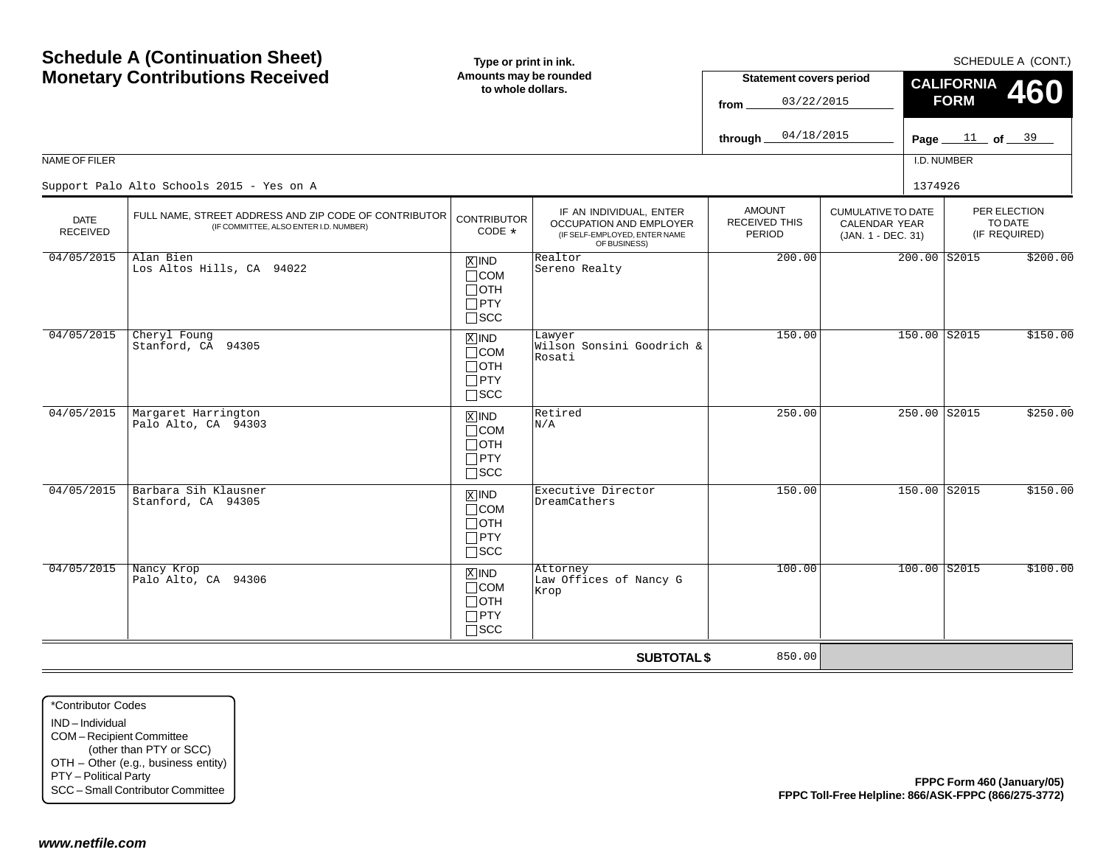|                                                                                                             | <b>Schedule A (Continuation Sheet)</b>                                                              | Type or print in ink.                                              |                                                                                                     |                                                      |                                                                         |                                  |                                          | SCHEDULE A (CONT.)         |
|-------------------------------------------------------------------------------------------------------------|-----------------------------------------------------------------------------------------------------|--------------------------------------------------------------------|-----------------------------------------------------------------------------------------------------|------------------------------------------------------|-------------------------------------------------------------------------|----------------------------------|------------------------------------------|----------------------------|
|                                                                                                             | <b>Monetary Contributions Received</b>                                                              | Amounts may be rounded<br>to whole dollars.                        |                                                                                                     | <b>Statement covers period</b><br>03/22/2015<br>from |                                                                         | <b>CALIFORNIA</b><br><b>FORM</b> |                                          | <b>460</b>                 |
|                                                                                                             |                                                                                                     |                                                                    |                                                                                                     | 04/18/2015<br>through                                |                                                                         | Page $11$ of $39$                |                                          |                            |
| NAME OF FILER                                                                                               |                                                                                                     |                                                                    |                                                                                                     |                                                      |                                                                         | I.D. NUMBER                      |                                          |                            |
|                                                                                                             | Support Palo Alto Schools 2015 - Yes on A                                                           |                                                                    |                                                                                                     |                                                      |                                                                         | 1374926                          |                                          |                            |
| <b>DATE</b><br><b>RECEIVED</b>                                                                              | FULL NAME, STREET ADDRESS AND ZIP CODE OF CONTRIBUTOR<br>(IF COMMITTEE, ALSO ENTER I.D. NUMBER)     | <b>CONTRIBUTOR</b><br>CODE *                                       | IF AN INDIVIDUAL, ENTER<br>OCCUPATION AND EMPLOYER<br>(IF SELF-EMPLOYED, ENTER NAME<br>OF BUSINESS) | <b>AMOUNT</b><br>RECEIVED THIS<br><b>PERIOD</b>      | <b>CUMULATIVE TO DATE</b><br><b>CALENDAR YEAR</b><br>(JAN. 1 - DEC. 31) |                                  | PER ELECTION<br>TO DATE<br>(IF REQUIRED) |                            |
| 04/05/2015                                                                                                  | Alan Bien<br>Los Altos Hills, CA 94022                                                              | $X$ IND<br>$\Box$ COM<br>$\Box$ OTH<br>$\Box$ PTY<br>$\square$ SCC | Realtor<br>Sereno Realty                                                                            | 200.00                                               |                                                                         | 200.00 S2015                     |                                          | \$200.00                   |
| 04/05/2015                                                                                                  | Cheryl Foung<br>Stanford, CA 94305                                                                  | $X$ IND<br>$\Box$ COM<br>$\Box$ OTH<br>$\Box$ PTY<br>$\square$ SCC | Lawyer<br>Wilson Sonsini Goodrich &<br>Rosati                                                       | 150.00                                               |                                                                         | 150.00 S2015                     |                                          | \$150.00                   |
| 04/05/2015                                                                                                  | Margaret Harrington<br>Palo Alto, CA 94303                                                          | $X$ IND<br>$\Box$ COM<br>$\Box$ OTH<br>$\Box$ PTY<br>$\square$ SCC | Retired<br>N/A                                                                                      | 250.00                                               |                                                                         | 250.00 S2015                     |                                          | \$250.00                   |
| 04/05/2015                                                                                                  | Barbara Sih Klausner<br>Stanford, CA 94305                                                          | $X$ IND<br>$\Box$ COM<br>$\Box$ OTH<br>$\Box$ PTY<br>$\square$ SCC | Executive Director<br>DreamCathers                                                                  | 150.00                                               |                                                                         | 150.00 S2015                     |                                          | \$150.00                   |
| 04/05/2015                                                                                                  | Nancy Krop<br>Palo Alto, CA 94306                                                                   | $X$ IND<br>$\Box$ COM<br>$\Box$ OTH<br>$\Box$ PTY<br>$\Box$<br>SCC | Attorney<br>Law Offices of Nancy G<br>Krop                                                          | 100.00                                               |                                                                         | $100.00$ S2015                   |                                          | \$100.00                   |
|                                                                                                             |                                                                                                     |                                                                    | <b>SUBTOTAL \$</b>                                                                                  | 850.00                                               |                                                                         |                                  |                                          |                            |
| *Contributor Codes<br>IND-Individual<br>COM-Recipient Committee<br>PTY - Political Party<br>www.netfile.com | (other than PTY or SCC)<br>OTH - Other (e.g., business entity)<br>SCC - Small Contributor Committee |                                                                    |                                                                                                     |                                                      | FPPC Toll-Free Helpline: 866/ASK-FPPC (866/275-3772)                    |                                  |                                          | FPPC Form 460 (January/05) |
|                                                                                                             |                                                                                                     |                                                                    |                                                                                                     |                                                      |                                                                         |                                  |                                          |                            |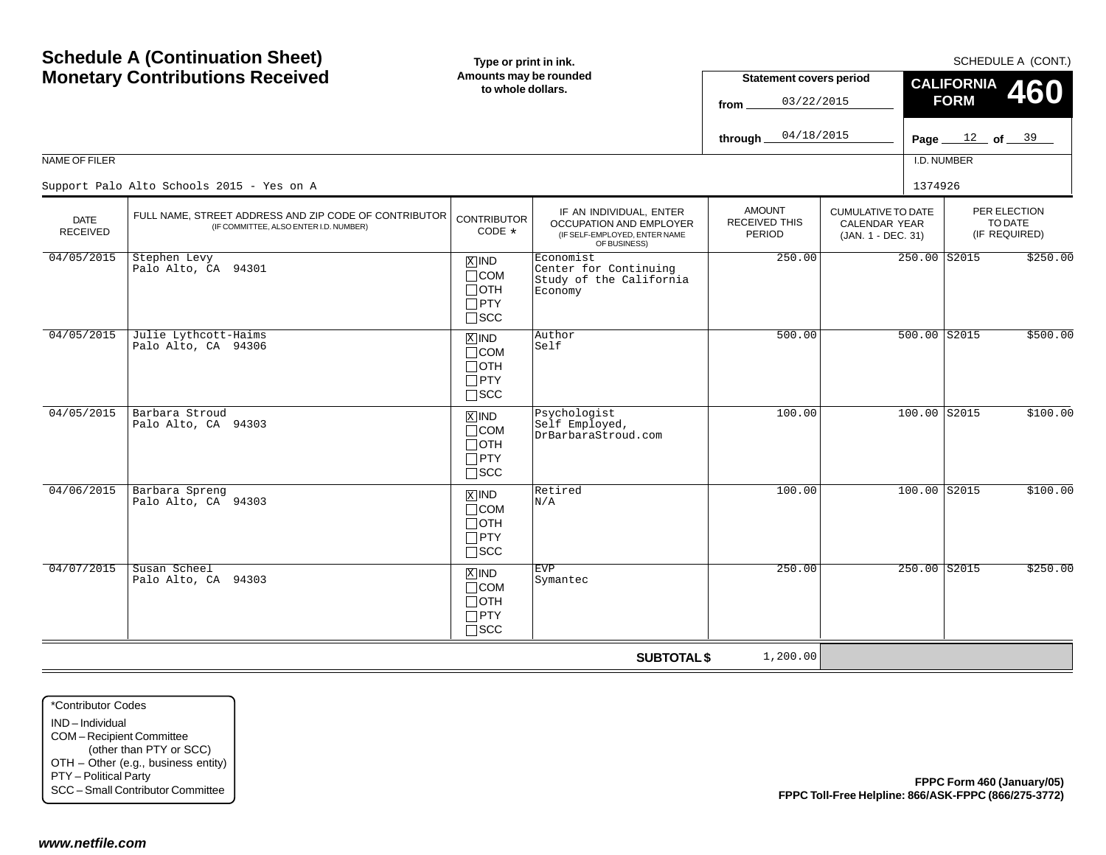|                                                                                                             | <b>Schedule A (Continuation Sheet)</b>                                                              | Type or print in ink.                                              |                                                                                                     |                                                        |                                                                         |                   | SCHEDULE A (CONT.)                       |
|-------------------------------------------------------------------------------------------------------------|-----------------------------------------------------------------------------------------------------|--------------------------------------------------------------------|-----------------------------------------------------------------------------------------------------|--------------------------------------------------------|-------------------------------------------------------------------------|-------------------|------------------------------------------|
|                                                                                                             | <b>Monetary Contributions Received</b>                                                              | Amounts may be rounded<br>to whole dollars.                        |                                                                                                     | <b>Statement covers period</b>                         |                                                                         | <b>CALIFORNIA</b> | <b>460</b>                               |
|                                                                                                             |                                                                                                     |                                                                    |                                                                                                     | 03/22/2015<br>from                                     |                                                                         | <b>FORM</b>       |                                          |
|                                                                                                             |                                                                                                     |                                                                    |                                                                                                     | 04/18/2015<br>through                                  |                                                                         |                   | Page $12$ of $39$                        |
| NAME OF FILER                                                                                               |                                                                                                     |                                                                    |                                                                                                     |                                                        |                                                                         | I.D. NUMBER       |                                          |
|                                                                                                             | Support Palo Alto Schools 2015 - Yes on A                                                           |                                                                    |                                                                                                     |                                                        | 1374926                                                                 |                   |                                          |
| <b>DATE</b><br><b>RECEIVED</b>                                                                              | FULL NAME, STREET ADDRESS AND ZIP CODE OF CONTRIBUTOR<br>(IF COMMITTEE, ALSO ENTER I.D. NUMBER)     | <b>CONTRIBUTOR</b><br>CODE *                                       | IF AN INDIVIDUAL, ENTER<br>OCCUPATION AND EMPLOYER<br>(IF SELF-EMPLOYED, ENTER NAME<br>OF BUSINESS) | <b>AMOUNT</b><br><b>RECEIVED THIS</b><br><b>PERIOD</b> | <b>CUMULATIVE TO DATE</b><br><b>CALENDAR YEAR</b><br>(JAN. 1 - DEC. 31) |                   | PER ELECTION<br>TO DATE<br>(IF REQUIRED) |
| 04/05/2015                                                                                                  | Stephen Levy<br>Palo Alto, CA 94301                                                                 | $X$ IND<br>$\Box$ COM<br>$\Box$ OTH<br>$\Box$ PTY<br>$\square$ SCC | Economist<br>Center for Continuing<br>Study of the California<br>Economy                            | 250.00                                                 | 250.00 S2015                                                            |                   | \$250.00                                 |
| 04/05/2015                                                                                                  | Julie Lythcott-Haims<br>Palo Alto, CA 94306                                                         | $X$ IND<br>$\Box$ COM<br>$\Box$ OTH<br>$\Box$ PTY<br>$\square$ SCC | Author<br>Self                                                                                      | 500.00                                                 | 500.00 S2015                                                            |                   | \$500.00                                 |
| 04/05/2015                                                                                                  | Barbara Stroud<br>Palo Alto, CA 94303                                                               | $X$ IND<br>$\Box$ COM<br>$\Box$ OTH<br>$\Box$ PTY<br>$\square$ SCC | Psychologist<br>Self Employed,<br>DrBarbaraStroud.com                                               | 100.00                                                 | 100.00 S2015                                                            |                   | \$100.00                                 |
| 04/06/2015                                                                                                  | Barbara Spreng<br>Palo Alto, CA 94303                                                               | $X$ IND<br>$\Box$ COM<br>$\Box$ OTH<br>$\Box$ PTY<br>$\square$ SCC | Retired<br>N/A                                                                                      | 100.00                                                 | $100.00$ S2015                                                          |                   | \$100.00                                 |
| 04/07/2015                                                                                                  | Susan Scheel<br>Palo Alto, CA 94303                                                                 | $X$ IND<br>$\Box$ COM<br>$\Box$ OTH<br>$\Box$ PTY<br>$\Box$ scc    | <b>EVP</b><br>Symantec                                                                              | 250.00                                                 | $250.00$ S2015                                                          |                   | \$250.00                                 |
|                                                                                                             |                                                                                                     |                                                                    | <b>SUBTOTAL \$</b>                                                                                  | 1,200.00                                               |                                                                         |                   |                                          |
| *Contributor Codes<br>IND-Individual<br>COM-Recipient Committee<br>PTY - Political Party<br>www.netfile.com | (other than PTY or SCC)<br>OTH - Other (e.g., business entity)<br>SCC - Small Contributor Committee |                                                                    |                                                                                                     |                                                        | FPPC Toll-Free Helpline: 866/ASK-FPPC (866/275-3772)                    |                   | FPPC Form 460 (January/05)               |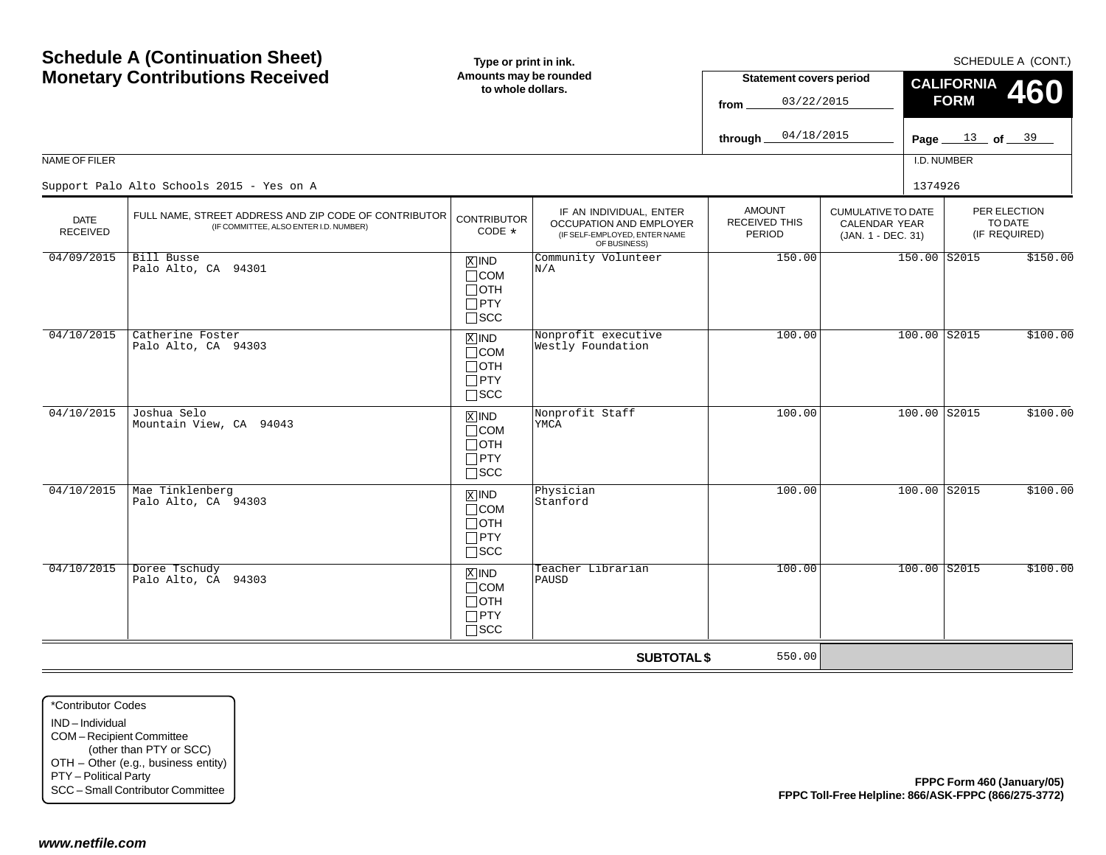|                                                                                                             | <b>Schedule A (Continuation Sheet)</b>                                                              | Type or print in ink.                                                             |                                                                                                     |                                                 |                                                                         |                   | SCHEDULE A (CONT.)                       |
|-------------------------------------------------------------------------------------------------------------|-----------------------------------------------------------------------------------------------------|-----------------------------------------------------------------------------------|-----------------------------------------------------------------------------------------------------|-------------------------------------------------|-------------------------------------------------------------------------|-------------------|------------------------------------------|
|                                                                                                             | <b>Monetary Contributions Received</b>                                                              | Amounts may be rounded<br>to whole dollars.                                       |                                                                                                     | <b>Statement covers period</b>                  |                                                                         | <b>CALIFORNIA</b> | <b>460</b>                               |
|                                                                                                             |                                                                                                     |                                                                                   |                                                                                                     | 03/22/2015<br>from                              |                                                                         | <b>FORM</b>       |                                          |
|                                                                                                             |                                                                                                     |                                                                                   |                                                                                                     | 04/18/2015<br>through                           |                                                                         |                   | Page $13$ of $39$                        |
| NAME OF FILER                                                                                               |                                                                                                     |                                                                                   |                                                                                                     |                                                 |                                                                         | I.D. NUMBER       |                                          |
|                                                                                                             | Support Palo Alto Schools 2015 - Yes on A                                                           |                                                                                   |                                                                                                     |                                                 | 1374926                                                                 |                   |                                          |
| <b>DATE</b><br><b>RECEIVED</b>                                                                              | FULL NAME, STREET ADDRESS AND ZIP CODE OF CONTRIBUTOR<br>(IF COMMITTEE, ALSO ENTER I.D. NUMBER)     | <b>CONTRIBUTOR</b><br>CODE *                                                      | IF AN INDIVIDUAL, ENTER<br>OCCUPATION AND EMPLOYER<br>(IF SELF-EMPLOYED, ENTER NAME<br>OF BUSINESS) | <b>AMOUNT</b><br><b>RECEIVED THIS</b><br>PERIOD | <b>CUMULATIVE TO DATE</b><br><b>CALENDAR YEAR</b><br>(JAN. 1 - DEC. 31) |                   | PER ELECTION<br>TO DATE<br>(IF REQUIRED) |
| 04/09/2015                                                                                                  | Bill Busse<br>Palo Alto, CA 94301                                                                   | $X$ IND<br>$\Box$ COM<br>$\Box$ OTH<br>$\Box$ PTY<br>$\square$ SCC                | Community Volunteer<br>N/A                                                                          | 150.00                                          | 150.00 S2015                                                            |                   | \$150.00                                 |
| 04/10/2015                                                                                                  | Catherine Foster<br>Palo Alto, CA 94303                                                             | $X$ IND<br>$\Box$ COM<br>$\Box$ OTH<br>$\Box$ PTY<br>$\square$ SCC                | Nonprofit executive<br>Westly Foundation                                                            | 100.00                                          | $100.00$ S2015                                                          |                   | \$100.00                                 |
| 04/10/2015                                                                                                  | Joshua Selo<br>Mountain View, CA 94043                                                              | $X$ IND<br>$\Box$ COM<br>$\Box$ OTH<br>$\Box$ PTY<br>$\square$ SCC                | Nonprofit Staff<br>YMCA                                                                             | 100.00                                          | 100.00 S2015                                                            |                   | \$100.00                                 |
| 04/10/2015                                                                                                  | Mae Tinklenberg<br>Palo Alto, CA 94303                                                              | $\boxed{\text{X}}$ IND<br>$\Box$ COM<br>$\Box$ OTH<br>$\Box$ PTY<br>$\square$ SCC | Physician<br>Stanford                                                                               | 100.00                                          | 100.00 S2015                                                            |                   | \$100.00                                 |
| 04/10/2015                                                                                                  | Doree Tschudy<br>Palo Alto, CA 94303                                                                | $X$ IND<br>$\Box$ COM<br>$\Box$ OTH<br>$\Box$ PTY<br>$\Box$ scc                   | Teacher Librarian<br>PAUSD                                                                          | 100.00                                          | $100.00$ $S2015$                                                        |                   | \$100.00                                 |
|                                                                                                             |                                                                                                     |                                                                                   | <b>SUBTOTAL \$</b>                                                                                  | 550.00                                          |                                                                         |                   |                                          |
| *Contributor Codes<br>IND-Individual<br>COM-Recipient Committee<br>PTY - Political Party<br>www.netfile.com | (other than PTY or SCC)<br>OTH - Other (e.g., business entity)<br>SCC - Small Contributor Committee |                                                                                   |                                                                                                     |                                                 | FPPC Toll-Free Helpline: 866/ASK-FPPC (866/275-3772)                    |                   | FPPC Form 460 (January/05)               |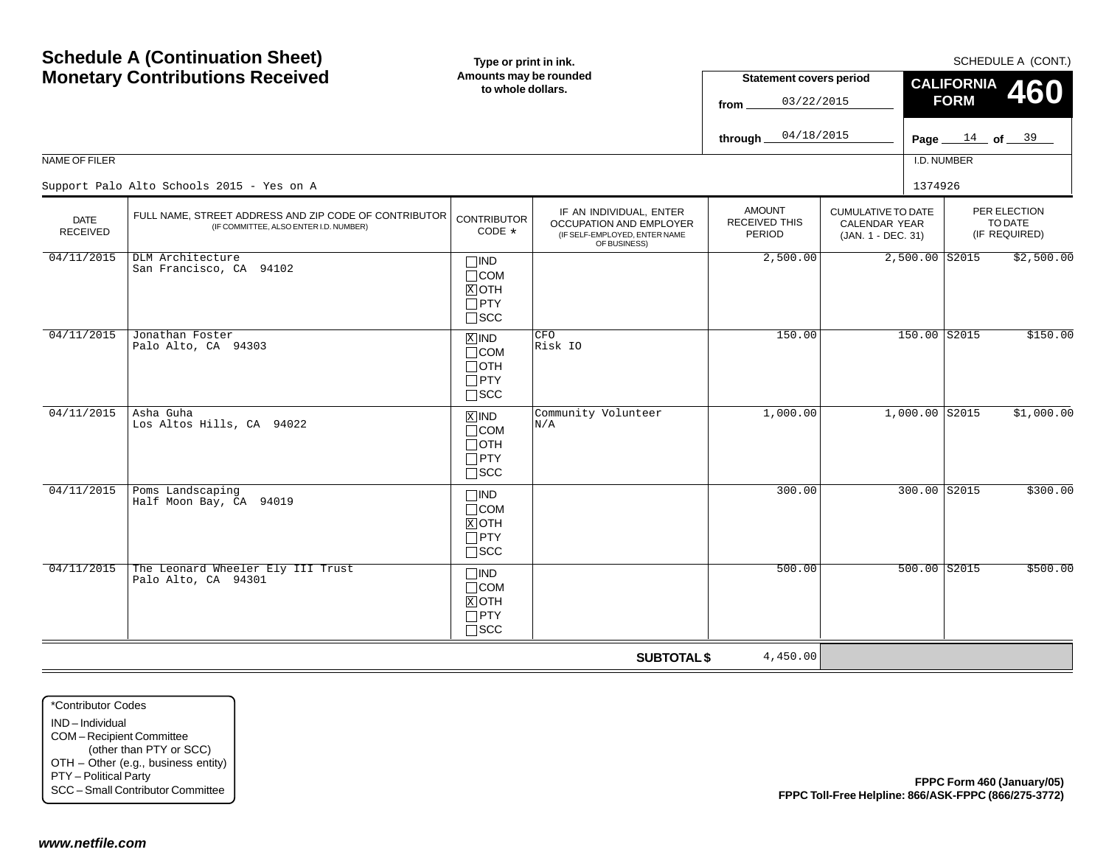|                                                                                                             | <b>Schedule A (Continuation Sheet)</b>                                                              | Type or print in ink.                                              |                                                                                                     |                                                 |                                                                         |                   |                                          | SCHEDULE A (CONT.)         |
|-------------------------------------------------------------------------------------------------------------|-----------------------------------------------------------------------------------------------------|--------------------------------------------------------------------|-----------------------------------------------------------------------------------------------------|-------------------------------------------------|-------------------------------------------------------------------------|-------------------|------------------------------------------|----------------------------|
|                                                                                                             | <b>Monetary Contributions Received</b>                                                              | Amounts may be rounded<br>to whole dollars.                        |                                                                                                     | <b>Statement covers period</b>                  |                                                                         | <b>CALIFORNIA</b> |                                          |                            |
|                                                                                                             |                                                                                                     |                                                                    |                                                                                                     | 03/22/2015<br>from                              |                                                                         | <b>FORM</b>       |                                          | 460                        |
|                                                                                                             |                                                                                                     |                                                                    |                                                                                                     | 04/18/2015<br>through                           |                                                                         | Page $14$ of $39$ |                                          |                            |
| NAME OF FILER                                                                                               |                                                                                                     |                                                                    |                                                                                                     |                                                 |                                                                         | I.D. NUMBER       |                                          |                            |
|                                                                                                             | Support Palo Alto Schools 2015 - Yes on A                                                           |                                                                    |                                                                                                     |                                                 |                                                                         | 1374926           |                                          |                            |
| <b>DATE</b><br><b>RECEIVED</b>                                                                              | FULL NAME, STREET ADDRESS AND ZIP CODE OF CONTRIBUTOR<br>(IF COMMITTEE, ALSO ENTER I.D. NUMBER)     | <b>CONTRIBUTOR</b><br>CODE *                                       | IF AN INDIVIDUAL, ENTER<br>OCCUPATION AND EMPLOYER<br>(IF SELF-EMPLOYED, ENTER NAME<br>OF BUSINESS) | <b>AMOUNT</b><br><b>RECEIVED THIS</b><br>PERIOD | <b>CUMULATIVE TO DATE</b><br><b>CALENDAR YEAR</b><br>(JAN. 1 - DEC. 31) |                   | PER ELECTION<br>TO DATE<br>(IF REQUIRED) |                            |
| 04/11/2015                                                                                                  | DLM Architecture<br>San Francisco, CA 94102                                                         | $\Box$ IND<br>$\Box$ COM<br>$X$ OTH<br>$\Box$ PTY<br>$\square$ SCC |                                                                                                     | 2,500.00                                        |                                                                         | $2,500.00$ S2015  |                                          | \$2,500.00                 |
| 04/11/2015                                                                                                  | Jonathan Foster<br>Palo Alto, CA 94303                                                              | $X$ IND<br>$\Box$ COM<br>$\Box$ OTH<br>$\Box$ PTY<br>$\square$ SCC | CFO<br>Risk IO                                                                                      | 150.00                                          |                                                                         | 150.00 S2015      |                                          | \$150.00                   |
| 04/11/2015                                                                                                  | Asha Guha<br>Los Altos Hills, CA 94022                                                              | $X$ IND<br>$\Box$ COM<br>$\Box$ OTH<br>$\Box$ PTY<br>$\square$ SCC | Community Volunteer<br>N/A                                                                          | 1,000.00                                        | $1,000.00$ S2015                                                        |                   |                                          | \$1,000.00                 |
| 04/11/2015                                                                                                  | Poms Landscaping<br>Half Moon Bay, CA 94019                                                         | $\Box$ IND<br>$\Box$ COM<br>$X$ OTH<br>$\Box$ PTY<br>$\square$ SCC |                                                                                                     | 300.00                                          |                                                                         | 300.00 S2015      |                                          | \$300.00                   |
| 04/11/2015                                                                                                  | The Leonard Wheeler Ely III Trust<br>Palo Alto, CA 94301                                            | $\Box$ IND<br>$\Box$ COM<br>$X$ OTH<br>$\Box$ PTY<br>$\Box$<br>SCC |                                                                                                     | 500.00                                          |                                                                         | $500.00$ $S2015$  |                                          | \$500.00                   |
|                                                                                                             |                                                                                                     |                                                                    | <b>SUBTOTAL \$</b>                                                                                  | 4,450.00                                        |                                                                         |                   |                                          |                            |
| *Contributor Codes<br>IND-Individual<br>COM-Recipient Committee<br>PTY - Political Party<br>www.netfile.com | (other than PTY or SCC)<br>OTH - Other (e.g., business entity)<br>SCC - Small Contributor Committee |                                                                    |                                                                                                     |                                                 | FPPC Toll-Free Helpline: 866/ASK-FPPC (866/275-3772)                    |                   |                                          | FPPC Form 460 (January/05) |
|                                                                                                             |                                                                                                     |                                                                    |                                                                                                     |                                                 |                                                                         |                   |                                          |                            |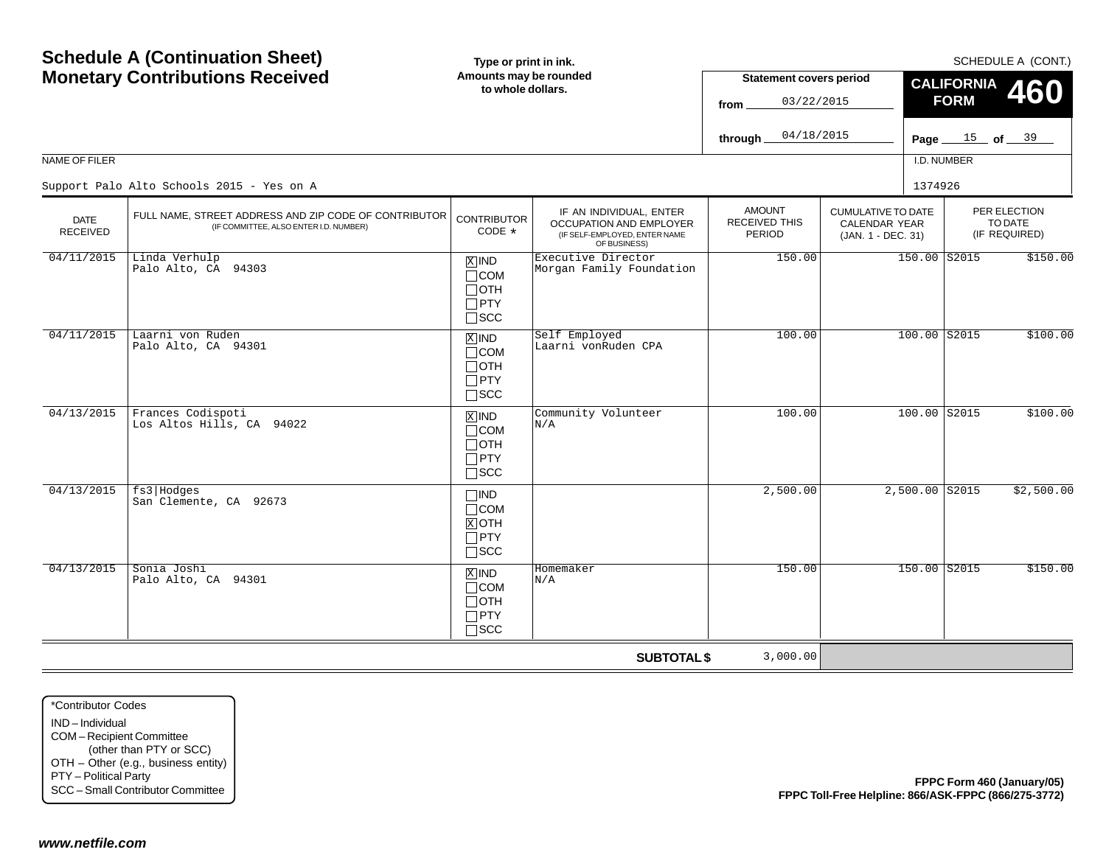|                                                                                                             | <b>Schedule A (Continuation Sheet)</b>                                                              | Type or print in ink.                                              |                                                                                                     |                                                        |                                                                         |                   | SCHEDULE A (CONT.)                       |
|-------------------------------------------------------------------------------------------------------------|-----------------------------------------------------------------------------------------------------|--------------------------------------------------------------------|-----------------------------------------------------------------------------------------------------|--------------------------------------------------------|-------------------------------------------------------------------------|-------------------|------------------------------------------|
|                                                                                                             | <b>Monetary Contributions Received</b>                                                              | Amounts may be rounded<br>to whole dollars.                        |                                                                                                     | <b>Statement covers period</b>                         |                                                                         | <b>CALIFORNIA</b> | 460                                      |
|                                                                                                             |                                                                                                     |                                                                    |                                                                                                     | 03/22/2015<br>from                                     |                                                                         | <b>FORM</b>       |                                          |
|                                                                                                             |                                                                                                     |                                                                    |                                                                                                     | 04/18/2015<br>through                                  | Page $\_$                                                               |                   | $\frac{15}{ }$ of $\frac{39}{ }$         |
| NAME OF FILER                                                                                               |                                                                                                     |                                                                    |                                                                                                     |                                                        |                                                                         | I.D. NUMBER       |                                          |
|                                                                                                             | Support Palo Alto Schools 2015 - Yes on A                                                           |                                                                    |                                                                                                     |                                                        |                                                                         | 1374926           |                                          |
| <b>DATE</b><br><b>RECEIVED</b>                                                                              | FULL NAME, STREET ADDRESS AND ZIP CODE OF CONTRIBUTOR<br>(IF COMMITTEE, ALSO ENTER I.D. NUMBER)     | <b>CONTRIBUTOR</b><br>CODE *                                       | IF AN INDIVIDUAL, ENTER<br>OCCUPATION AND EMPLOYER<br>(IF SELF-EMPLOYED, ENTER NAME<br>OF BUSINESS) | <b>AMOUNT</b><br><b>RECEIVED THIS</b><br><b>PERIOD</b> | <b>CUMULATIVE TO DATE</b><br><b>CALENDAR YEAR</b><br>(JAN. 1 - DEC. 31) |                   | PER ELECTION<br>TO DATE<br>(IF REQUIRED) |
| 04/11/2015                                                                                                  | Linda Verhulp<br>Palo Alto, CA 94303                                                                | $X$ IND<br>$\Box$ COM<br>$\Box$ OTH<br>$\Box$ PTY<br>$\Box$<br>SCC | Executive Director<br>Morgan Family Foundation                                                      | 150.00                                                 |                                                                         | 150.00 S2015      | \$150.00                                 |
| 04/11/2015                                                                                                  | Laarni von Ruden<br>Palo Alto, CA 94301                                                             | $X$ IND<br>$\Box$ COM<br>$\Box$ OTH<br>$\Box$ PTY<br>$\square$ SCC | Self Employed<br>Laarni vonRuden CPA                                                                | 100.00                                                 |                                                                         | 100.00 S2015      | \$100.00                                 |
| 04/13/2015                                                                                                  | Frances Codispoti<br>Los Altos Hills, CA 94022                                                      | $X$ IND<br>$\Box$ COM<br>$\Box$ OTH<br>$\Box$ PTY<br>$\square$ SCC | Community Volunteer<br>N/A                                                                          | 100.00                                                 |                                                                         | 100.00 S2015      | \$100.00                                 |
| 04/13/2015                                                                                                  | fs3 Hodges<br>San Clemente, CA 92673                                                                | $\Box$ IND<br>$\Box$ COM<br>$X$ OTH<br>$\Box$ PTY<br>$\square$ SCC |                                                                                                     | 2,500.00                                               |                                                                         | 2,500.00 S2015    | \$2,500.00                               |
| 04/13/2015                                                                                                  | Sonia Joshi<br>Palo Alto, CA 94301                                                                  | $X$ IND<br>$\Box$ COM<br>$\Box$ OTH<br>$\Box$ PTY<br>$\square$ SCC | Homemaker<br>N/A                                                                                    | 150.00                                                 |                                                                         | 150.00 S2015      | \$150.00                                 |
|                                                                                                             |                                                                                                     |                                                                    | <b>SUBTOTAL \$</b>                                                                                  | 3,000.00                                               |                                                                         |                   |                                          |
| *Contributor Codes<br>IND-Individual<br>COM-Recipient Committee<br>PTY - Political Party<br>www.netfile.com | (other than PTY or SCC)<br>OTH - Other (e.g., business entity)<br>SCC - Small Contributor Committee |                                                                    |                                                                                                     |                                                        | FPPC Toll-Free Helpline: 866/ASK-FPPC (866/275-3772)                    |                   | FPPC Form 460 (January/05)               |
|                                                                                                             |                                                                                                     |                                                                    |                                                                                                     |                                                        |                                                                         |                   |                                          |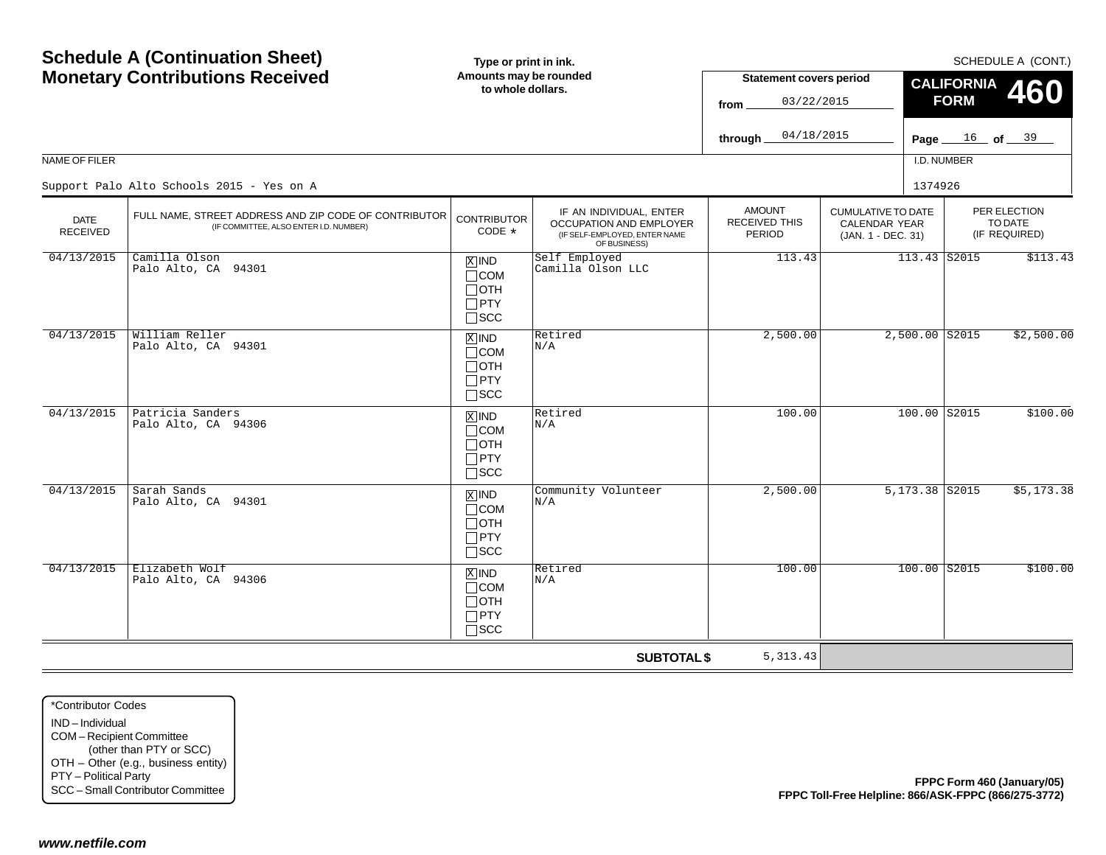|                                                                                                             | <b>Schedule A (Continuation Sheet)</b>                                                              | Type or print in ink.                                                             |                                                                                                     |                                                 |                                                                  |                   | SCHEDULE A (CONT.)                       |
|-------------------------------------------------------------------------------------------------------------|-----------------------------------------------------------------------------------------------------|-----------------------------------------------------------------------------------|-----------------------------------------------------------------------------------------------------|-------------------------------------------------|------------------------------------------------------------------|-------------------|------------------------------------------|
|                                                                                                             | <b>Monetary Contributions Received</b>                                                              | Amounts may be rounded<br>to whole dollars.                                       |                                                                                                     | <b>Statement covers period</b>                  |                                                                  | <b>CALIFORNIA</b> | <b>460</b>                               |
|                                                                                                             |                                                                                                     |                                                                                   |                                                                                                     | 03/22/2015<br>from                              |                                                                  | <b>FORM</b>       |                                          |
|                                                                                                             |                                                                                                     |                                                                                   |                                                                                                     | 04/18/2015<br>through                           |                                                                  |                   | <b>Page</b> $16$ of $39$                 |
| NAME OF FILER                                                                                               |                                                                                                     |                                                                                   |                                                                                                     |                                                 |                                                                  | I.D. NUMBER       |                                          |
|                                                                                                             | Support Palo Alto Schools 2015 - Yes on A                                                           |                                                                                   |                                                                                                     |                                                 | 1374926                                                          |                   |                                          |
| <b>DATE</b><br><b>RECEIVED</b>                                                                              | FULL NAME, STREET ADDRESS AND ZIP CODE OF CONTRIBUTOR<br>(IF COMMITTEE, ALSO ENTER I.D. NUMBER)     | <b>CONTRIBUTOR</b><br>CODE *                                                      | IF AN INDIVIDUAL, ENTER<br>OCCUPATION AND EMPLOYER<br>(IF SELF-EMPLOYED, ENTER NAME<br>OF BUSINESS) | <b>AMOUNT</b><br><b>RECEIVED THIS</b><br>PERIOD | <b>CUMULATIVE TO DATE</b><br>CALENDAR YEAR<br>(JAN. 1 - DEC. 31) |                   | PER ELECTION<br>TO DATE<br>(IF REQUIRED) |
| 04/13/2015                                                                                                  | Camilla Olson<br>Palo Alto, CA 94301                                                                | $X$ IND<br>$\Box$ COM<br>$\Box$ OTH<br>$\Box$ PTY<br>$\square$ SCC                | Self Employed<br>Camilla Olson LLC                                                                  | 113.43                                          |                                                                  | 113.43 S2015      | \$113.43                                 |
| 04/13/2015                                                                                                  | William Reller<br>Palo Alto, CA 94301                                                               | $X$ IND<br>$\Box$ COM<br>$\Box$ OTH<br>$\Box$ PTY<br>$\square$ SCC                | Retired<br>N/A                                                                                      | 2,500.00                                        | $2,500.00$ S2015                                                 |                   | \$2,500.00                               |
| 04/13/2015                                                                                                  | Patricia Sanders<br>Palo Alto, CA 94306                                                             | $X$ IND<br>$\Box$ COM<br>$\Box$ OTH<br>$\Box$ PTY<br>$\square$ SCC                | Retired<br>N/A                                                                                      | 100.00                                          |                                                                  | 100.00 S2015      | \$100.00                                 |
| 04/13/2015                                                                                                  | Sarah Sands<br>Palo Alto, CA 94301                                                                  | $\boxed{\text{X}}$ IND<br>$\Box$ COM<br>$\Box$ OTH<br>$\Box$ PTY<br>$\square$ SCC | Community Volunteer<br>N/A                                                                          | 2,500.00                                        | 5,173.38 S2015                                                   |                   | \$5,173.38                               |
| 04/13/2015                                                                                                  | Elizabeth Wolf<br>Palo Alto, CA 94306                                                               | $X$ IND<br>$\Box$ COM<br>$\Box$ OTH<br>$\Box$ PTY<br>$\square$ SCC                | Retired<br>N/A                                                                                      | 100.00                                          |                                                                  | $100.00$ $S2015$  | \$100.00                                 |
|                                                                                                             |                                                                                                     |                                                                                   | <b>SUBTOTAL \$</b>                                                                                  | 5, 313.43                                       |                                                                  |                   |                                          |
| *Contributor Codes<br>IND-Individual<br>COM-Recipient Committee<br>PTY - Political Party<br>www.netfile.com | (other than PTY or SCC)<br>OTH - Other (e.g., business entity)<br>SCC - Small Contributor Committee |                                                                                   |                                                                                                     |                                                 | FPPC Toll-Free Helpline: 866/ASK-FPPC (866/275-3772)             |                   | FPPC Form 460 (January/05)               |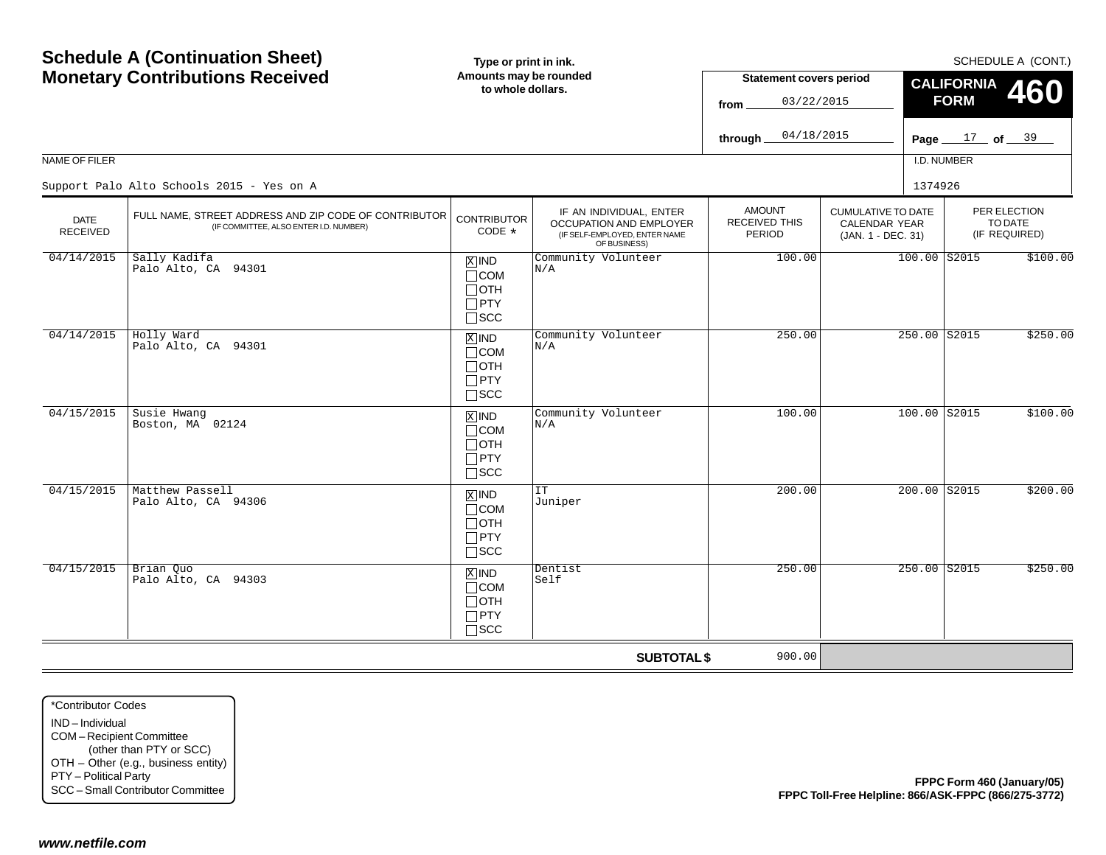|                                                                                                             | <b>Schedule A (Continuation Sheet)</b>                                                              | Type or print in ink.                                                             |                                                                                                     |                                                 |                                                                  |                   | SCHEDULE A (CONT.)                       |
|-------------------------------------------------------------------------------------------------------------|-----------------------------------------------------------------------------------------------------|-----------------------------------------------------------------------------------|-----------------------------------------------------------------------------------------------------|-------------------------------------------------|------------------------------------------------------------------|-------------------|------------------------------------------|
|                                                                                                             | <b>Monetary Contributions Received</b>                                                              | Amounts may be rounded<br>to whole dollars.                                       |                                                                                                     | <b>Statement covers period</b>                  |                                                                  | <b>CALIFORNIA</b> | <b>460</b>                               |
|                                                                                                             |                                                                                                     |                                                                                   |                                                                                                     | 03/22/2015<br>from                              |                                                                  | <b>FORM</b>       |                                          |
|                                                                                                             |                                                                                                     |                                                                                   |                                                                                                     | 04/18/2015<br>through                           |                                                                  |                   | Page $17$ of $39$                        |
| NAME OF FILER                                                                                               |                                                                                                     |                                                                                   |                                                                                                     |                                                 |                                                                  | I.D. NUMBER       |                                          |
|                                                                                                             | Support Palo Alto Schools 2015 - Yes on A                                                           |                                                                                   |                                                                                                     |                                                 | 1374926                                                          |                   |                                          |
| <b>DATE</b><br><b>RECEIVED</b>                                                                              | FULL NAME, STREET ADDRESS AND ZIP CODE OF CONTRIBUTOR<br>(IF COMMITTEE, ALSO ENTER I.D. NUMBER)     | <b>CONTRIBUTOR</b><br>CODE *                                                      | IF AN INDIVIDUAL, ENTER<br>OCCUPATION AND EMPLOYER<br>(IF SELF-EMPLOYED, ENTER NAME<br>OF BUSINESS) | <b>AMOUNT</b><br><b>RECEIVED THIS</b><br>PERIOD | <b>CUMULATIVE TO DATE</b><br>CALENDAR YEAR<br>(JAN. 1 - DEC. 31) |                   | PER ELECTION<br>TO DATE<br>(IF REQUIRED) |
| 04/14/2015                                                                                                  | Sally Kadifa<br>Palo Alto, CA 94301                                                                 | $X$ IND<br>$\Box$ COM<br>$\Box$ OTH<br>$\Box$ PTY<br>$\square$ SCC                | Community Volunteer<br>N/A                                                                          | 100.00                                          | $100.00$ S2015                                                   |                   | \$100.00                                 |
| 04/14/2015                                                                                                  | Holly Ward<br>Palo Alto, CA 94301                                                                   | $X$ IND<br>$\Box$ COM<br>$\Box$ OTH<br>$\Box$ PTY<br>$\square$ SCC                | Community Volunteer<br>N/A                                                                          | 250.00                                          |                                                                  | 250.00 S2015      | \$250.00                                 |
| 04/15/2015                                                                                                  | Susie Hwanq<br>Boston, MA 02124                                                                     | $X$ IND<br>$\Box$ COM<br>$\Box$ OTH<br>$\Box$ PTY<br>$\square$ SCC                | Community Volunteer<br>N/A                                                                          | 100.00                                          | 100.00 S2015                                                     |                   | \$100.00                                 |
| 04/15/2015                                                                                                  | Matthew Passell<br>Palo Alto, CA 94306                                                              | $\boxed{\text{X}}$ IND<br>$\Box$ COM<br>$\Box$ OTH<br>$\Box$ PTY<br>$\square$ SCC | IT<br>Juniper                                                                                       | 200.00                                          |                                                                  | 200.00 S2015      | \$200.00                                 |
| 04/15/2015                                                                                                  | Brian Quo<br>Palo Alto, CA 94303                                                                    | $X$ IND<br>$\Box$ COM<br>$\Box$ OTH<br>$\Box$ PTY<br>$\Box$ scc                   | Dentist<br>Self                                                                                     | 250.00                                          |                                                                  | $250.00$ S2015    | \$250.00                                 |
|                                                                                                             |                                                                                                     |                                                                                   | <b>SUBTOTAL \$</b>                                                                                  | 900.00                                          |                                                                  |                   |                                          |
| *Contributor Codes<br>IND-Individual<br>COM-Recipient Committee<br>PTY - Political Party<br>www.netfile.com | (other than PTY or SCC)<br>OTH - Other (e.g., business entity)<br>SCC - Small Contributor Committee |                                                                                   |                                                                                                     |                                                 | FPPC Toll-Free Helpline: 866/ASK-FPPC (866/275-3772)             |                   | FPPC Form 460 (January/05)               |
|                                                                                                             |                                                                                                     |                                                                                   |                                                                                                     |                                                 |                                                                  |                   |                                          |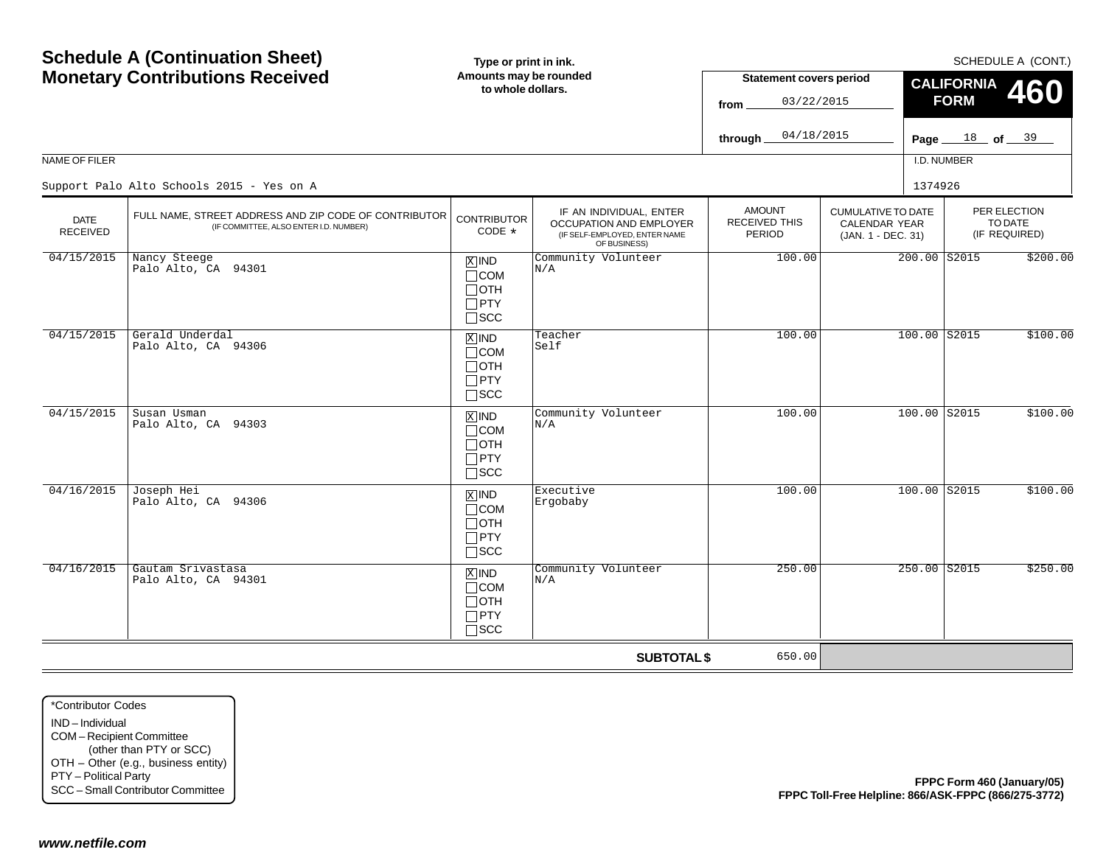| NAME OF FILER                                                                                                                                                                           | <b>Schedule A (Continuation Sheet)</b><br><b>Monetary Contributions Received</b>                | Type or print in ink.<br>Amounts may be rounded<br>to whole dollars. |                                                                                                     | <b>Statement covers period</b>                  |                                                                         | <b>CALIFORNIA</b>          |                                          | SCHEDULE A (CONT.) |
|-----------------------------------------------------------------------------------------------------------------------------------------------------------------------------------------|-------------------------------------------------------------------------------------------------|----------------------------------------------------------------------|-----------------------------------------------------------------------------------------------------|-------------------------------------------------|-------------------------------------------------------------------------|----------------------------|------------------------------------------|--------------------|
|                                                                                                                                                                                         |                                                                                                 |                                                                      |                                                                                                     | from                                            | 03/22/2015                                                              | <b>FORM</b>                |                                          | 460                |
|                                                                                                                                                                                         |                                                                                                 |                                                                      |                                                                                                     | 04/18/2015<br>through                           |                                                                         | Page $18$ of $39$          |                                          |                    |
|                                                                                                                                                                                         |                                                                                                 |                                                                      |                                                                                                     |                                                 |                                                                         | I.D. NUMBER                |                                          |                    |
|                                                                                                                                                                                         | Support Palo Alto Schools 2015 - Yes on A                                                       |                                                                      |                                                                                                     |                                                 |                                                                         | 1374926                    |                                          |                    |
| <b>DATE</b><br><b>RECEIVED</b>                                                                                                                                                          | FULL NAME, STREET ADDRESS AND ZIP CODE OF CONTRIBUTOR<br>(IF COMMITTEE, ALSO ENTER I.D. NUMBER) | <b>CONTRIBUTOR</b><br>CODE *                                         | IF AN INDIVIDUAL, ENTER<br>OCCUPATION AND EMPLOYER<br>(IF SELF-EMPLOYED, ENTER NAME<br>OF BUSINESS) | <b>AMOUNT</b><br><b>RECEIVED THIS</b><br>PERIOD | <b>CUMULATIVE TO DATE</b><br><b>CALENDAR YEAR</b><br>(JAN. 1 - DEC. 31) |                            | PER ELECTION<br>TO DATE<br>(IF REQUIRED) |                    |
| 04/15/2015                                                                                                                                                                              | Nancy Steege<br>Palo Alto, CA 94301                                                             | $X$ IND<br>$\Box$ COM<br>$\Box$ OTH<br>$\Box$ PTY<br>$\square$ SCC   | Community Volunteer<br>N/A                                                                          | 100.00                                          |                                                                         | 200.00 S2015               |                                          | \$200.00           |
| 04/15/2015                                                                                                                                                                              | Gerald Underdal<br>Palo Alto, CA 94306                                                          | $X$ IND<br>$\Box$ COM<br>$\Box$ OTH<br>$\Box$ PTY<br>$\square$ SCC   | Teacher<br>Self                                                                                     | 100.00                                          |                                                                         | 100.00 S2015               |                                          | \$100.00           |
| 04/15/2015                                                                                                                                                                              | Susan Usman<br>Palo Alto, CA 94303                                                              | $X$ IND<br>$\Box$ COM<br>$\Box$ OTH<br>$\Box$ PTY<br>$\square$ SCC   | Community Volunteer<br>N/A                                                                          | 100.00                                          |                                                                         | 100.00 S2015               |                                          | \$100.00           |
| 04/16/2015                                                                                                                                                                              | Joseph Hei<br>Palo Alto, CA 94306                                                               | $X$ IND<br>$\Box$ COM<br>$\Box$ OTH<br>$\Box$ PTY<br>$\square$ SCC   | Executive<br>Ergobaby                                                                               | 100.00                                          |                                                                         | $100.00$ S2015             |                                          | \$100.00           |
| 04/16/2015                                                                                                                                                                              | Gautam Srivastasa<br>Palo Alto, CA 94301                                                        | $X$ IND<br>$\Box$ COM<br>$\Box$ OTH<br>$\Box$ PTY<br>$\Box$<br>SCC   | Community Volunteer<br>N/A                                                                          | 250.00                                          |                                                                         | 250.00 S2015               |                                          | \$250.00           |
|                                                                                                                                                                                         |                                                                                                 |                                                                      | <b>SUBTOTAL \$</b>                                                                                  | 650.00                                          |                                                                         |                            |                                          |                    |
| *Contributor Codes<br>IND-Individual<br>COM-Recipient Committee<br>OTH - Other (e.g., business entity)<br>PTY - Political Party<br>SCC - Small Contributor Committee<br>www.netfile.com | (other than PTY or SCC)                                                                         |                                                                      |                                                                                                     |                                                 | FPPC Toll-Free Helpline: 866/ASK-FPPC (866/275-3772)                    | FPPC Form 460 (January/05) |                                          |                    |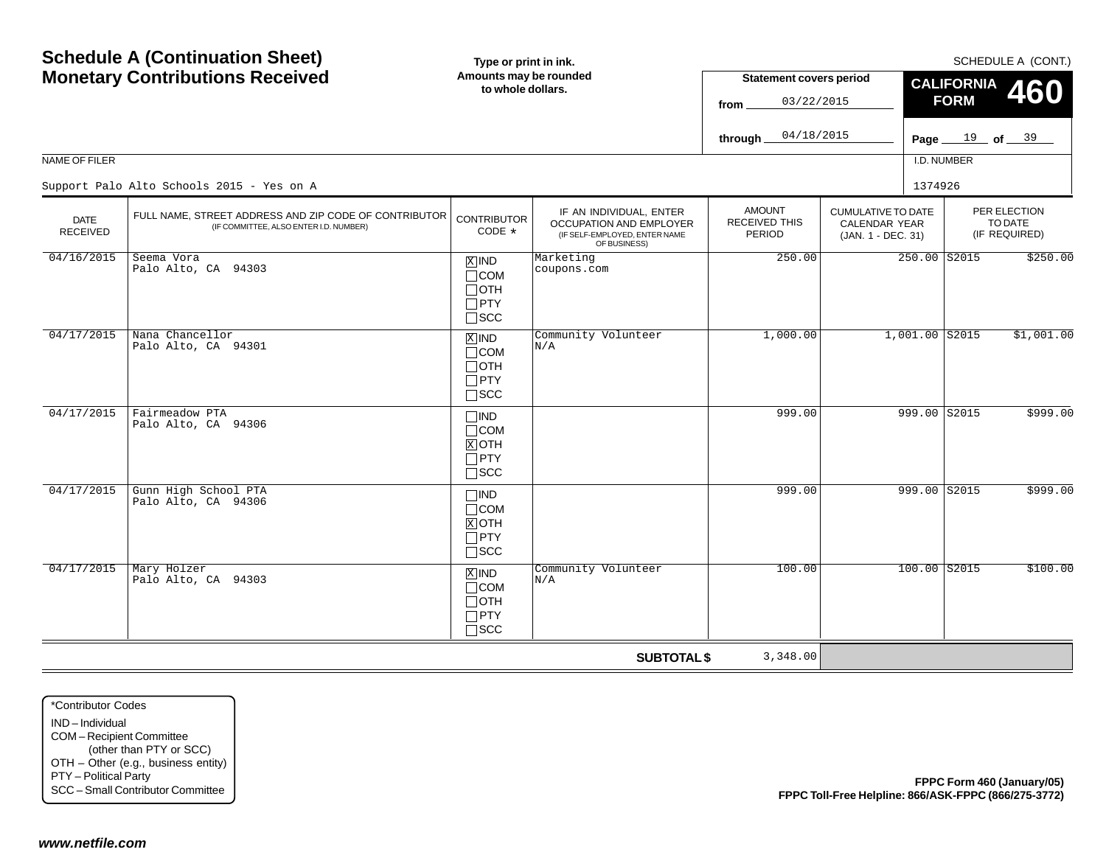|                                                                                                             | <b>Schedule A (Continuation Sheet)</b>                                                              | Type or print in ink.                                              |                                                                                                     |                                                 |                                                                         |                  |                                  |                                          | SCHEDULE A (CONT.) |
|-------------------------------------------------------------------------------------------------------------|-----------------------------------------------------------------------------------------------------|--------------------------------------------------------------------|-----------------------------------------------------------------------------------------------------|-------------------------------------------------|-------------------------------------------------------------------------|------------------|----------------------------------|------------------------------------------|--------------------|
|                                                                                                             | <b>Monetary Contributions Received</b>                                                              | Amounts may be rounded<br>to whole dollars.                        |                                                                                                     | <b>Statement covers period</b>                  |                                                                         |                  | <b>CALIFORNIA</b><br><b>FORM</b> |                                          | <b>460</b>         |
|                                                                                                             |                                                                                                     |                                                                    |                                                                                                     | 03/22/2015<br>from                              |                                                                         |                  |                                  |                                          |                    |
|                                                                                                             |                                                                                                     |                                                                    |                                                                                                     | 04/18/2015<br>through                           |                                                                         |                  | Page $19$ of $39$                |                                          |                    |
| NAME OF FILER                                                                                               |                                                                                                     |                                                                    |                                                                                                     |                                                 |                                                                         | I.D. NUMBER      |                                  |                                          |                    |
|                                                                                                             | Support Palo Alto Schools 2015 - Yes on A                                                           |                                                                    |                                                                                                     |                                                 |                                                                         | 1374926          |                                  |                                          |                    |
| <b>DATE</b><br><b>RECEIVED</b>                                                                              | FULL NAME, STREET ADDRESS AND ZIP CODE OF CONTRIBUTOR<br>(IF COMMITTEE, ALSO ENTER I.D. NUMBER)     | <b>CONTRIBUTOR</b><br>CODE *                                       | IF AN INDIVIDUAL, ENTER<br>OCCUPATION AND EMPLOYER<br>(IF SELF-EMPLOYED, ENTER NAME<br>OF BUSINESS) | <b>AMOUNT</b><br><b>RECEIVED THIS</b><br>PERIOD | <b>CUMULATIVE TO DATE</b><br><b>CALENDAR YEAR</b><br>(JAN. 1 - DEC. 31) |                  |                                  | PER ELECTION<br>TO DATE<br>(IF REQUIRED) |                    |
| 04/16/2015                                                                                                  | Seema Vora<br>Palo Alto, CA 94303                                                                   | $X$ IND<br>$\Box$ COM<br>$\Box$ OTH<br>$\Box$ PTY<br>$\square$ SCC | Marketing<br>coupons.com                                                                            | 250.00                                          |                                                                         | 250.00 S2015     |                                  |                                          | \$250.00           |
| 04/17/2015                                                                                                  | Nana Chancellor<br>Palo Alto, CA 94301                                                              | $X$ IND<br>$\Box$ COM<br>$\Box$ OTH<br>$\Box$ PTY<br>$\Box$<br>SCC | Community Volunteer<br>N/A                                                                          | 1,000.00                                        |                                                                         | $1,001.00$ S2015 |                                  |                                          | \$1,001.00         |
| 04/17/2015                                                                                                  | Fairmeadow PTA<br>Palo Alto, CA 94306                                                               | $\Box$ IND<br>$\Box$ COM<br>$X$ OTH<br>$\Box$ PTY<br>$\square$ SCC |                                                                                                     | 999.00                                          |                                                                         | 999.00 S2015     |                                  |                                          | \$999.00           |
| 04/17/2015                                                                                                  | Gunn High School PTA<br>Palo Alto, CA 94306                                                         | $\Box$ IND<br>$\Box$ COM<br>$X$ OTH<br>$\Box$ PTY<br>$\square$ SCC |                                                                                                     | 999.00                                          |                                                                         | 999.00 S2015     |                                  |                                          | \$999.00           |
| 04/17/2015                                                                                                  | Mary Holzer<br>Palo Alto, CA 94303                                                                  | $X$ IND<br>$\Box$ COM<br>$\Box$ OTH<br>$\Box$ PTY<br>$\square$ SCC | Community Volunteer<br>N/A                                                                          | 100.00                                          |                                                                         | $100.00$ $S2015$ |                                  |                                          | \$100.00           |
|                                                                                                             |                                                                                                     |                                                                    | <b>SUBTOTAL \$</b>                                                                                  | 3,348.00                                        |                                                                         |                  |                                  |                                          |                    |
| *Contributor Codes<br>IND-Individual<br>COM-Recipient Committee<br>PTY - Political Party<br>www.netfile.com | (other than PTY or SCC)<br>OTH - Other (e.g., business entity)<br>SCC - Small Contributor Committee |                                                                    |                                                                                                     |                                                 | FPPC Toll-Free Helpline: 866/ASK-FPPC (866/275-3772)                    |                  | FPPC Form 460 (January/05)       |                                          |                    |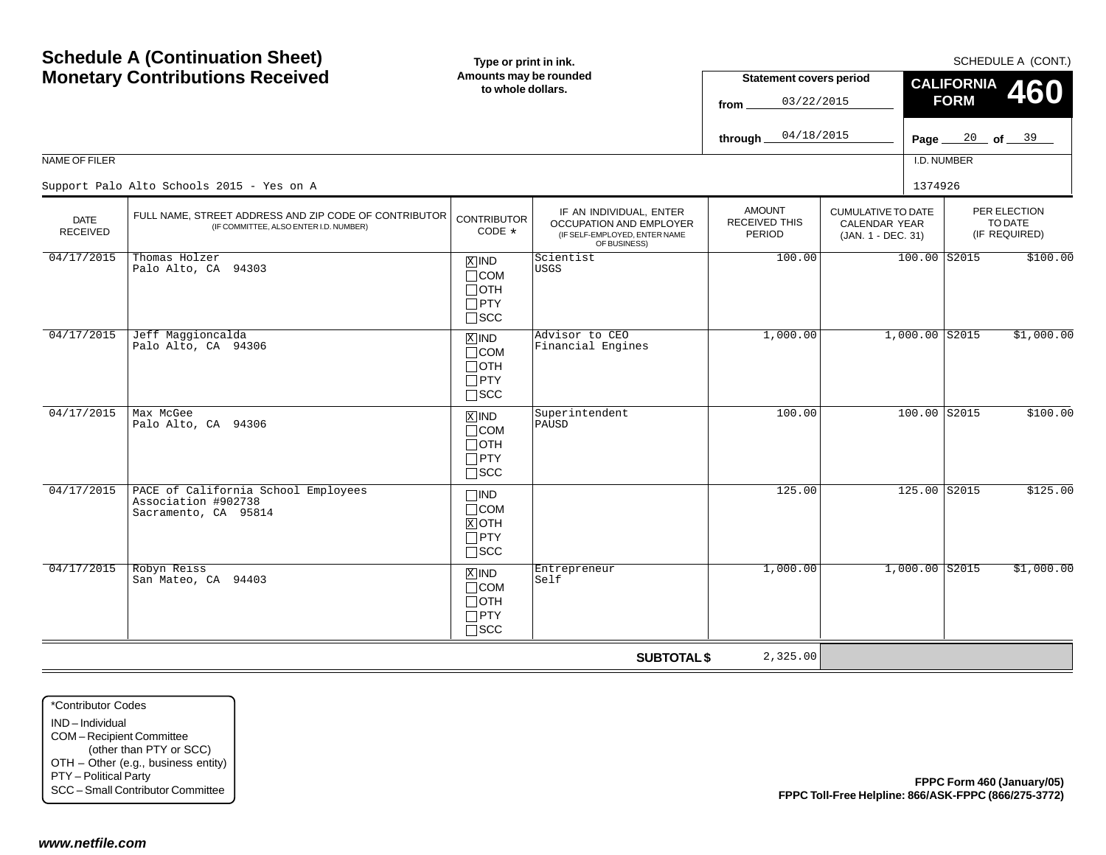|                                                                                                             | <b>Schedule A (Continuation Sheet)</b>                                                              | Type or print in ink.                                              |                                                                                                     | SCHEDULE A (CONT.)                                   |                                                                         |                                                |                  |                                                  |                            |
|-------------------------------------------------------------------------------------------------------------|-----------------------------------------------------------------------------------------------------|--------------------------------------------------------------------|-----------------------------------------------------------------------------------------------------|------------------------------------------------------|-------------------------------------------------------------------------|------------------------------------------------|------------------|--------------------------------------------------|----------------------------|
|                                                                                                             | <b>Monetary Contributions Received</b>                                                              | Amounts may be rounded<br>to whole dollars.                        |                                                                                                     | <b>Statement covers period</b><br>03/22/2015<br>from |                                                                         | <b>CALIFORNIA</b><br><b>460</b><br><b>FORM</b> |                  |                                                  |                            |
|                                                                                                             |                                                                                                     |                                                                    |                                                                                                     | 04/18/2015<br>through                                |                                                                         | Page $\equiv$                                  |                  | $\frac{20}{\text{of}}$ of $\frac{39}{\text{of}}$ |                            |
| NAME OF FILER                                                                                               |                                                                                                     |                                                                    |                                                                                                     |                                                      |                                                                         | I.D. NUMBER                                    |                  |                                                  |                            |
|                                                                                                             | Support Palo Alto Schools 2015 - Yes on A                                                           |                                                                    |                                                                                                     |                                                      |                                                                         | 1374926                                        |                  |                                                  |                            |
| <b>DATE</b><br><b>RECEIVED</b>                                                                              | FULL NAME, STREET ADDRESS AND ZIP CODE OF CONTRIBUTOR<br>(IF COMMITTEE, ALSO ENTER I.D. NUMBER)     | <b>CONTRIBUTOR</b><br>CODE *                                       | IF AN INDIVIDUAL, ENTER<br>OCCUPATION AND EMPLOYER<br>(IF SELF-EMPLOYED, ENTER NAME<br>OF BUSINESS) | <b>AMOUNT</b><br><b>RECEIVED THIS</b><br>PERIOD      | <b>CUMULATIVE TO DATE</b><br><b>CALENDAR YEAR</b><br>(JAN. 1 - DEC. 31) |                                                |                  | PER ELECTION<br>TO DATE<br>(IF REQUIRED)         |                            |
| 04/17/2015                                                                                                  | Thomas Holzer<br>Palo Alto, CA 94303                                                                | $X$ IND<br>$\Box$ COM<br>$\Box$ OTH<br>$\Box$ PTY<br>$\square$ SCC | Scientist<br><b>USGS</b>                                                                            | 100.00                                               |                                                                         |                                                | $100.00$ S2015   |                                                  | \$100.00                   |
| 04/17/2015                                                                                                  | Jeff Maggioncalda<br>Palo Alto, CA 94306                                                            | $X$ IND<br>$\Box$ COM<br>$\Box$ OTH<br>$\Box$ PTY<br>$\square$ SCC | Advisor to CEO<br>Financial Engines                                                                 | 1,000.00                                             |                                                                         |                                                | $1,000.00$ S2015 |                                                  | \$1,000.00                 |
| 04/17/2015                                                                                                  | Max McGee<br>Palo Alto, CA 94306                                                                    | $X$ IND<br>$\Box$ COM<br>$\Box$ OTH<br>$\Box$ PTY<br>$\square$ SCC | Superintendent<br>PAUSD                                                                             | 100.00                                               |                                                                         |                                                | 100.00 S2015     |                                                  | \$100.00                   |
| 04/17/2015                                                                                                  | PACE of California School Employees<br>Association #902738<br>Sacramento, CA 95814                  | $\Box$ IND<br>$\Box$ COM<br>$X$ OTH<br>$\Box$ PTY<br>$\square$ SCC |                                                                                                     | 125.00                                               |                                                                         |                                                | 125.00 S2015     |                                                  | \$125.00                   |
| 04/17/2015                                                                                                  | Robyn Reiss<br>San Mateo, CA 94403                                                                  | $X$ IND<br>$\Box$ COM<br>$\Box$ OTH<br>$\Box$ PTY<br>$\square$ SCC | Entrepreneur<br>Self                                                                                | 1,000.00                                             |                                                                         |                                                | $1,000.00$ S2015 |                                                  | \$1,000.00                 |
|                                                                                                             |                                                                                                     |                                                                    | <b>SUBTOTAL \$</b>                                                                                  | 2,325.00                                             |                                                                         |                                                |                  |                                                  |                            |
| *Contributor Codes<br>IND-Individual<br>COM-Recipient Committee<br>PTY - Political Party<br>www.netfile.com | (other than PTY or SCC)<br>OTH - Other (e.g., business entity)<br>SCC - Small Contributor Committee |                                                                    |                                                                                                     |                                                      | FPPC Toll-Free Helpline: 866/ASK-FPPC (866/275-3772)                    |                                                |                  |                                                  | FPPC Form 460 (January/05) |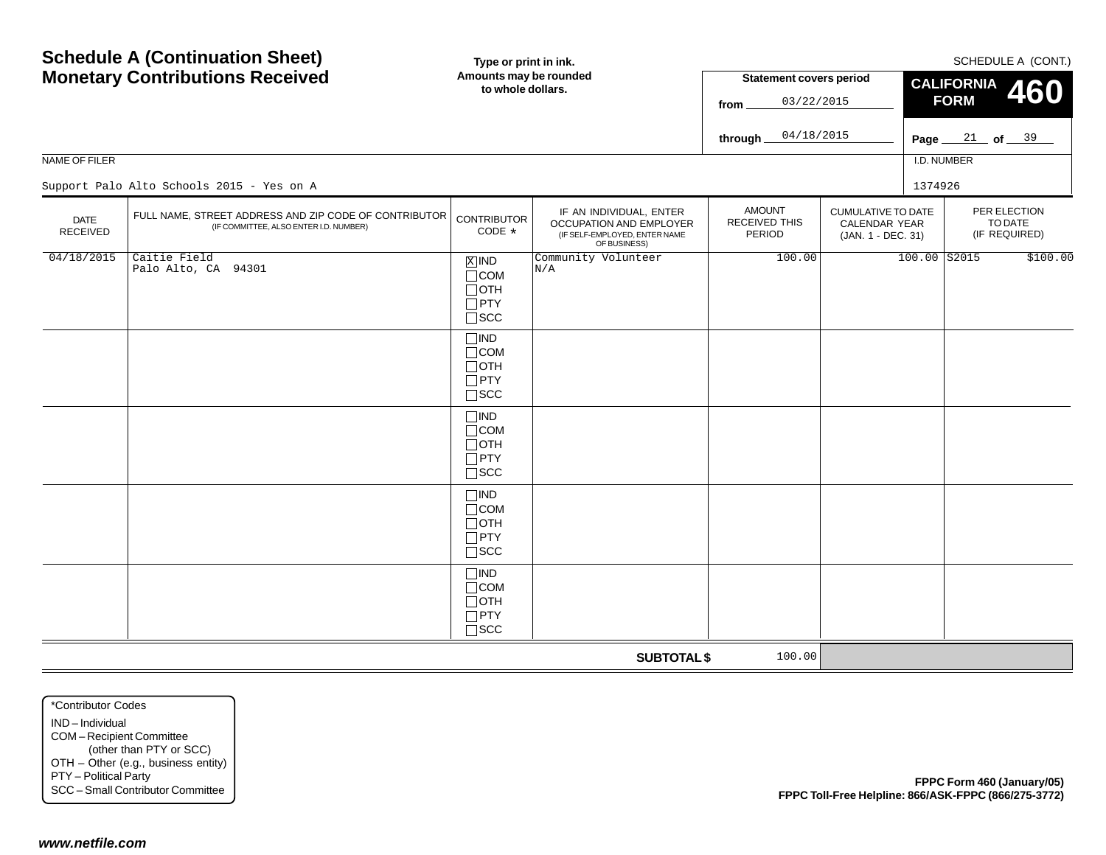|                                                                                                             | <b>Schedule A (Continuation Sheet)</b>                                                              | Type or print in ink.                                                 |                                                                                                     |                                          |                                                                  |                   | SCHEDULE A (CONT.)                       |  |
|-------------------------------------------------------------------------------------------------------------|-----------------------------------------------------------------------------------------------------|-----------------------------------------------------------------------|-----------------------------------------------------------------------------------------------------|------------------------------------------|------------------------------------------------------------------|-------------------|------------------------------------------|--|
|                                                                                                             | <b>Monetary Contributions Received</b>                                                              | Amounts may be rounded                                                |                                                                                                     | <b>Statement covers period</b>           |                                                                  | <b>CALIFORNIA</b> |                                          |  |
|                                                                                                             |                                                                                                     | to whole dollars.                                                     |                                                                                                     |                                          |                                                                  |                   | <b>460</b>                               |  |
|                                                                                                             |                                                                                                     |                                                                       |                                                                                                     | 04/18/2015                               |                                                                  |                   |                                          |  |
|                                                                                                             |                                                                                                     |                                                                       |                                                                                                     | through                                  |                                                                  | Page $\equiv$     | $\frac{21}{ }$ of $\frac{39}{ }$         |  |
| NAME OF FILER                                                                                               |                                                                                                     |                                                                       |                                                                                                     |                                          |                                                                  | I.D. NUMBER       |                                          |  |
|                                                                                                             | Support Palo Alto Schools 2015 - Yes on A                                                           |                                                                       |                                                                                                     |                                          |                                                                  | 1374926           |                                          |  |
| <b>DATE</b><br>RECEIVED                                                                                     | FULL NAME, STREET ADDRESS AND ZIP CODE OF CONTRIBUTOR<br>(IF COMMITTEE, ALSO ENTER I.D. NUMBER)     | <b>CONTRIBUTOR</b><br>CODE *                                          | IF AN INDIVIDUAL, ENTER<br>OCCUPATION AND EMPLOYER<br>(IF SELF-EMPLOYED, ENTER NAME<br>OF BUSINESS) | <b>AMOUNT</b><br>RECEIVED THIS<br>PERIOD | <b>CUMULATIVE TO DATE</b><br>CALENDAR YEAR<br>(JAN. 1 - DEC. 31) |                   | PER ELECTION<br>TO DATE<br>(IF REQUIRED) |  |
| 04/18/2015                                                                                                  | Caitie Field<br>Palo Alto, CA 94301                                                                 | $X$ IND<br>$\Box$ COM<br>$\Box$ OTH<br>$\Box$ PTY<br>$\square$ SCC    | Community Volunteer<br>N/A                                                                          | 100.00                                   |                                                                  | $100.00$ S2015    | \$100.00                                 |  |
|                                                                                                             |                                                                                                     | $\Box$ IND<br>$\Box$ COM<br>$\Box$ OTH<br>$\Box$ PTY<br>$\square$ SCC |                                                                                                     |                                          |                                                                  |                   |                                          |  |
|                                                                                                             |                                                                                                     | $\Box$ IND<br>$\Box$ COM<br>$\Box$ OTH<br>$\Box$ PTY<br>$\square$ SCC |                                                                                                     |                                          |                                                                  |                   |                                          |  |
|                                                                                                             |                                                                                                     | $\Box$ IND<br>$\Box$ COM<br>$\Box$ OTH<br>$\Box$ PTY<br>$\square$ SCC |                                                                                                     |                                          |                                                                  |                   |                                          |  |
|                                                                                                             |                                                                                                     | $\Box$ IND<br>$\Box$ COM<br>$\Box$ OTH<br>$\Box$ PTY<br>$\square$ SCC |                                                                                                     |                                          |                                                                  |                   |                                          |  |
|                                                                                                             |                                                                                                     |                                                                       | <b>SUBTOTAL \$</b>                                                                                  | 100.00                                   |                                                                  |                   |                                          |  |
| *Contributor Codes<br>IND-Individual<br>COM-Recipient Committee<br>PTY - Political Party<br>www.netfile.com | (other than PTY or SCC)<br>OTH - Other (e.g., business entity)<br>SCC - Small Contributor Committee |                                                                       |                                                                                                     |                                          | FPPC Toll-Free Helpline: 866/ASK-FPPC (866/275-3772)             |                   | FPPC Form 460 (January/05)               |  |
|                                                                                                             |                                                                                                     |                                                                       |                                                                                                     |                                          |                                                                  |                   |                                          |  |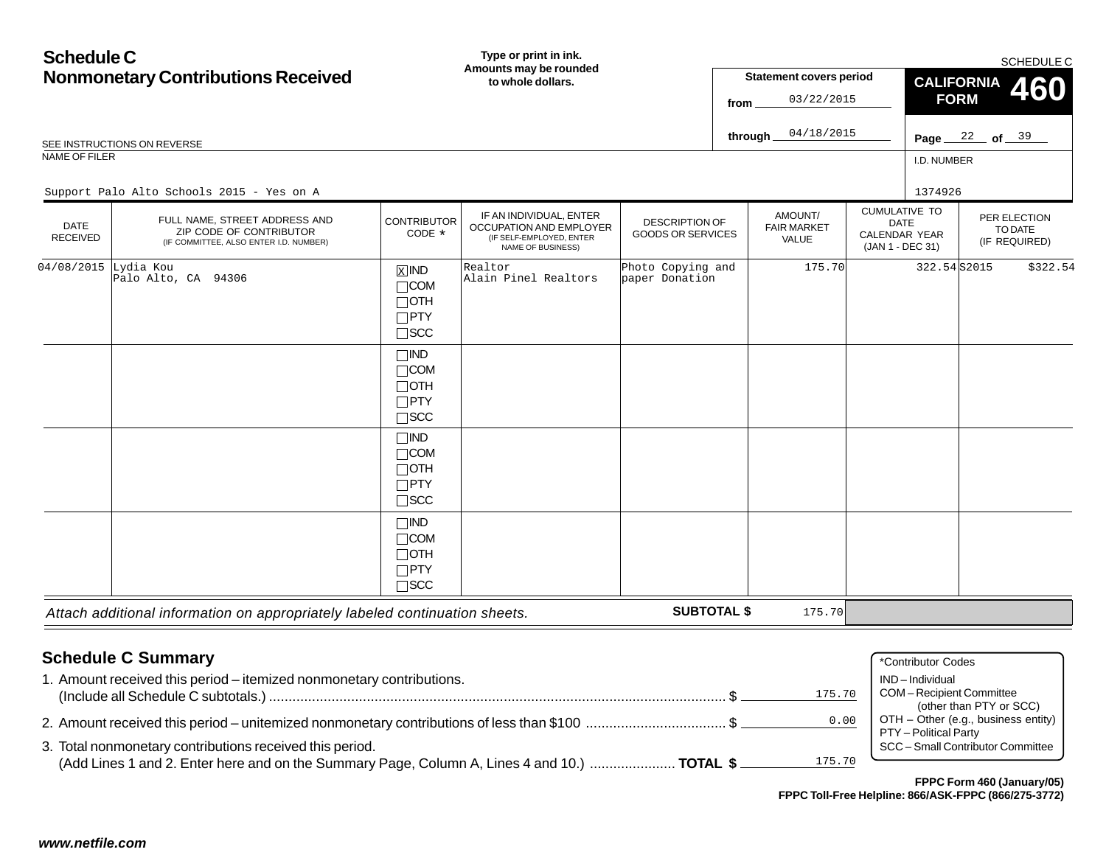| <b>Schedule C</b>       |                                                                                                                                                                                                                                                               |                                                                       | Type or print in ink.                                                                               |                                                   |          |                                        |                                                                                                 | SCHEDULE C                                                                                          |
|-------------------------|---------------------------------------------------------------------------------------------------------------------------------------------------------------------------------------------------------------------------------------------------------------|-----------------------------------------------------------------------|-----------------------------------------------------------------------------------------------------|---------------------------------------------------|----------|----------------------------------------|-------------------------------------------------------------------------------------------------|-----------------------------------------------------------------------------------------------------|
|                         | <b>Nonmonetary Contributions Received</b>                                                                                                                                                                                                                     |                                                                       | Amounts may be rounded<br><b>Statement covers period</b><br>to whole dollars.                       |                                                   |          |                                        | <b>CALIFORNIA</b>                                                                               | 460                                                                                                 |
|                         |                                                                                                                                                                                                                                                               |                                                                       |                                                                                                     |                                                   | from     | 03/22/2015                             | <b>FORM</b>                                                                                     |                                                                                                     |
|                         | SEE INSTRUCTIONS ON REVERSE                                                                                                                                                                                                                                   |                                                                       |                                                                                                     |                                                   | through_ | 04/18/2015                             |                                                                                                 | Page $22$ of $39$                                                                                   |
| NAME OF FILER           |                                                                                                                                                                                                                                                               |                                                                       |                                                                                                     |                                                   |          |                                        | I.D. NUMBER                                                                                     |                                                                                                     |
|                         | Support Palo Alto Schools 2015 - Yes on A                                                                                                                                                                                                                     |                                                                       |                                                                                                     |                                                   |          |                                        | 1374926                                                                                         |                                                                                                     |
| DATE<br><b>RECEIVED</b> | FULL NAME. STREET ADDRESS AND<br>ZIP CODE OF CONTRIBUTOR<br>(IF COMMITTEE, ALSO ENTER I.D. NUMBER)                                                                                                                                                            | <b>CONTRIBUTOR</b><br>CODE *                                          | IF AN INDIVIDUAL, ENTER<br>OCCUPATION AND EMPLOYER<br>(IF SELF-EMPLOYED, ENTER<br>NAME OF BUSINESS) | <b>DESCRIPTION OF</b><br><b>GOODS OR SERVICES</b> |          | AMOUNT/<br><b>FAIR MARKET</b><br>VALUE | <b>CUMULATIVE TO</b><br><b>DATE</b><br><b>CALENDAR YEAR</b><br>(JAN 1 - DEC 31)                 | PER ELECTION<br>TO DATE<br>(IF REQUIRED)                                                            |
| 04/08/2015              | Lydia Kou<br>Palo Alto, CA 94306                                                                                                                                                                                                                              | $X$ IND<br>$\Box$ COM<br>$\Box$ oth<br>$\Box$ PTY<br>$\square$ SCC    | Realtor<br>Alain Pinel Realtors                                                                     | Photo Copying and<br>paper Donation               |          | 175.70                                 | 322.54S2015                                                                                     | \$322.54                                                                                            |
|                         |                                                                                                                                                                                                                                                               | $\Box$ IND<br>$\Box$ COM<br>$\Box$ OTH<br>$\Box$ PTY<br>$\square$ SCC |                                                                                                     |                                                   |          |                                        |                                                                                                 |                                                                                                     |
|                         |                                                                                                                                                                                                                                                               | $\Box$ IND<br>$\Box$ COM<br>$\Box$ OTH<br>$\Box$ PTY<br>$\square$ SCC |                                                                                                     |                                                   |          |                                        |                                                                                                 |                                                                                                     |
|                         |                                                                                                                                                                                                                                                               | $\Box$ IND<br>$\Box$ COM<br>$\Box$ OTH<br>$\Box$ PTY<br>$\Box$ SCC    |                                                                                                     |                                                   |          |                                        |                                                                                                 |                                                                                                     |
|                         | Attach additional information on appropriately labeled continuation sheets.                                                                                                                                                                                   |                                                                       |                                                                                                     | <b>SUBTOTAL \$</b>                                |          | 175.70                                 |                                                                                                 |                                                                                                     |
|                         | <b>Schedule C Summary</b><br>1. Amount received this period – itemized nonmonetary contributions.<br>3. Total nonmonetary contributions received this period.<br>(Add Lines 1 and 2. Enter here and on the Summary Page, Column A, Lines 4 and 10.)  TOTAL \$ |                                                                       |                                                                                                     |                                                   |          | 175.70<br>0.00<br>175.70               | *Contributor Codes<br>IND-Individual<br><b>COM-Recipient Committee</b><br>PTY - Political Party | (other than PTY or SCC)<br>OTH - Other (e.g., business entity)<br>SCC - Small Contributor Committee |
|                         |                                                                                                                                                                                                                                                               |                                                                       |                                                                                                     |                                                   |          |                                        |                                                                                                 | FPPC Form 460 (January/05)<br>FPPC Toll-Free Helpline: 866/ASK-FPPC (866/275-3772)                  |
|                         |                                                                                                                                                                                                                                                               |                                                                       |                                                                                                     |                                                   |          |                                        |                                                                                                 |                                                                                                     |
| www.netfile.com         |                                                                                                                                                                                                                                                               |                                                                       |                                                                                                     |                                                   |          |                                        |                                                                                                 |                                                                                                     |

| 1. Amount received this period – itemized nonmonetary contributions.                         |        | IND – Individual                    |
|----------------------------------------------------------------------------------------------|--------|-------------------------------------|
|                                                                                              | 175.70 | COM - Recipient Committee           |
|                                                                                              |        | (other than PTY or SCC)             |
| 2. Amount received this period – unitemized nonmonetary contributions of less than \$100 \$  | 0.00   | OTH – Other (e.g., business entity) |
|                                                                                              |        | PTY – Political Party               |
| 3. Total nonmonetary contributions received this period.                                     |        | SCC - Small Contributor Committee   |
| (Add Lines 1 and 2. Enter here and on the Summary Page, Column A, Lines 4 and 10.)  TOTAL \$ | 175.70 |                                     |
|                                                                                              |        |                                     |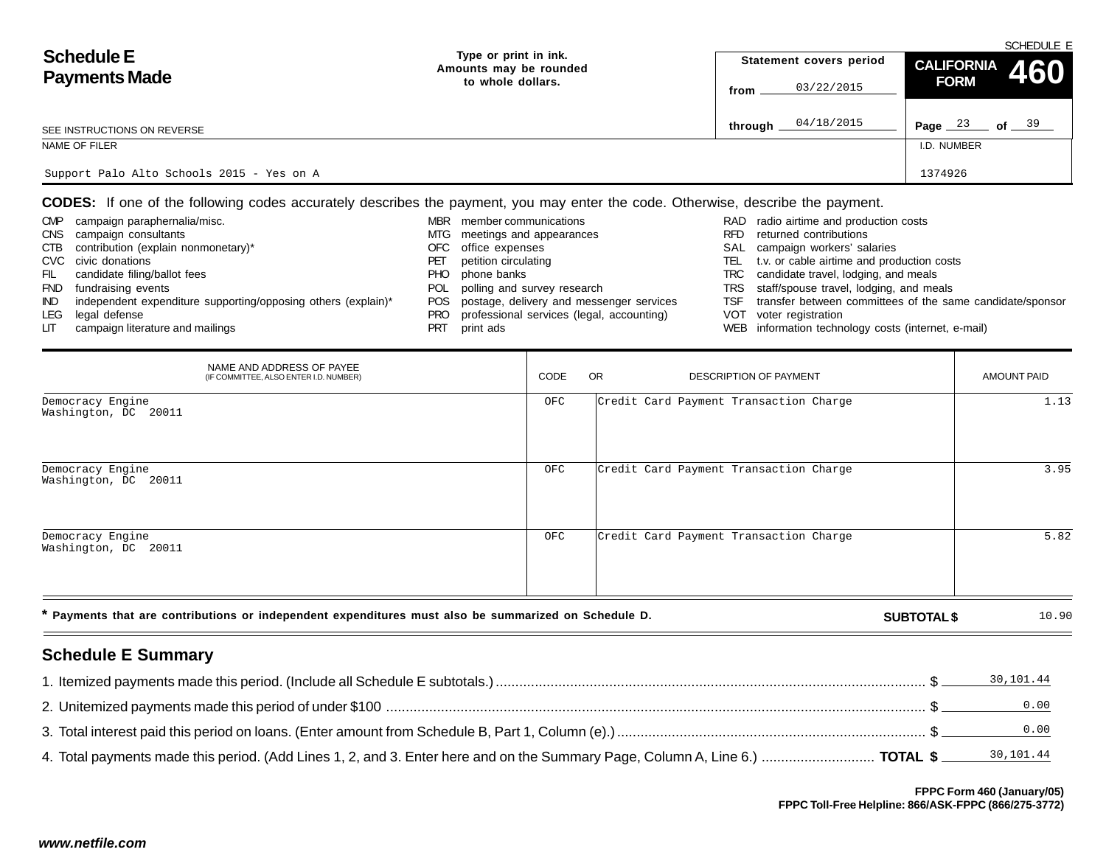|                                           |                                                 |                         | SCHEDULE E                     |  |  |  |  |  |
|-------------------------------------------|-------------------------------------------------|-------------------------|--------------------------------|--|--|--|--|--|
| <b>Schedule E</b>                         | Type or print in ink.<br>Amounts may be rounded | Statement covers period | CALIFORNIA 460                 |  |  |  |  |  |
| <b>Payments Made</b>                      | to whole dollars.                               | 03/22/2015<br>from      | <b>FORM</b>                    |  |  |  |  |  |
| SEE INSTRUCTIONS ON REVERSE               |                                                 | 04/18/2015<br>through   | Page $23$<br>of $\frac{39}{2}$ |  |  |  |  |  |
| NAME OF FILER                             |                                                 |                         | I.D. NUMBER                    |  |  |  |  |  |
| Support Palo Alto Schools 2015 - Yes on A |                                                 |                         | 1374926                        |  |  |  |  |  |

| <b>CMP</b> | campaign paraphernalia/misc.                                  | <b>MBR</b> | member communications                     |      | RAD radio airtime and production costs                    |
|------------|---------------------------------------------------------------|------------|-------------------------------------------|------|-----------------------------------------------------------|
|            | CNS campaign consultants                                      | MTG.       | meetings and appearances                  | RFD. | returned contributions                                    |
|            | CTB contribution (explain nonmonetary)*                       | OFC .      | office expenses                           |      | SAL campaign workers' salaries                            |
|            | CVC civic donations                                           | PEI        | petition circulating                      | TEL  | t.v. or cable airtime and production costs                |
| FIL        | candidate filing/ballot fees                                  | PHO.       | phone banks                               |      | TRC candidate travel, lodging, and meals                  |
|            | FND fundraising events                                        | POL        | polling and survey research               |      | TRS staff/spouse travel, lodging, and meals               |
| IND.       | independent expenditure supporting/opposing others (explain)* | POS.       | postage, delivery and messenger services  | TSF  | transfer between committees of the same candidate/sponsor |
|            | LEG legal defense                                             | <b>PRO</b> | professional services (legal, accounting) |      | VOT voter registration                                    |
| LIT        | campaign literature and mailings                              | PRT        | print ads                                 |      | WEB information technology costs (internet, e-mail)       |

|                                                                                                                                                                                                                                                                                                                                                                                                                                                                                                                                                                                                                                |                                                                                                                  |                                                                                                                              | from                                                   | 03/22/2015                                                                                                                                                                                                                                                                                                   | $\mathbf{v}$       |                                                           |
|--------------------------------------------------------------------------------------------------------------------------------------------------------------------------------------------------------------------------------------------------------------------------------------------------------------------------------------------------------------------------------------------------------------------------------------------------------------------------------------------------------------------------------------------------------------------------------------------------------------------------------|------------------------------------------------------------------------------------------------------------------|------------------------------------------------------------------------------------------------------------------------------|--------------------------------------------------------|--------------------------------------------------------------------------------------------------------------------------------------------------------------------------------------------------------------------------------------------------------------------------------------------------------------|--------------------|-----------------------------------------------------------|
| SEE INSTRUCTIONS ON REVERSE                                                                                                                                                                                                                                                                                                                                                                                                                                                                                                                                                                                                    |                                                                                                                  |                                                                                                                              | through _                                              | 04/18/2015                                                                                                                                                                                                                                                                                                   |                    | Page $23$ of $39$                                         |
| NAME OF FILER                                                                                                                                                                                                                                                                                                                                                                                                                                                                                                                                                                                                                  |                                                                                                                  |                                                                                                                              |                                                        |                                                                                                                                                                                                                                                                                                              | I.D. NUMBER        |                                                           |
| Support Palo Alto Schools 2015 - Yes on A                                                                                                                                                                                                                                                                                                                                                                                                                                                                                                                                                                                      |                                                                                                                  |                                                                                                                              |                                                        |                                                                                                                                                                                                                                                                                                              | 1374926            |                                                           |
| <b>CODES:</b> If one of the following codes accurately describes the payment, you may enter the code. Otherwise, describe the payment.<br>campaign paraphernalia/misc.<br><b>CMP</b><br>CNS campaign consultants<br>contribution (explain nonmonetary)*<br>OFC office expenses<br>CTB<br>CVC civic donations<br>PET<br>candidate filing/ballot fees<br><b>PHO</b><br>phone banks<br>FIL<br>fundraising events<br><b>FND</b><br>POL<br>independent expenditure supporting/opposing others (explain)*<br>IND.<br><b>POS</b><br>legal defense<br>LEG.<br>PRO<br>print ads<br>campaign literature and mailings<br><b>PRT</b><br>LГ | MBR member communications<br>MTG meetings and appearances<br>petition circulating<br>polling and survey research | postage, delivery and messenger services<br>professional services (legal, accounting)                                        | <b>RFD</b><br>SAL<br>TEL 1<br>TRC<br>TRS<br>TSF<br>VOT | RAD radio airtime and production costs<br>returned contributions<br>campaign workers' salaries<br>t.v. or cable airtime and production costs<br>candidate travel, lodging, and meals<br>staff/spouse travel, lodging, and meals<br>voter registration<br>WEB information technology costs (internet, e-mail) |                    | transfer between committees of the same candidate/sponsor |
| NAME AND ADDRESS OF PAYEE<br>(IF COMMITTEE, ALSO ENTER I.D. NUMBER)                                                                                                                                                                                                                                                                                                                                                                                                                                                                                                                                                            | CODE                                                                                                             | OR.                                                                                                                          | <b>DESCRIPTION OF PAYMENT</b>                          |                                                                                                                                                                                                                                                                                                              |                    | <b>AMOUNT PAID</b>                                        |
| Democracy Engine<br>Washington, DC 20011                                                                                                                                                                                                                                                                                                                                                                                                                                                                                                                                                                                       | OFC                                                                                                              | Credit Card Payment Transaction Charge                                                                                       |                                                        |                                                                                                                                                                                                                                                                                                              |                    | 1.13                                                      |
| Democracy Engine<br>Washington, DC 20011                                                                                                                                                                                                                                                                                                                                                                                                                                                                                                                                                                                       | OFC                                                                                                              | Credit Card Payment Transaction Charge                                                                                       |                                                        |                                                                                                                                                                                                                                                                                                              |                    | 3.95                                                      |
| Democracy Engine<br>Washington, DC 20011                                                                                                                                                                                                                                                                                                                                                                                                                                                                                                                                                                                       | OFC                                                                                                              | Credit Card Payment Transaction Charge                                                                                       |                                                        |                                                                                                                                                                                                                                                                                                              |                    | 5.82                                                      |
| * Payments that are contributions or independent expenditures must also be summarized on Schedule D.                                                                                                                                                                                                                                                                                                                                                                                                                                                                                                                           |                                                                                                                  |                                                                                                                              |                                                        |                                                                                                                                                                                                                                                                                                              | <b>SUBTOTAL \$</b> | 10.90                                                     |
| <b>Schedule E Summary</b>                                                                                                                                                                                                                                                                                                                                                                                                                                                                                                                                                                                                      |                                                                                                                  |                                                                                                                              |                                                        |                                                                                                                                                                                                                                                                                                              |                    |                                                           |
|                                                                                                                                                                                                                                                                                                                                                                                                                                                                                                                                                                                                                                |                                                                                                                  |                                                                                                                              |                                                        |                                                                                                                                                                                                                                                                                                              |                    | 30,101.44                                                 |
|                                                                                                                                                                                                                                                                                                                                                                                                                                                                                                                                                                                                                                |                                                                                                                  |                                                                                                                              |                                                        |                                                                                                                                                                                                                                                                                                              |                    | 0.00                                                      |
|                                                                                                                                                                                                                                                                                                                                                                                                                                                                                                                                                                                                                                |                                                                                                                  |                                                                                                                              |                                                        |                                                                                                                                                                                                                                                                                                              |                    | 0.00                                                      |
|                                                                                                                                                                                                                                                                                                                                                                                                                                                                                                                                                                                                                                |                                                                                                                  | 4. Total payments made this period. (Add Lines 1, 2, and 3. Enter here and on the Summary Page, Column A, Line 6.)  TOTAL \$ |                                                        |                                                                                                                                                                                                                                                                                                              |                    | 30,101.44                                                 |

# **Schedule E Summary**

| 30, 101.44 |
|------------|
|            |
|            |
|            |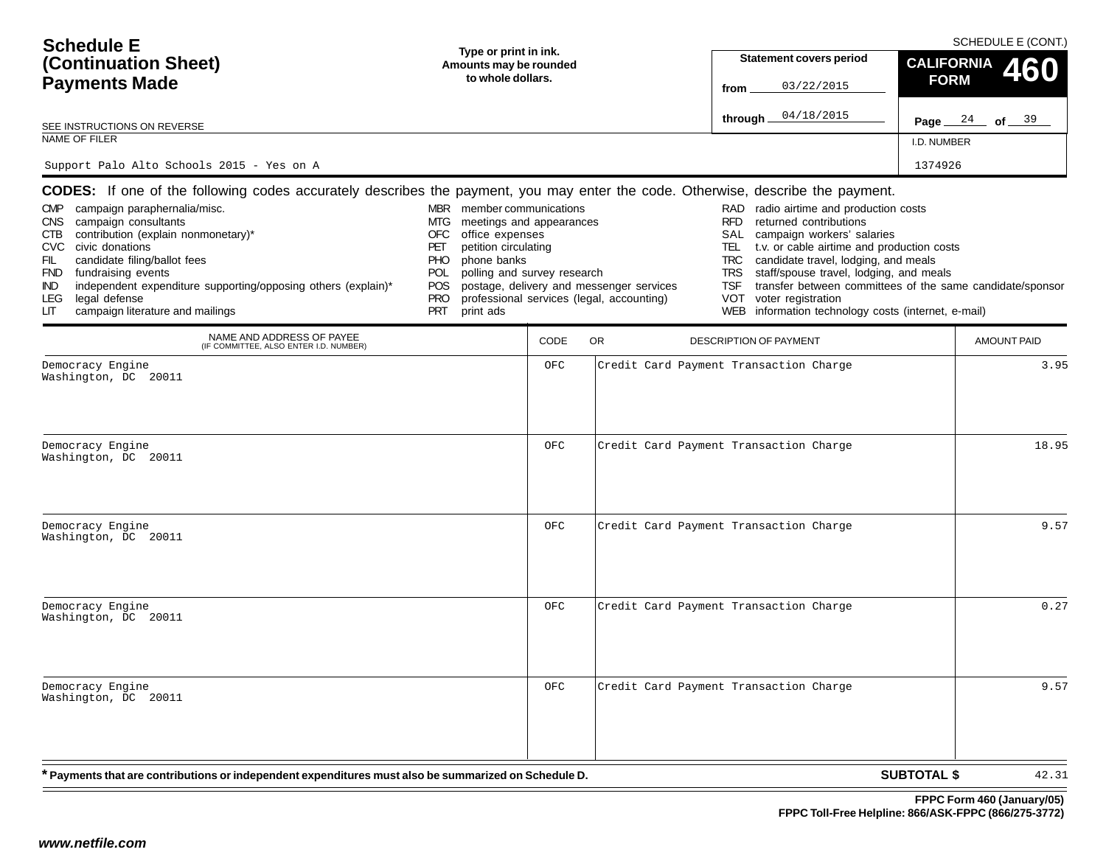| <b>Schedule E</b><br>(Continuation Sheet)<br><b>Payments Made</b><br>SEE INSTRUCTIONS ON REVERSE<br>NAME OF FILER<br>Support Palo Alto Schools 2015 - Yes on A                                                                                                                                                                                                                                                                                                                                                                   | Type or print in ink.<br>Amounts may be rounded<br>to whole dollars.                                                                                                                                                                     |             |                                                                                       | <b>Statement covers period</b><br>03/22/2015<br>from<br>04/18/2015<br>through _                                                                                                                                                                                                                                                                                                                                                                                     | <b>CALIFORNIA</b><br><b>FORM</b><br>I.D. NUMBER<br>1374926 | SCHEDULE E (CONT.)<br>460<br>Page $24$ of $39$ |
|----------------------------------------------------------------------------------------------------------------------------------------------------------------------------------------------------------------------------------------------------------------------------------------------------------------------------------------------------------------------------------------------------------------------------------------------------------------------------------------------------------------------------------|------------------------------------------------------------------------------------------------------------------------------------------------------------------------------------------------------------------------------------------|-------------|---------------------------------------------------------------------------------------|---------------------------------------------------------------------------------------------------------------------------------------------------------------------------------------------------------------------------------------------------------------------------------------------------------------------------------------------------------------------------------------------------------------------------------------------------------------------|------------------------------------------------------------|------------------------------------------------|
| <b>CODES:</b> If one of the following codes accurately describes the payment, you may enter the code. Otherwise, describe the payment.<br>campaign paraphernalia/misc.<br><b>CMP</b><br>campaign consultants<br><b>CNS</b><br>contribution (explain nonmonetary)*<br>CTB<br><b>CVC</b><br>civic donations<br>candidate filing/ballot fees<br>FIL<br>fundraising events<br><b>FND</b><br>independent expenditure supporting/opposing others (explain)*<br>IND.<br>legal defense<br>LEG<br>campaign literature and mailings<br>LIТ | MBR member communications<br>meetings and appearances<br>MTG<br>office expenses<br>OFC<br>petition circulating<br>PET<br>phone banks<br><b>PHO</b><br>polling and survey research<br>POL<br>POS<br><b>PRO</b><br><b>PRT</b><br>print ads |             | postage, delivery and messenger services<br>professional services (legal, accounting) | radio airtime and production costs<br>RAD<br><b>RFD</b><br>returned contributions<br>campaign workers' salaries<br>SAL<br>t.v. or cable airtime and production costs<br>TEL<br>candidate travel, lodging, and meals<br><b>TRC</b><br>staff/spouse travel, lodging, and meals<br><b>TRS</b><br>transfer between committees of the same candidate/sponsor<br><b>TSF</b><br><b>VOT</b><br>voter registration<br>information technology costs (internet, e-mail)<br>WEB |                                                            |                                                |
| NAME AND ADDRESS OF PAYEE<br>(IF COMMITTEE, ALSO ENTER I.D. NUMBER)                                                                                                                                                                                                                                                                                                                                                                                                                                                              |                                                                                                                                                                                                                                          | <b>CODE</b> | OR                                                                                    | <b>DESCRIPTION OF PAYMENT</b>                                                                                                                                                                                                                                                                                                                                                                                                                                       |                                                            | <b>AMOUNT PAID</b>                             |
| Democracy Engine<br>Washington, DC 20011                                                                                                                                                                                                                                                                                                                                                                                                                                                                                         |                                                                                                                                                                                                                                          | OFC         |                                                                                       | Credit Card Payment Transaction Charge                                                                                                                                                                                                                                                                                                                                                                                                                              |                                                            | 3.95                                           |
| Democracy Engine<br>Washington, DC 20011                                                                                                                                                                                                                                                                                                                                                                                                                                                                                         |                                                                                                                                                                                                                                          | OFC         |                                                                                       | Credit Card Payment Transaction Charge                                                                                                                                                                                                                                                                                                                                                                                                                              |                                                            | 18.95                                          |
| Democracy Engine<br>Washington, DC 20011                                                                                                                                                                                                                                                                                                                                                                                                                                                                                         |                                                                                                                                                                                                                                          | OFC         |                                                                                       | Credit Card Payment Transaction Charge                                                                                                                                                                                                                                                                                                                                                                                                                              |                                                            | 9.57                                           |
| Democracy Engine<br>Washington, DC 20011                                                                                                                                                                                                                                                                                                                                                                                                                                                                                         |                                                                                                                                                                                                                                          | OFC         |                                                                                       | Credit Card Payment Transaction Charge                                                                                                                                                                                                                                                                                                                                                                                                                              |                                                            | 0.27                                           |
| Democracy Engine<br>Washington, DC 20011                                                                                                                                                                                                                                                                                                                                                                                                                                                                                         |                                                                                                                                                                                                                                          | OFC         |                                                                                       | Credit Card Payment Transaction Charge                                                                                                                                                                                                                                                                                                                                                                                                                              |                                                            | 9.57                                           |
| * Payments that are contributions or independent expenditures must also be summarized on Schedule D.                                                                                                                                                                                                                                                                                                                                                                                                                             |                                                                                                                                                                                                                                          |             |                                                                                       |                                                                                                                                                                                                                                                                                                                                                                                                                                                                     | <b>SUBTOTAL \$</b>                                         | 42.31                                          |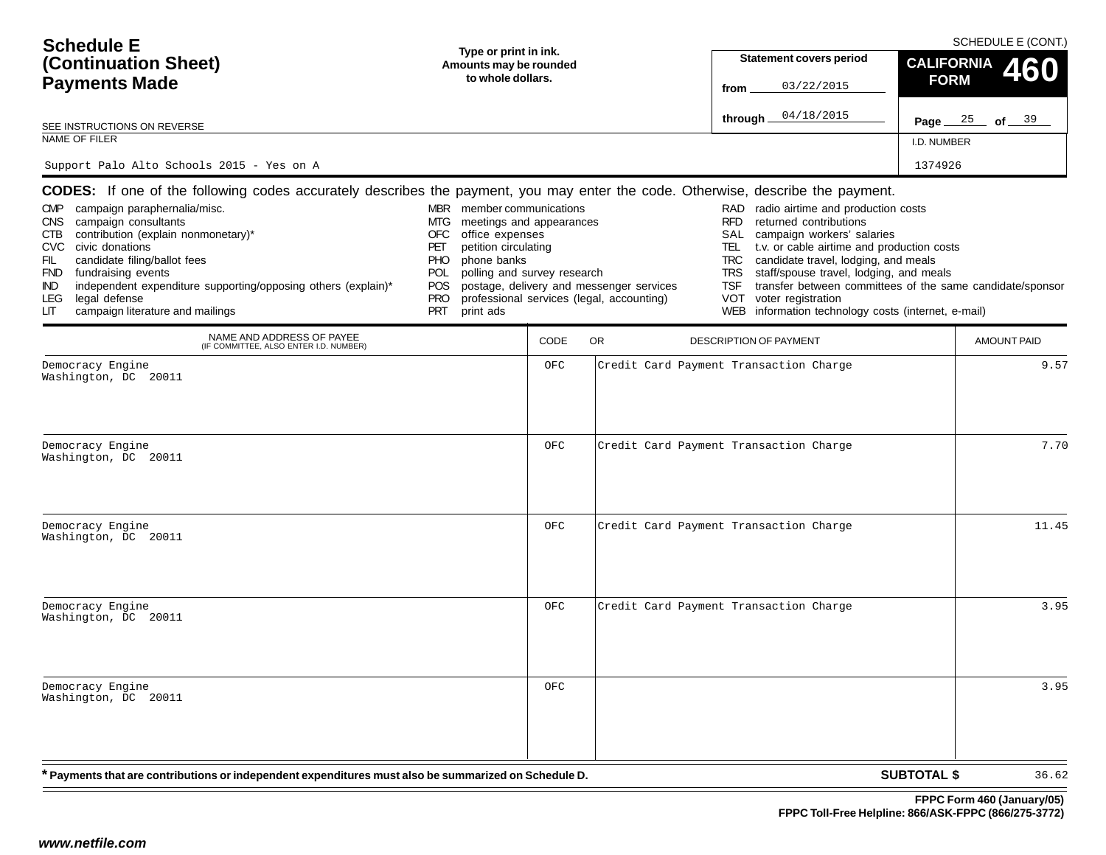| <b>Schedule E</b><br>(Continuation Sheet)<br><b>Payments Made</b><br>SEE INSTRUCTIONS ON REVERSE<br>NAME OF FILER<br>Support Palo Alto Schools 2015 - Yes on A                                                                                                                                                                                                                                                                                                                                                      | Type or print in ink.<br>Amounts may be rounded<br>to whole dollars.                                                                                                                                                                                   |             |                                                                                       | Statement covers period<br>03/22/2015<br>from<br>04/18/2015<br>through _                                                                                                                                                                                                                                                                                                                                                                                                | <b>CALIFORNIA</b><br><b>FORM</b><br>Page $25$ of $39$<br>I.D. NUMBER<br>1374926 | SCHEDULE E (CONT.)<br>460  |
|---------------------------------------------------------------------------------------------------------------------------------------------------------------------------------------------------------------------------------------------------------------------------------------------------------------------------------------------------------------------------------------------------------------------------------------------------------------------------------------------------------------------|--------------------------------------------------------------------------------------------------------------------------------------------------------------------------------------------------------------------------------------------------------|-------------|---------------------------------------------------------------------------------------|-------------------------------------------------------------------------------------------------------------------------------------------------------------------------------------------------------------------------------------------------------------------------------------------------------------------------------------------------------------------------------------------------------------------------------------------------------------------------|---------------------------------------------------------------------------------|----------------------------|
| <b>CODES:</b> If one of the following codes accurately describes the payment, you may enter the code. Otherwise, describe the payment.<br>campaign paraphernalia/misc.<br>CMP<br>campaign consultants<br>CNS<br>contribution (explain nonmonetary)*<br>CTB<br><b>CVC</b><br>civic donations<br>candidate filing/ballot fees<br>FIL<br>fundraising events<br><b>FND</b><br>independent expenditure supporting/opposing others (explain)*<br>IND.<br>legal defense<br>LEG.<br>campaign literature and mailings<br>LIТ | MBR member communications<br>meetings and appearances<br>MTG<br>office expenses<br>OFC<br>petition circulating<br>PET<br>phone banks<br><b>PHO</b><br>polling and survey research<br><b>POL</b><br><b>POS</b><br><b>PRO</b><br><b>PRT</b><br>print ads |             | postage, delivery and messenger services<br>professional services (legal, accounting) | RAD radio airtime and production costs<br><b>RFD</b><br>returned contributions<br>campaign workers' salaries<br>SAL<br>t.v. or cable airtime and production costs<br>TEL<br>candidate travel, lodging, and meals<br><b>TRC</b><br>staff/spouse travel, lodging, and meals<br><b>TRS</b><br>transfer between committees of the same candidate/sponsor<br><b>TSF</b><br><b>VOT</b><br>voter registration<br>information technology costs (internet, e-mail)<br><b>WEB</b> |                                                                                 |                            |
| NAME AND ADDRESS OF PAYEE<br>(IF COMMITTEE, ALSO ENTER I.D. NUMBER)<br>Democracy Engine                                                                                                                                                                                                                                                                                                                                                                                                                             |                                                                                                                                                                                                                                                        | CODE<br>OFC | OR                                                                                    | <b>DESCRIPTION OF PAYMENT</b><br>Credit Card Payment Transaction Charge                                                                                                                                                                                                                                                                                                                                                                                                 |                                                                                 | <b>AMOUNT PAID</b><br>9.57 |
| Washington, DC 20011<br>Democracy Engine<br>Washington, DC 20011                                                                                                                                                                                                                                                                                                                                                                                                                                                    |                                                                                                                                                                                                                                                        | OFC         |                                                                                       | Credit Card Payment Transaction Charge                                                                                                                                                                                                                                                                                                                                                                                                                                  |                                                                                 | 7.70                       |
| Democracy Engine<br>Washington, DC 20011                                                                                                                                                                                                                                                                                                                                                                                                                                                                            |                                                                                                                                                                                                                                                        | OFC         |                                                                                       | Credit Card Payment Transaction Charge                                                                                                                                                                                                                                                                                                                                                                                                                                  |                                                                                 | 11.45                      |
| Democracy Engine<br>Washington, DC 20011                                                                                                                                                                                                                                                                                                                                                                                                                                                                            |                                                                                                                                                                                                                                                        | OFC         |                                                                                       | Credit Card Payment Transaction Charge                                                                                                                                                                                                                                                                                                                                                                                                                                  |                                                                                 | 3.95                       |
| Democracy Engine<br>Washington, DC 20011                                                                                                                                                                                                                                                                                                                                                                                                                                                                            |                                                                                                                                                                                                                                                        | OFC         |                                                                                       |                                                                                                                                                                                                                                                                                                                                                                                                                                                                         |                                                                                 | 3.95                       |
| * Payments that are contributions or independent expenditures must also be summarized on Schedule D.                                                                                                                                                                                                                                                                                                                                                                                                                |                                                                                                                                                                                                                                                        |             |                                                                                       |                                                                                                                                                                                                                                                                                                                                                                                                                                                                         | <b>SUBTOTAL \$</b>                                                              | 36.62                      |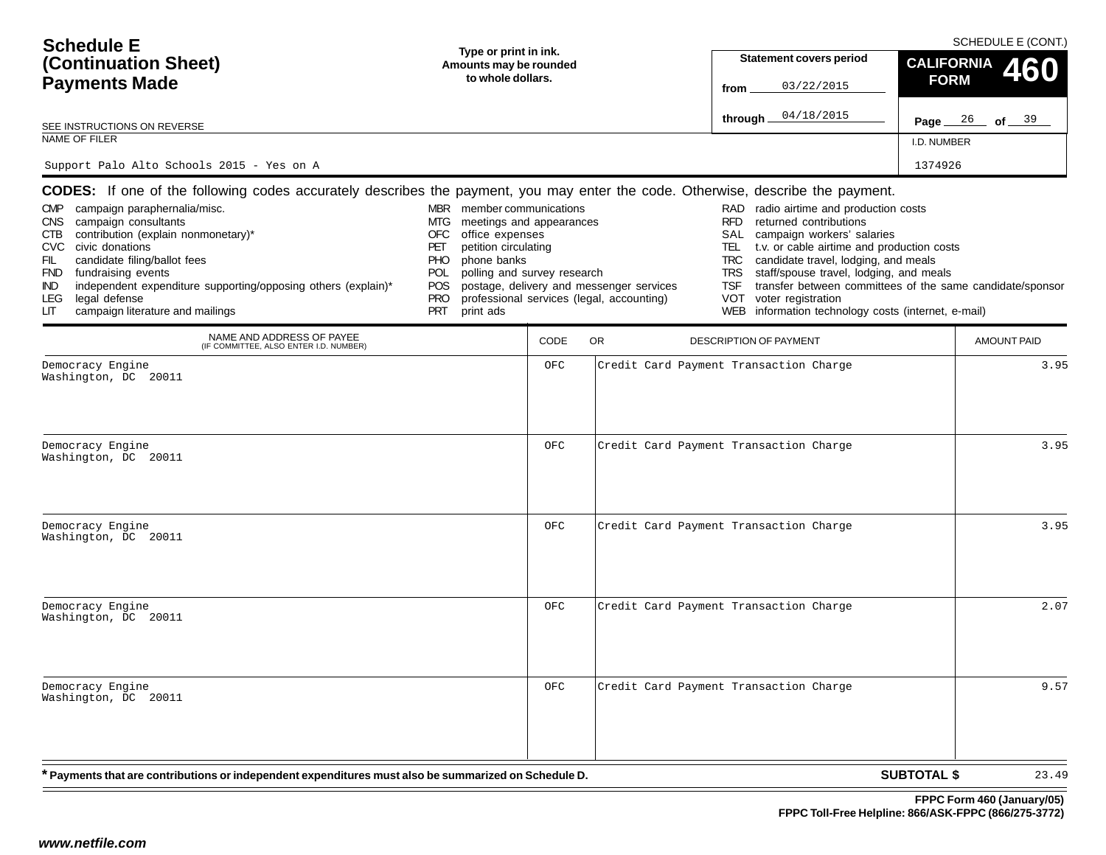| <b>Schedule E</b><br>(Continuation Sheet)<br><b>Payments Made</b><br>SEE INSTRUCTIONS ON REVERSE<br>NAME OF FILER<br>Support Palo Alto Schools 2015 - Yes on A                                                                                                                                                                                                                                                                                                                                                                   | Type or print in ink.<br>Amounts may be rounded<br>to whole dollars.                                                                                                                                                                     |             |                                                                                       | <b>Statement covers period</b><br>03/22/2015<br>from<br>04/18/2015<br>through _                                                                                                                                                                                                                                                                                                                                                                                     | <b>CALIFORNIA</b><br><b>FORM</b><br>Page $26$ of $39$<br>I.D. NUMBER<br>1374926 | SCHEDULE E (CONT.)<br>460 |
|----------------------------------------------------------------------------------------------------------------------------------------------------------------------------------------------------------------------------------------------------------------------------------------------------------------------------------------------------------------------------------------------------------------------------------------------------------------------------------------------------------------------------------|------------------------------------------------------------------------------------------------------------------------------------------------------------------------------------------------------------------------------------------|-------------|---------------------------------------------------------------------------------------|---------------------------------------------------------------------------------------------------------------------------------------------------------------------------------------------------------------------------------------------------------------------------------------------------------------------------------------------------------------------------------------------------------------------------------------------------------------------|---------------------------------------------------------------------------------|---------------------------|
| <b>CODES:</b> If one of the following codes accurately describes the payment, you may enter the code. Otherwise, describe the payment.<br>campaign paraphernalia/misc.<br><b>CMP</b><br>campaign consultants<br><b>CNS</b><br>contribution (explain nonmonetary)*<br>CTB<br><b>CVC</b><br>civic donations<br>candidate filing/ballot fees<br>FIL<br>fundraising events<br><b>FND</b><br>independent expenditure supporting/opposing others (explain)*<br>IND.<br>legal defense<br>LEG<br>campaign literature and mailings<br>LIТ | MBR member communications<br>meetings and appearances<br>MTG<br>office expenses<br>OFC<br>petition circulating<br>PET<br>phone banks<br><b>PHO</b><br>polling and survey research<br>POL<br>POS<br><b>PRO</b><br><b>PRT</b><br>print ads |             | postage, delivery and messenger services<br>professional services (legal, accounting) | radio airtime and production costs<br>RAD<br><b>RFD</b><br>returned contributions<br>campaign workers' salaries<br>SAL<br>t.v. or cable airtime and production costs<br>TEL<br>candidate travel, lodging, and meals<br><b>TRC</b><br>staff/spouse travel, lodging, and meals<br><b>TRS</b><br>transfer between committees of the same candidate/sponsor<br><b>TSF</b><br><b>VOT</b><br>voter registration<br>information technology costs (internet, e-mail)<br>WEB |                                                                                 |                           |
| NAME AND ADDRESS OF PAYEE<br>(IF COMMITTEE, ALSO ENTER I.D. NUMBER)                                                                                                                                                                                                                                                                                                                                                                                                                                                              |                                                                                                                                                                                                                                          | <b>CODE</b> | OR                                                                                    | <b>DESCRIPTION OF PAYMENT</b>                                                                                                                                                                                                                                                                                                                                                                                                                                       |                                                                                 | <b>AMOUNT PAID</b>        |
| Democracy Engine<br>Washington, DC 20011<br>Democracy Engine                                                                                                                                                                                                                                                                                                                                                                                                                                                                     |                                                                                                                                                                                                                                          | OFC<br>OFC  |                                                                                       | Credit Card Payment Transaction Charge<br>Credit Card Payment Transaction Charge                                                                                                                                                                                                                                                                                                                                                                                    |                                                                                 | 3.95<br>3.95              |
| Washington, DC 20011<br>Democracy Engine                                                                                                                                                                                                                                                                                                                                                                                                                                                                                         |                                                                                                                                                                                                                                          | OFC         |                                                                                       | Credit Card Payment Transaction Charge                                                                                                                                                                                                                                                                                                                                                                                                                              |                                                                                 | 3.95                      |
| Washington, DC 20011                                                                                                                                                                                                                                                                                                                                                                                                                                                                                                             |                                                                                                                                                                                                                                          |             |                                                                                       |                                                                                                                                                                                                                                                                                                                                                                                                                                                                     |                                                                                 |                           |
| Democracy Engine<br>Washington, DC 20011                                                                                                                                                                                                                                                                                                                                                                                                                                                                                         |                                                                                                                                                                                                                                          | OFC         |                                                                                       | Credit Card Payment Transaction Charge                                                                                                                                                                                                                                                                                                                                                                                                                              |                                                                                 | 2.07                      |
| Democracy Engine<br>Washington, DC 20011                                                                                                                                                                                                                                                                                                                                                                                                                                                                                         |                                                                                                                                                                                                                                          | OFC         |                                                                                       | Credit Card Payment Transaction Charge                                                                                                                                                                                                                                                                                                                                                                                                                              |                                                                                 | 9.57                      |
| * Payments that are contributions or independent expenditures must also be summarized on Schedule D.                                                                                                                                                                                                                                                                                                                                                                                                                             |                                                                                                                                                                                                                                          |             |                                                                                       |                                                                                                                                                                                                                                                                                                                                                                                                                                                                     | <b>SUBTOTAL \$</b>                                                              | 23.49                     |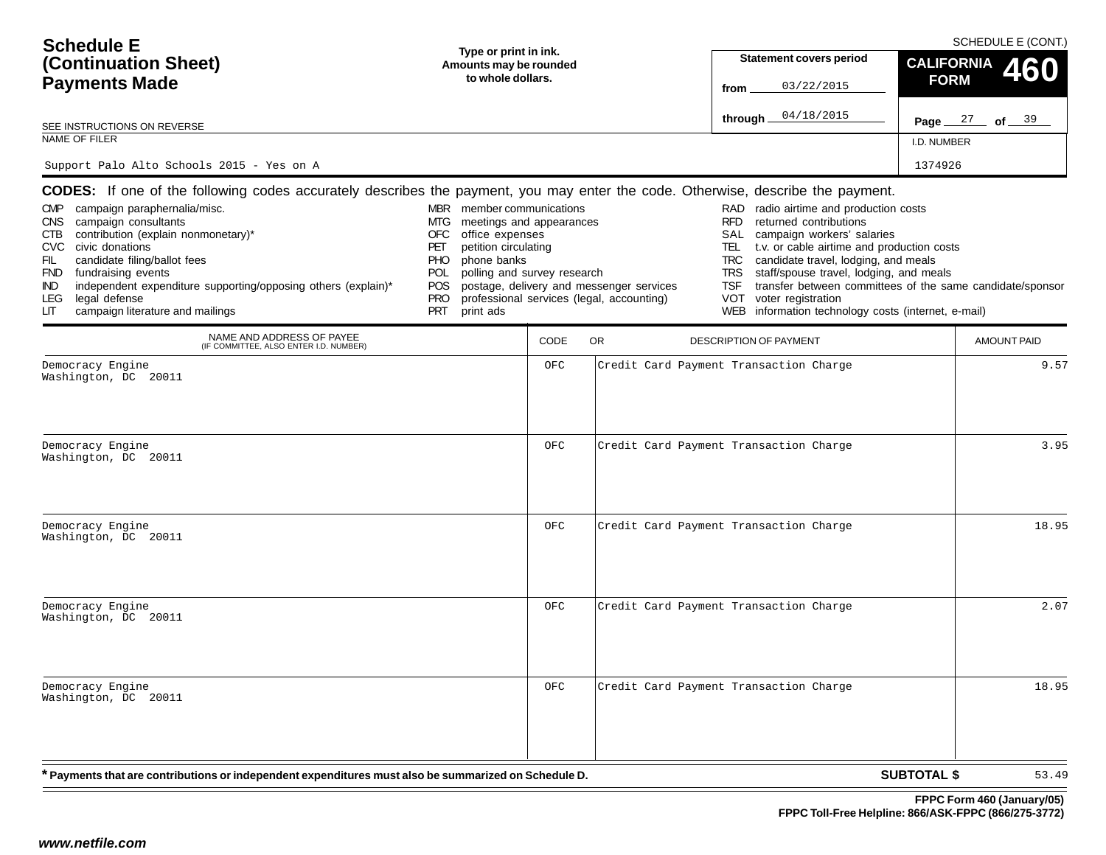| <b>Schedule E</b><br>(Continuation Sheet)<br><b>Payments Made</b><br>SEE INSTRUCTIONS ON REVERSE<br>NAME OF FILER<br>Support Palo Alto Schools 2015 - Yes on A                                                                                                                                                                                                                                                                                                                                                            | Type or print in ink.<br>Amounts may be rounded<br>to whole dollars.                                                                                                                                                               |            |                                                                                       | <b>Statement covers period</b><br>03/22/2015<br>from<br>04/18/2015<br>through _                                                                                                                                                                                                                                                                                                                                                                                  | <b>CALIFORNIA</b><br><b>FORM</b><br>Page $27$ of $39$<br>I.D. NUMBER<br>1374926 | SCHEDULE E (CONT.)<br>460 |
|---------------------------------------------------------------------------------------------------------------------------------------------------------------------------------------------------------------------------------------------------------------------------------------------------------------------------------------------------------------------------------------------------------------------------------------------------------------------------------------------------------------------------|------------------------------------------------------------------------------------------------------------------------------------------------------------------------------------------------------------------------------------|------------|---------------------------------------------------------------------------------------|------------------------------------------------------------------------------------------------------------------------------------------------------------------------------------------------------------------------------------------------------------------------------------------------------------------------------------------------------------------------------------------------------------------------------------------------------------------|---------------------------------------------------------------------------------|---------------------------|
| CODES: If one of the following codes accurately describes the payment, you may enter the code. Otherwise, describe the payment.<br>campaign paraphernalia/misc.<br><b>CMP</b><br><b>CNS</b><br>campaign consultants<br>contribution (explain nonmonetary)*<br>CTB<br><b>CVC</b><br>civic donations<br>candidate filing/ballot fees<br>FIL<br>fundraising events<br><b>FND</b><br>independent expenditure supporting/opposing others (explain)*<br>IND.<br>legal defense<br>LEG.<br>campaign literature and mailings<br>LГ | MBR member communications<br>meetings and appearances<br>MTG<br>office expenses<br>OFC<br>petition circulating<br>PET<br>phone banks<br>PHO<br>polling and survey research<br>POL.<br>POS<br><b>PRO</b><br><b>PRT</b><br>print ads |            | postage, delivery and messenger services<br>professional services (legal, accounting) | RAD radio airtime and production costs<br><b>RFD</b><br>returned contributions<br>campaign workers' salaries<br>SAL<br>t.v. or cable airtime and production costs<br>TEL<br>candidate travel, lodging, and meals<br><b>TRC</b><br>staff/spouse travel, lodging, and meals<br><b>TRS</b><br>transfer between committees of the same candidate/sponsor<br><b>TSF</b><br><b>VOT</b><br>voter registration<br>information technology costs (internet, e-mail)<br>WEB |                                                                                 |                           |
| NAME AND ADDRESS OF PAYEE<br>(IF COMMITTEE, ALSO ENTER I.D. NUMBER)                                                                                                                                                                                                                                                                                                                                                                                                                                                       |                                                                                                                                                                                                                                    | CODE       | <b>OR</b>                                                                             | <b>DESCRIPTION OF PAYMENT</b>                                                                                                                                                                                                                                                                                                                                                                                                                                    |                                                                                 | <b>AMOUNT PAID</b>        |
| Democracy Engine<br>Washington, DC 20011<br>Democracy Engine<br>Washington, DC 20011                                                                                                                                                                                                                                                                                                                                                                                                                                      |                                                                                                                                                                                                                                    | OFC<br>OFC |                                                                                       | Credit Card Payment Transaction Charge<br>Credit Card Payment Transaction Charge                                                                                                                                                                                                                                                                                                                                                                                 |                                                                                 | 9.57<br>3.95              |
| Democracy Engine<br>Washington, DC 20011                                                                                                                                                                                                                                                                                                                                                                                                                                                                                  |                                                                                                                                                                                                                                    | OFC        |                                                                                       | Credit Card Payment Transaction Charge                                                                                                                                                                                                                                                                                                                                                                                                                           |                                                                                 | 18.95                     |
| Democracy Engine<br>Washington, DC 20011                                                                                                                                                                                                                                                                                                                                                                                                                                                                                  |                                                                                                                                                                                                                                    | OFC        |                                                                                       | Credit Card Payment Transaction Charge                                                                                                                                                                                                                                                                                                                                                                                                                           |                                                                                 | 2.07                      |
| Democracy Engine<br>Washington, DC 20011                                                                                                                                                                                                                                                                                                                                                                                                                                                                                  |                                                                                                                                                                                                                                    | OFC        |                                                                                       | Credit Card Payment Transaction Charge                                                                                                                                                                                                                                                                                                                                                                                                                           |                                                                                 | 18.95                     |
| * Payments that are contributions or independent expenditures must also be summarized on Schedule D.                                                                                                                                                                                                                                                                                                                                                                                                                      |                                                                                                                                                                                                                                    |            |                                                                                       |                                                                                                                                                                                                                                                                                                                                                                                                                                                                  | <b>SUBTOTAL \$</b>                                                              | 53.49                     |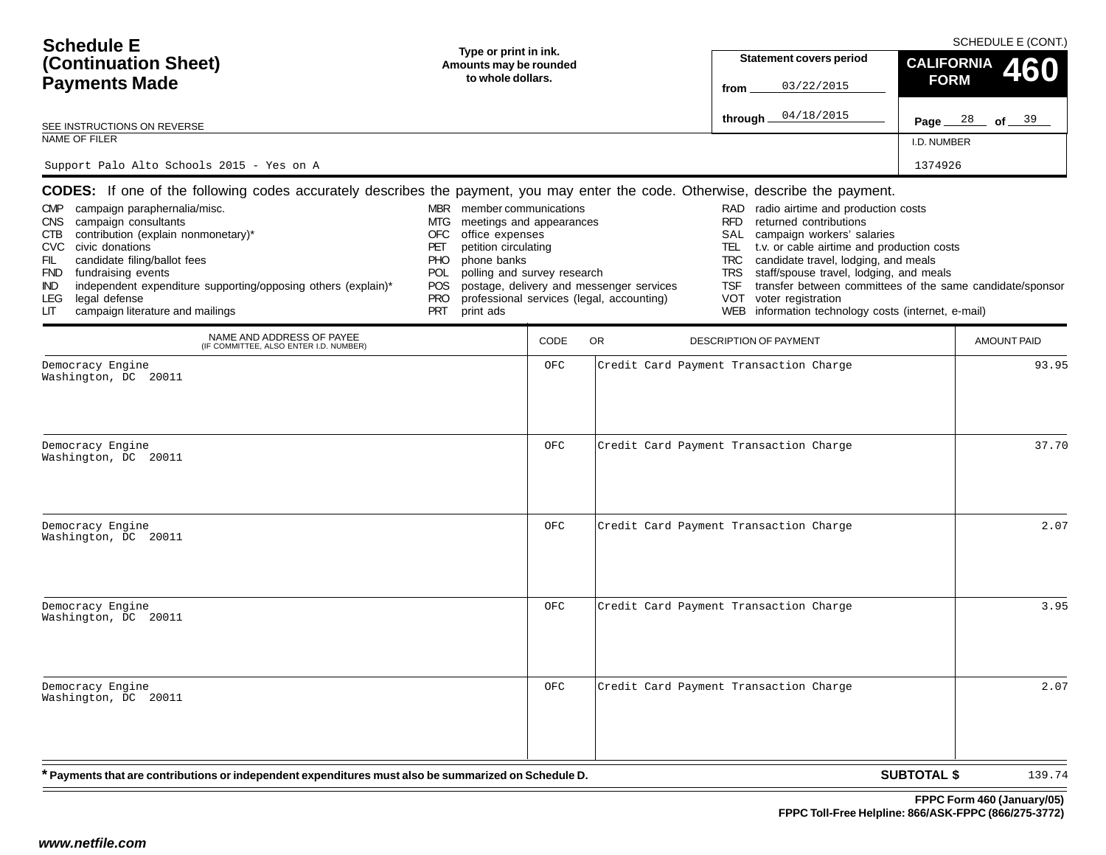| <b>Schedule E</b><br>(Continuation Sheet)<br><b>Payments Made</b><br>SEE INSTRUCTIONS ON REVERSE<br>NAME OF FILER<br>Support Palo Alto Schools 2015 - Yes on A                                                                                                                                                                                                                                                                                                                                                                   | Type or print in ink.<br>Amounts may be rounded<br>to whole dollars.                                                                                                                                                                     |             |                                                                                       | <b>Statement covers period</b><br>03/22/2015<br>from<br>04/18/2015<br>through _                                                                                                                                                                                                                                                                                                                                                                                            | <b>CALIFORNIA</b><br><b>FORM</b><br>Page $28$ of $39$<br>I.D. NUMBER<br>1374926 | SCHEDULE E (CONT.)<br>460 |
|----------------------------------------------------------------------------------------------------------------------------------------------------------------------------------------------------------------------------------------------------------------------------------------------------------------------------------------------------------------------------------------------------------------------------------------------------------------------------------------------------------------------------------|------------------------------------------------------------------------------------------------------------------------------------------------------------------------------------------------------------------------------------------|-------------|---------------------------------------------------------------------------------------|----------------------------------------------------------------------------------------------------------------------------------------------------------------------------------------------------------------------------------------------------------------------------------------------------------------------------------------------------------------------------------------------------------------------------------------------------------------------------|---------------------------------------------------------------------------------|---------------------------|
| <b>CODES:</b> If one of the following codes accurately describes the payment, you may enter the code. Otherwise, describe the payment.<br>campaign paraphernalia/misc.<br><b>CMP</b><br>campaign consultants<br><b>CNS</b><br>contribution (explain nonmonetary)*<br>CTB<br><b>CVC</b><br>civic donations<br>candidate filing/ballot fees<br>FIL<br>fundraising events<br><b>FND</b><br>independent expenditure supporting/opposing others (explain)*<br>IND.<br>legal defense<br>LEG<br>campaign literature and mailings<br>LIТ | MBR member communications<br>meetings and appearances<br>MTG<br>office expenses<br>OFC<br>petition circulating<br>PET<br>phone banks<br><b>PHO</b><br>polling and survey research<br>POL<br>POS<br><b>PRO</b><br><b>PRT</b><br>print ads |             | postage, delivery and messenger services<br>professional services (legal, accounting) | radio airtime and production costs<br>RAD<br><b>RFD</b><br>returned contributions<br>campaign workers' salaries<br>SAL<br>t.v. or cable airtime and production costs<br>TEL<br>candidate travel, lodging, and meals<br><b>TRC</b><br>staff/spouse travel, lodging, and meals<br><b>TRS</b><br>transfer between committees of the same candidate/sponsor<br><b>TSF</b><br><b>VOT</b><br>voter registration<br>information technology costs (internet, e-mail)<br><b>WEB</b> |                                                                                 |                           |
| NAME AND ADDRESS OF PAYEE<br>(IF COMMITTEE, ALSO ENTER I.D. NUMBER)                                                                                                                                                                                                                                                                                                                                                                                                                                                              |                                                                                                                                                                                                                                          | <b>CODE</b> | OR                                                                                    | <b>DESCRIPTION OF PAYMENT</b>                                                                                                                                                                                                                                                                                                                                                                                                                                              |                                                                                 | <b>AMOUNT PAID</b>        |
| Democracy Engine<br>Washington, DC 20011                                                                                                                                                                                                                                                                                                                                                                                                                                                                                         |                                                                                                                                                                                                                                          | OFC         |                                                                                       | Credit Card Payment Transaction Charge                                                                                                                                                                                                                                                                                                                                                                                                                                     |                                                                                 | 93.95                     |
| Democracy Engine<br>Washington, DC 20011                                                                                                                                                                                                                                                                                                                                                                                                                                                                                         |                                                                                                                                                                                                                                          | OFC         |                                                                                       | Credit Card Payment Transaction Charge                                                                                                                                                                                                                                                                                                                                                                                                                                     |                                                                                 | 37.70                     |
| Democracy Engine<br>Washington, DC 20011                                                                                                                                                                                                                                                                                                                                                                                                                                                                                         |                                                                                                                                                                                                                                          | OFC         |                                                                                       | Credit Card Payment Transaction Charge                                                                                                                                                                                                                                                                                                                                                                                                                                     |                                                                                 | 2.07                      |
| Democracy Engine<br>Washington, DC 20011                                                                                                                                                                                                                                                                                                                                                                                                                                                                                         |                                                                                                                                                                                                                                          | OFC         |                                                                                       | Credit Card Payment Transaction Charge                                                                                                                                                                                                                                                                                                                                                                                                                                     |                                                                                 | 3.95                      |
| Democracy Engine<br>Washington, DC 20011                                                                                                                                                                                                                                                                                                                                                                                                                                                                                         |                                                                                                                                                                                                                                          | OFC         |                                                                                       | Credit Card Payment Transaction Charge                                                                                                                                                                                                                                                                                                                                                                                                                                     |                                                                                 | 2.07                      |
| * Payments that are contributions or independent expenditures must also be summarized on Schedule D.                                                                                                                                                                                                                                                                                                                                                                                                                             |                                                                                                                                                                                                                                          |             |                                                                                       |                                                                                                                                                                                                                                                                                                                                                                                                                                                                            | <b>SUBTOTAL \$</b>                                                              | 139.74                    |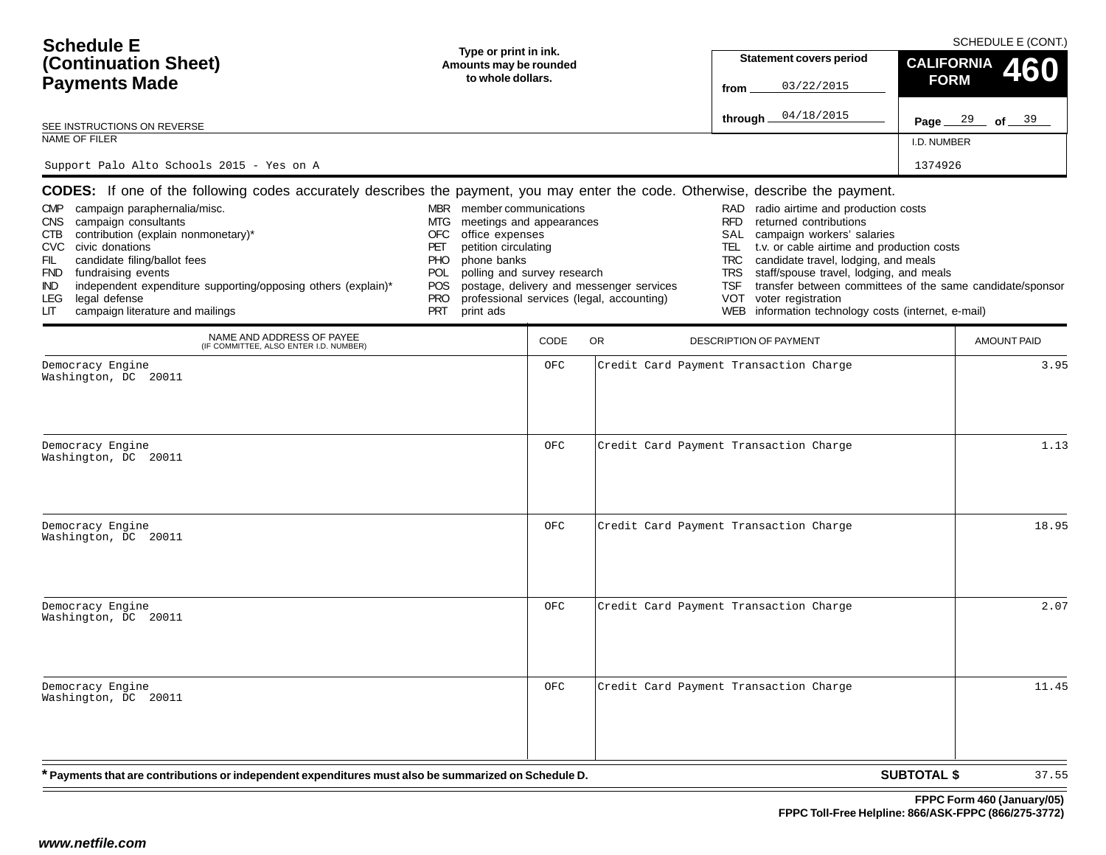| <b>Schedule E</b><br>(Continuation Sheet)<br><b>Payments Made</b><br>SEE INSTRUCTIONS ON REVERSE<br>NAME OF FILER<br>Support Palo Alto Schools 2015 - Yes on A                                                                                                                                                                                                                                                                                                                                                                   | Type or print in ink.<br>Amounts may be rounded<br>to whole dollars.                                                                                                                                                                     |             |                                                                                       | <b>Statement covers period</b><br>03/22/2015<br>from<br>04/18/2015<br>through _                                                                                                                                                                                                                                                                                                                                                                                            | <b>CALIFORNIA</b><br><b>FORM</b><br>Page $29$ of $39$<br>I.D. NUMBER<br>1374926 | SCHEDULE E (CONT.)<br>460 |
|----------------------------------------------------------------------------------------------------------------------------------------------------------------------------------------------------------------------------------------------------------------------------------------------------------------------------------------------------------------------------------------------------------------------------------------------------------------------------------------------------------------------------------|------------------------------------------------------------------------------------------------------------------------------------------------------------------------------------------------------------------------------------------|-------------|---------------------------------------------------------------------------------------|----------------------------------------------------------------------------------------------------------------------------------------------------------------------------------------------------------------------------------------------------------------------------------------------------------------------------------------------------------------------------------------------------------------------------------------------------------------------------|---------------------------------------------------------------------------------|---------------------------|
| <b>CODES:</b> If one of the following codes accurately describes the payment, you may enter the code. Otherwise, describe the payment.<br>campaign paraphernalia/misc.<br><b>CMP</b><br>campaign consultants<br><b>CNS</b><br>contribution (explain nonmonetary)*<br>CTB<br><b>CVC</b><br>civic donations<br>candidate filing/ballot fees<br>FIL<br>fundraising events<br><b>FND</b><br>independent expenditure supporting/opposing others (explain)*<br>IND.<br>legal defense<br>LEG<br>campaign literature and mailings<br>LIТ | MBR member communications<br>meetings and appearances<br>MTG<br>office expenses<br>OFC<br>petition circulating<br>PET<br>phone banks<br><b>PHO</b><br>polling and survey research<br>POL<br>POS<br><b>PRO</b><br><b>PRT</b><br>print ads |             | postage, delivery and messenger services<br>professional services (legal, accounting) | radio airtime and production costs<br>RAD<br><b>RFD</b><br>returned contributions<br>campaign workers' salaries<br>SAL<br>t.v. or cable airtime and production costs<br>TEL<br>candidate travel, lodging, and meals<br><b>TRC</b><br>staff/spouse travel, lodging, and meals<br><b>TRS</b><br>transfer between committees of the same candidate/sponsor<br><b>TSF</b><br><b>VOT</b><br>voter registration<br>information technology costs (internet, e-mail)<br><b>WEB</b> |                                                                                 |                           |
| NAME AND ADDRESS OF PAYEE<br>(IF COMMITTEE, ALSO ENTER I.D. NUMBER)                                                                                                                                                                                                                                                                                                                                                                                                                                                              |                                                                                                                                                                                                                                          | <b>CODE</b> | OR                                                                                    | <b>DESCRIPTION OF PAYMENT</b>                                                                                                                                                                                                                                                                                                                                                                                                                                              |                                                                                 | <b>AMOUNT PAID</b>        |
| Democracy Engine<br>Washington, DC 20011<br>Democracy Engine                                                                                                                                                                                                                                                                                                                                                                                                                                                                     |                                                                                                                                                                                                                                          | OFC<br>OFC  |                                                                                       | Credit Card Payment Transaction Charge<br>Credit Card Payment Transaction Charge                                                                                                                                                                                                                                                                                                                                                                                           |                                                                                 | 3.95<br>1.13              |
| Washington, DC 20011<br>Democracy Engine                                                                                                                                                                                                                                                                                                                                                                                                                                                                                         |                                                                                                                                                                                                                                          | OFC         |                                                                                       | Credit Card Payment Transaction Charge                                                                                                                                                                                                                                                                                                                                                                                                                                     |                                                                                 | 18.95                     |
| Washington, DC 20011                                                                                                                                                                                                                                                                                                                                                                                                                                                                                                             |                                                                                                                                                                                                                                          |             |                                                                                       |                                                                                                                                                                                                                                                                                                                                                                                                                                                                            |                                                                                 |                           |
| Democracy Engine<br>Washington, DC 20011                                                                                                                                                                                                                                                                                                                                                                                                                                                                                         |                                                                                                                                                                                                                                          | OFC         |                                                                                       | Credit Card Payment Transaction Charge                                                                                                                                                                                                                                                                                                                                                                                                                                     |                                                                                 | 2.07                      |
| Democracy Engine<br>Washington, DC 20011                                                                                                                                                                                                                                                                                                                                                                                                                                                                                         |                                                                                                                                                                                                                                          | OFC         |                                                                                       | Credit Card Payment Transaction Charge                                                                                                                                                                                                                                                                                                                                                                                                                                     |                                                                                 | 11.45                     |
| * Payments that are contributions or independent expenditures must also be summarized on Schedule D.                                                                                                                                                                                                                                                                                                                                                                                                                             |                                                                                                                                                                                                                                          |             |                                                                                       |                                                                                                                                                                                                                                                                                                                                                                                                                                                                            | <b>SUBTOTAL \$</b>                                                              | 37.55                     |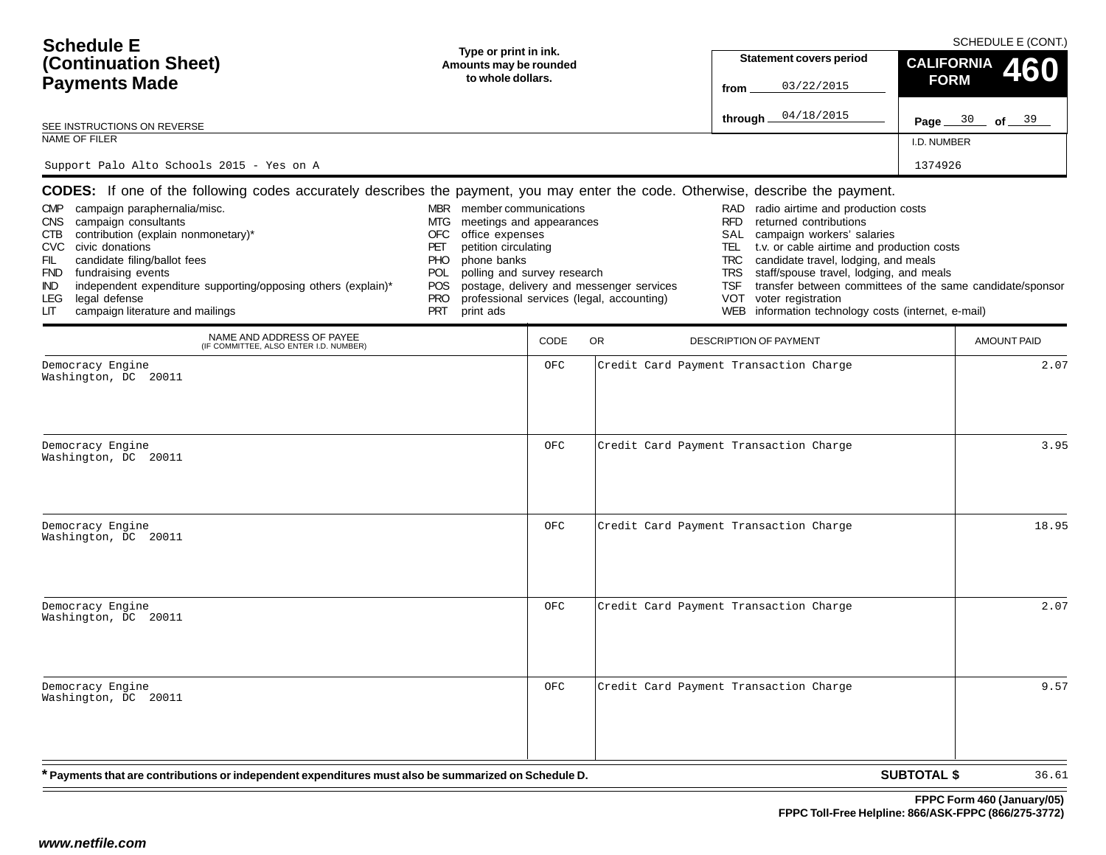| <b>Schedule E</b><br>(Continuation Sheet)<br><b>Payments Made</b><br>SEE INSTRUCTIONS ON REVERSE<br>NAME OF FILER<br>Support Palo Alto Schools 2015 - Yes on A                                                                                                                                                                                                                                                                                                                                                                   | Type or print in ink.<br>Amounts may be rounded<br>to whole dollars.                                                                                                                                                                     |             |                                                                                       | <b>Statement covers period</b><br>03/22/2015<br>from<br>04/18/2015<br>through _                                                                                                                                                                                                                                                                                                                                                                                            | <b>CALIFORNIA</b><br><b>FORM</b><br>Page $30$ of $39$<br><b>I.D. NUMBER</b><br>1374926 | SCHEDULE E (CONT.)<br>460 |
|----------------------------------------------------------------------------------------------------------------------------------------------------------------------------------------------------------------------------------------------------------------------------------------------------------------------------------------------------------------------------------------------------------------------------------------------------------------------------------------------------------------------------------|------------------------------------------------------------------------------------------------------------------------------------------------------------------------------------------------------------------------------------------|-------------|---------------------------------------------------------------------------------------|----------------------------------------------------------------------------------------------------------------------------------------------------------------------------------------------------------------------------------------------------------------------------------------------------------------------------------------------------------------------------------------------------------------------------------------------------------------------------|----------------------------------------------------------------------------------------|---------------------------|
| <b>CODES:</b> If one of the following codes accurately describes the payment, you may enter the code. Otherwise, describe the payment.<br>campaign paraphernalia/misc.<br><b>CMP</b><br>campaign consultants<br><b>CNS</b><br>contribution (explain nonmonetary)*<br>CTB<br><b>CVC</b><br>civic donations<br>candidate filing/ballot fees<br>FIL<br>fundraising events<br><b>FND</b><br>independent expenditure supporting/opposing others (explain)*<br>IND.<br>legal defense<br>LEG<br>campaign literature and mailings<br>LIТ | MBR member communications<br>meetings and appearances<br>MTG<br>office expenses<br>OFC<br>petition circulating<br>PET<br>phone banks<br><b>PHO</b><br>polling and survey research<br>POL<br>POS<br><b>PRO</b><br><b>PRT</b><br>print ads |             | postage, delivery and messenger services<br>professional services (legal, accounting) | radio airtime and production costs<br>RAD<br><b>RFD</b><br>returned contributions<br>campaign workers' salaries<br>SAL<br>t.v. or cable airtime and production costs<br>TEL<br>candidate travel, lodging, and meals<br><b>TRC</b><br>staff/spouse travel, lodging, and meals<br><b>TRS</b><br>transfer between committees of the same candidate/sponsor<br><b>TSF</b><br><b>VOT</b><br>voter registration<br>information technology costs (internet, e-mail)<br><b>WEB</b> |                                                                                        |                           |
| NAME AND ADDRESS OF PAYEE<br>(IF COMMITTEE, ALSO ENTER I.D. NUMBER)                                                                                                                                                                                                                                                                                                                                                                                                                                                              |                                                                                                                                                                                                                                          | <b>CODE</b> | OR                                                                                    | <b>DESCRIPTION OF PAYMENT</b>                                                                                                                                                                                                                                                                                                                                                                                                                                              |                                                                                        | <b>AMOUNT PAID</b>        |
| Democracy Engine<br>Washington, DC 20011                                                                                                                                                                                                                                                                                                                                                                                                                                                                                         |                                                                                                                                                                                                                                          | OFC         |                                                                                       | Credit Card Payment Transaction Charge                                                                                                                                                                                                                                                                                                                                                                                                                                     |                                                                                        | 2.07                      |
| Democracy Engine<br>Washington, DC 20011                                                                                                                                                                                                                                                                                                                                                                                                                                                                                         |                                                                                                                                                                                                                                          | OFC         |                                                                                       | Credit Card Payment Transaction Charge                                                                                                                                                                                                                                                                                                                                                                                                                                     |                                                                                        | 3.95                      |
| Democracy Engine<br>Washington, DC 20011                                                                                                                                                                                                                                                                                                                                                                                                                                                                                         |                                                                                                                                                                                                                                          | OFC         |                                                                                       | Credit Card Payment Transaction Charge                                                                                                                                                                                                                                                                                                                                                                                                                                     |                                                                                        | 18.95                     |
| Democracy Engine<br>Washington, DC 20011                                                                                                                                                                                                                                                                                                                                                                                                                                                                                         |                                                                                                                                                                                                                                          | OFC         |                                                                                       | Credit Card Payment Transaction Charge                                                                                                                                                                                                                                                                                                                                                                                                                                     |                                                                                        | 2.07                      |
| Democracy Engine<br>Washington, DC 20011                                                                                                                                                                                                                                                                                                                                                                                                                                                                                         |                                                                                                                                                                                                                                          | OFC         |                                                                                       | Credit Card Payment Transaction Charge                                                                                                                                                                                                                                                                                                                                                                                                                                     |                                                                                        | 9.57                      |
| * Payments that are contributions or independent expenditures must also be summarized on Schedule D.                                                                                                                                                                                                                                                                                                                                                                                                                             |                                                                                                                                                                                                                                          |             |                                                                                       |                                                                                                                                                                                                                                                                                                                                                                                                                                                                            | <b>SUBTOTAL \$</b>                                                                     | 36.61                     |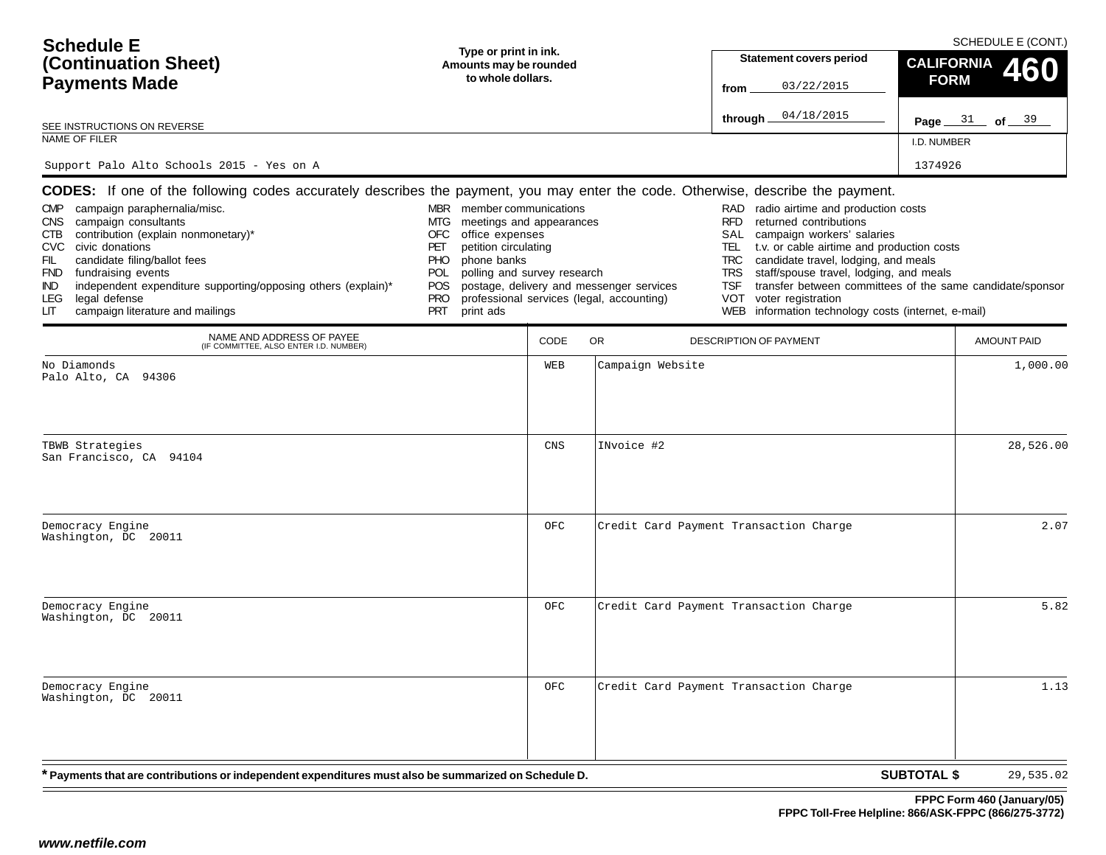| <b>Schedule E</b>                                                                                                                                                                                                                                                                                                                                                        |                                                                                                                                                                                                                                                  |            |                                                                                       | SCHEDULE E (CONT.)                                                                                                                                                                                                                                                                                                                                                                                                          |                                                           |  |  |  |
|--------------------------------------------------------------------------------------------------------------------------------------------------------------------------------------------------------------------------------------------------------------------------------------------------------------------------------------------------------------------------|--------------------------------------------------------------------------------------------------------------------------------------------------------------------------------------------------------------------------------------------------|------------|---------------------------------------------------------------------------------------|-----------------------------------------------------------------------------------------------------------------------------------------------------------------------------------------------------------------------------------------------------------------------------------------------------------------------------------------------------------------------------------------------------------------------------|-----------------------------------------------------------|--|--|--|
| Type or print in ink.<br>(Continuation Sheet)<br>Amounts may be rounded                                                                                                                                                                                                                                                                                                  |                                                                                                                                                                                                                                                  |            |                                                                                       | <b>Statement covers period</b>                                                                                                                                                                                                                                                                                                                                                                                              | <b>CALIFORNIA</b>                                         |  |  |  |
| to whole dollars.<br><b>Payments Made</b>                                                                                                                                                                                                                                                                                                                                |                                                                                                                                                                                                                                                  |            |                                                                                       | 03/22/2015<br>from                                                                                                                                                                                                                                                                                                                                                                                                          | <b>FORM</b>                                               |  |  |  |
|                                                                                                                                                                                                                                                                                                                                                                          |                                                                                                                                                                                                                                                  |            |                                                                                       | 04/18/2015<br>through                                                                                                                                                                                                                                                                                                                                                                                                       | 31<br>of $39$<br>Page $\_$                                |  |  |  |
| SEE INSTRUCTIONS ON REVERSE<br><b>NAME OF FILER</b>                                                                                                                                                                                                                                                                                                                      |                                                                                                                                                                                                                                                  |            |                                                                                       |                                                                                                                                                                                                                                                                                                                                                                                                                             | I.D. NUMBER                                               |  |  |  |
| Support Palo Alto Schools 2015 - Yes on A                                                                                                                                                                                                                                                                                                                                |                                                                                                                                                                                                                                                  |            |                                                                                       |                                                                                                                                                                                                                                                                                                                                                                                                                             | 1374926                                                   |  |  |  |
| CODES: If one of the following codes accurately describes the payment, you may enter the code. Otherwise, describe the payment.                                                                                                                                                                                                                                          |                                                                                                                                                                                                                                                  |            |                                                                                       |                                                                                                                                                                                                                                                                                                                                                                                                                             |                                                           |  |  |  |
| campaign paraphernalia/misc.<br><b>CMP</b><br>campaign consultants<br>CNS.<br>contribution (explain nonmonetary)*<br>СТВ<br>civic donations<br>CVC<br>candidate filing/ballot fees<br>FIL<br>fundraising events<br><b>FND</b><br>independent expenditure supporting/opposing others (explain)*<br>IND.<br>LEG<br>legal defense<br>campaign literature and mailings<br>LГ | MBR member communications<br>MTG<br>meetings and appearances<br>office expenses<br>OFC.<br>petition circulating<br>PET<br>phone banks<br><b>PHO</b><br>POL<br>polling and survey research<br><b>POS</b><br><b>PRO</b><br><b>PRT</b><br>print ads |            | postage, delivery and messenger services<br>professional services (legal, accounting) | radio airtime and production costs<br>RAD<br><b>RFD</b><br>returned contributions<br><b>SAL</b><br>campaign workers' salaries<br>t.v. or cable airtime and production costs<br><b>TEL</b><br><b>TRC</b><br>candidate travel, lodging, and meals<br><b>TRS</b><br>staff/spouse travel, lodging, and meals<br><b>TSF</b><br><b>VOT</b><br>voter registration<br>information technology costs (internet, e-mail)<br><b>WEB</b> | transfer between committees of the same candidate/sponsor |  |  |  |
| NAME AND ADDRESS OF PAYEE<br>(IF COMMITTEE, ALSO ENTER I.D. NUMBER)                                                                                                                                                                                                                                                                                                      |                                                                                                                                                                                                                                                  | CODE       | OR.                                                                                   | DESCRIPTION OF PAYMENT                                                                                                                                                                                                                                                                                                                                                                                                      | <b>AMOUNT PAID</b>                                        |  |  |  |
| No Diamonds<br>Palo Alto, CA 94306                                                                                                                                                                                                                                                                                                                                       |                                                                                                                                                                                                                                                  | WEB        | Campaign Website                                                                      |                                                                                                                                                                                                                                                                                                                                                                                                                             | 1,000.00                                                  |  |  |  |
| TBWB Strategies<br>San Francisco, CA 94104                                                                                                                                                                                                                                                                                                                               |                                                                                                                                                                                                                                                  | CNS        | INvoice #2                                                                            |                                                                                                                                                                                                                                                                                                                                                                                                                             | 28,526.00                                                 |  |  |  |
| Democracy Engine<br>Washington, DC 20011                                                                                                                                                                                                                                                                                                                                 |                                                                                                                                                                                                                                                  | <b>OFC</b> |                                                                                       | Credit Card Payment Transaction Charge                                                                                                                                                                                                                                                                                                                                                                                      | 2.07                                                      |  |  |  |
| Democracy Engine<br>Washington, DC 20011                                                                                                                                                                                                                                                                                                                                 |                                                                                                                                                                                                                                                  | <b>OFC</b> |                                                                                       | Credit Card Payment Transaction Charge                                                                                                                                                                                                                                                                                                                                                                                      | 5.82                                                      |  |  |  |
| Democracy Engine                                                                                                                                                                                                                                                                                                                                                         |                                                                                                                                                                                                                                                  | OFC        |                                                                                       | Credit Card Payment Transaction Charge                                                                                                                                                                                                                                                                                                                                                                                      | 1.13                                                      |  |  |  |

| Democracy Engine     |  |
|----------------------|--|
|                      |  |
| Washington, DC 20011 |  |

**\* Payments that are contributions or independent expenditures must also be summarized on Schedule D.**

**SUBTOTAL \$** 29,535.02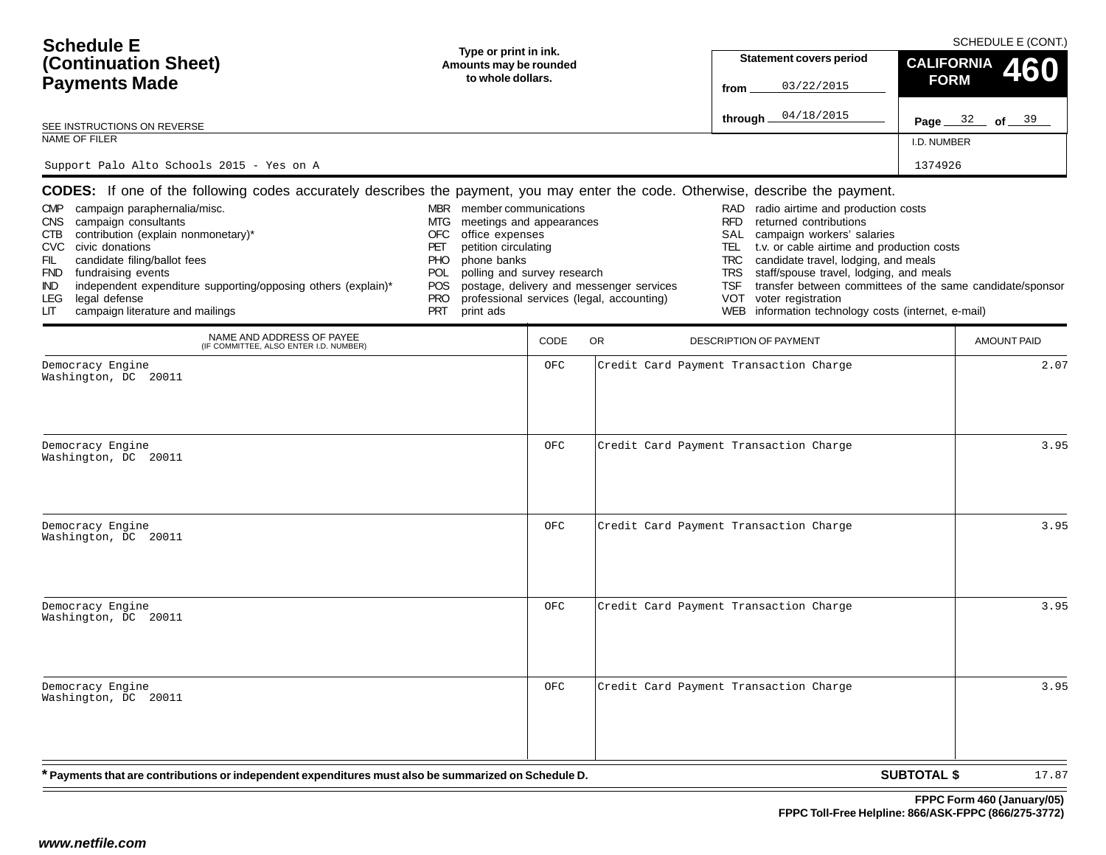| <b>Schedule E</b><br>(Continuation Sheet)<br><b>Payments Made</b><br>SEE INSTRUCTIONS ON REVERSE<br>NAME OF FILER<br>Support Palo Alto Schools 2015 - Yes on A                                                                                                                                                                                                                                                                                                                                                                   | Type or print in ink.<br>Amounts may be rounded<br>to whole dollars.                                                                                                                                                                     |             |                                                                                       | <b>Statement covers period</b><br>03/22/2015<br>from<br>04/18/2015<br>through _                                                                                                                                                                                                                                                                                                                                                                                            | <b>CALIFORNIA</b><br><b>FORM</b><br>Page $32$ of $39$<br>I.D. NUMBER<br>1374926 | SCHEDULE E (CONT.)<br>460 |
|----------------------------------------------------------------------------------------------------------------------------------------------------------------------------------------------------------------------------------------------------------------------------------------------------------------------------------------------------------------------------------------------------------------------------------------------------------------------------------------------------------------------------------|------------------------------------------------------------------------------------------------------------------------------------------------------------------------------------------------------------------------------------------|-------------|---------------------------------------------------------------------------------------|----------------------------------------------------------------------------------------------------------------------------------------------------------------------------------------------------------------------------------------------------------------------------------------------------------------------------------------------------------------------------------------------------------------------------------------------------------------------------|---------------------------------------------------------------------------------|---------------------------|
| <b>CODES:</b> If one of the following codes accurately describes the payment, you may enter the code. Otherwise, describe the payment.<br>campaign paraphernalia/misc.<br><b>CMP</b><br>campaign consultants<br><b>CNS</b><br>contribution (explain nonmonetary)*<br>CTB<br><b>CVC</b><br>civic donations<br>candidate filing/ballot fees<br>FIL<br>fundraising events<br><b>FND</b><br>independent expenditure supporting/opposing others (explain)*<br>IND.<br>legal defense<br>LEG<br>campaign literature and mailings<br>LIТ | MBR member communications<br>meetings and appearances<br>MTG<br>office expenses<br>OFC<br>petition circulating<br>PET<br>phone banks<br><b>PHO</b><br>polling and survey research<br>POL<br>POS<br><b>PRO</b><br><b>PRT</b><br>print ads |             | postage, delivery and messenger services<br>professional services (legal, accounting) | radio airtime and production costs<br>RAD<br><b>RFD</b><br>returned contributions<br>campaign workers' salaries<br>SAL<br>t.v. or cable airtime and production costs<br>TEL<br>candidate travel, lodging, and meals<br><b>TRC</b><br>staff/spouse travel, lodging, and meals<br><b>TRS</b><br>transfer between committees of the same candidate/sponsor<br><b>TSF</b><br><b>VOT</b><br>voter registration<br>information technology costs (internet, e-mail)<br><b>WEB</b> |                                                                                 |                           |
| NAME AND ADDRESS OF PAYEE<br>(IF COMMITTEE, ALSO ENTER I.D. NUMBER)                                                                                                                                                                                                                                                                                                                                                                                                                                                              |                                                                                                                                                                                                                                          | <b>CODE</b> | OR                                                                                    | <b>DESCRIPTION OF PAYMENT</b>                                                                                                                                                                                                                                                                                                                                                                                                                                              |                                                                                 | <b>AMOUNT PAID</b>        |
| Democracy Engine<br>Washington, DC 20011<br>Democracy Engine                                                                                                                                                                                                                                                                                                                                                                                                                                                                     |                                                                                                                                                                                                                                          | OFC<br>OFC  |                                                                                       | Credit Card Payment Transaction Charge<br>Credit Card Payment Transaction Charge                                                                                                                                                                                                                                                                                                                                                                                           |                                                                                 | 2.07<br>3.95              |
| Washington, DC 20011                                                                                                                                                                                                                                                                                                                                                                                                                                                                                                             |                                                                                                                                                                                                                                          |             |                                                                                       |                                                                                                                                                                                                                                                                                                                                                                                                                                                                            |                                                                                 |                           |
| Democracy Engine<br>Washington, DC 20011                                                                                                                                                                                                                                                                                                                                                                                                                                                                                         |                                                                                                                                                                                                                                          | OFC         |                                                                                       | Credit Card Payment Transaction Charge                                                                                                                                                                                                                                                                                                                                                                                                                                     |                                                                                 | 3.95                      |
| Democracy Engine<br>Washington, DC 20011                                                                                                                                                                                                                                                                                                                                                                                                                                                                                         |                                                                                                                                                                                                                                          | OFC         |                                                                                       | Credit Card Payment Transaction Charge                                                                                                                                                                                                                                                                                                                                                                                                                                     |                                                                                 | 3.95                      |
| Democracy Engine<br>Washington, DC 20011                                                                                                                                                                                                                                                                                                                                                                                                                                                                                         |                                                                                                                                                                                                                                          | OFC         |                                                                                       | Credit Card Payment Transaction Charge                                                                                                                                                                                                                                                                                                                                                                                                                                     |                                                                                 | 3.95                      |
| * Payments that are contributions or independent expenditures must also be summarized on Schedule D.                                                                                                                                                                                                                                                                                                                                                                                                                             |                                                                                                                                                                                                                                          |             |                                                                                       |                                                                                                                                                                                                                                                                                                                                                                                                                                                                            | <b>SUBTOTAL \$</b>                                                              | 17.87                     |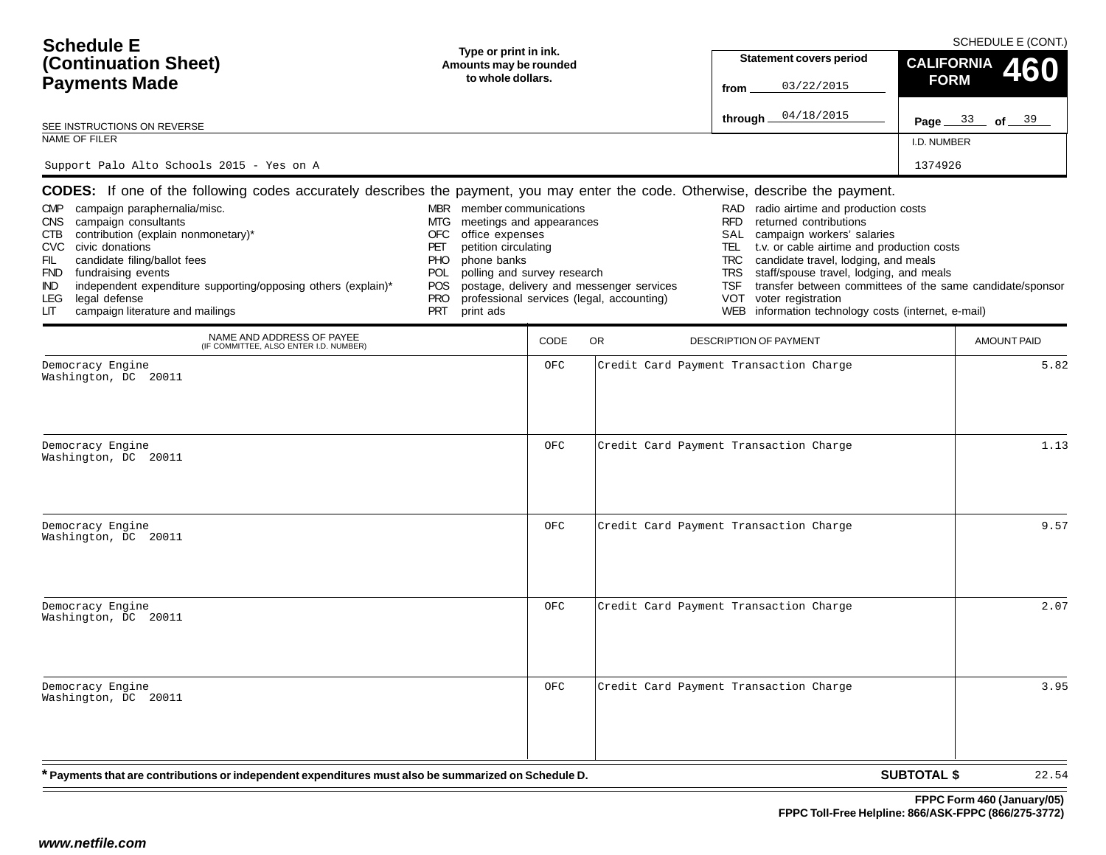| <b>Schedule E</b><br>(Continuation Sheet)<br><b>Payments Made</b><br>SEE INSTRUCTIONS ON REVERSE<br>NAME OF FILER<br>Support Palo Alto Schools 2015 - Yes on A                                                                                                                                                                                                                                                                                                                                                                   | Type or print in ink.<br>Amounts may be rounded<br>to whole dollars.                                                                                                                                                                     |             |                                                                                       | <b>Statement covers period</b><br>03/22/2015<br>from<br>04/18/2015<br>through _                                                                                                                                                                                                                                                                                                                                                                                            | <b>CALIFORNIA</b><br><b>FORM</b><br>Page $33$ of $39$<br>I.D. NUMBER<br>1374926 | SCHEDULE E (CONT.)<br>460 |
|----------------------------------------------------------------------------------------------------------------------------------------------------------------------------------------------------------------------------------------------------------------------------------------------------------------------------------------------------------------------------------------------------------------------------------------------------------------------------------------------------------------------------------|------------------------------------------------------------------------------------------------------------------------------------------------------------------------------------------------------------------------------------------|-------------|---------------------------------------------------------------------------------------|----------------------------------------------------------------------------------------------------------------------------------------------------------------------------------------------------------------------------------------------------------------------------------------------------------------------------------------------------------------------------------------------------------------------------------------------------------------------------|---------------------------------------------------------------------------------|---------------------------|
| <b>CODES:</b> If one of the following codes accurately describes the payment, you may enter the code. Otherwise, describe the payment.<br>campaign paraphernalia/misc.<br><b>CMP</b><br>campaign consultants<br><b>CNS</b><br>contribution (explain nonmonetary)*<br>CTB<br><b>CVC</b><br>civic donations<br>candidate filing/ballot fees<br>FIL<br>fundraising events<br><b>FND</b><br>independent expenditure supporting/opposing others (explain)*<br>IND.<br>legal defense<br>LEG<br>campaign literature and mailings<br>LIТ | MBR member communications<br>meetings and appearances<br>MTG<br>office expenses<br>OFC<br>petition circulating<br>PET<br>phone banks<br><b>PHO</b><br>polling and survey research<br>POL<br>POS<br><b>PRO</b><br><b>PRT</b><br>print ads |             | postage, delivery and messenger services<br>professional services (legal, accounting) | radio airtime and production costs<br>RAD<br><b>RFD</b><br>returned contributions<br>campaign workers' salaries<br>SAL<br>t.v. or cable airtime and production costs<br>TEL<br>candidate travel, lodging, and meals<br><b>TRC</b><br>staff/spouse travel, lodging, and meals<br><b>TRS</b><br>transfer between committees of the same candidate/sponsor<br><b>TSF</b><br><b>VOT</b><br>voter registration<br>information technology costs (internet, e-mail)<br><b>WEB</b> |                                                                                 |                           |
| NAME AND ADDRESS OF PAYEE<br>(IF COMMITTEE, ALSO ENTER I.D. NUMBER)                                                                                                                                                                                                                                                                                                                                                                                                                                                              |                                                                                                                                                                                                                                          | <b>CODE</b> | OR                                                                                    | <b>DESCRIPTION OF PAYMENT</b>                                                                                                                                                                                                                                                                                                                                                                                                                                              |                                                                                 | <b>AMOUNT PAID</b>        |
| Democracy Engine<br>Washington, DC 20011<br>Democracy Engine                                                                                                                                                                                                                                                                                                                                                                                                                                                                     |                                                                                                                                                                                                                                          | OFC<br>OFC  |                                                                                       | Credit Card Payment Transaction Charge<br>Credit Card Payment Transaction Charge                                                                                                                                                                                                                                                                                                                                                                                           |                                                                                 | 5.82<br>1.13              |
| Washington, DC 20011<br>Democracy Engine                                                                                                                                                                                                                                                                                                                                                                                                                                                                                         |                                                                                                                                                                                                                                          | OFC         |                                                                                       | Credit Card Payment Transaction Charge                                                                                                                                                                                                                                                                                                                                                                                                                                     |                                                                                 | 9.57                      |
| Washington, DC 20011                                                                                                                                                                                                                                                                                                                                                                                                                                                                                                             |                                                                                                                                                                                                                                          |             |                                                                                       |                                                                                                                                                                                                                                                                                                                                                                                                                                                                            |                                                                                 |                           |
| Democracy Engine<br>Washington, DC 20011                                                                                                                                                                                                                                                                                                                                                                                                                                                                                         |                                                                                                                                                                                                                                          | OFC         |                                                                                       | Credit Card Payment Transaction Charge                                                                                                                                                                                                                                                                                                                                                                                                                                     |                                                                                 | 2.07                      |
| Democracy Engine<br>Washington, DC 20011                                                                                                                                                                                                                                                                                                                                                                                                                                                                                         |                                                                                                                                                                                                                                          | OFC         |                                                                                       | Credit Card Payment Transaction Charge                                                                                                                                                                                                                                                                                                                                                                                                                                     |                                                                                 | 3.95                      |
| * Payments that are contributions or independent expenditures must also be summarized on Schedule D.                                                                                                                                                                                                                                                                                                                                                                                                                             |                                                                                                                                                                                                                                          |             |                                                                                       |                                                                                                                                                                                                                                                                                                                                                                                                                                                                            | <b>SUBTOTAL \$</b>                                                              | 22.54                     |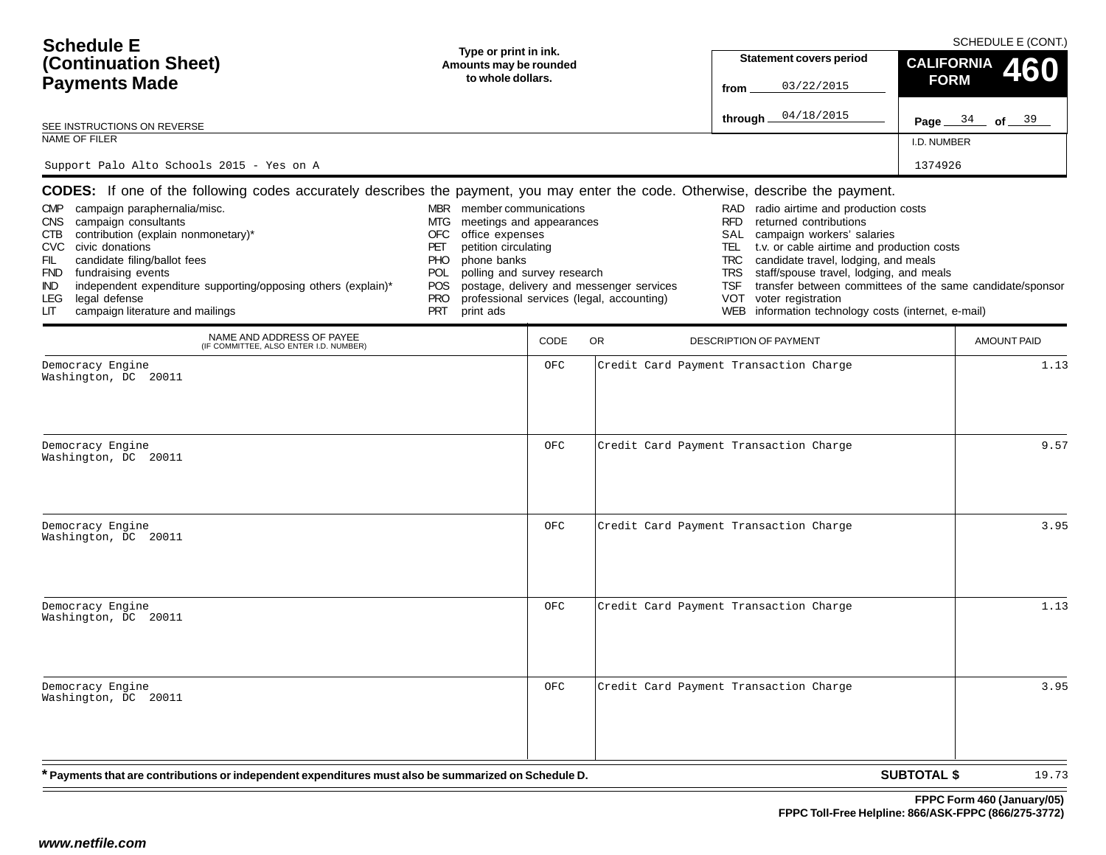| <b>Schedule E</b><br>(Continuation Sheet)<br><b>Payments Made</b><br>SEE INSTRUCTIONS ON REVERSE<br>NAME OF FILER<br>Support Palo Alto Schools 2015 - Yes on A                                                                                                                                                                                                                                                                                                                                                                   | Type or print in ink.<br>Amounts may be rounded<br>to whole dollars.                                                                                                                                                                     |             |                                                                                       | <b>Statement covers period</b><br>03/22/2015<br>from<br>04/18/2015<br>through _                                                                                                                                                                                                                                                                                                                                                                                     | <b>CALIFORNIA</b><br><b>FORM</b><br>Page $34$ of $39$<br>I.D. NUMBER<br>1374926 | SCHEDULE E (CONT.)<br>460 |
|----------------------------------------------------------------------------------------------------------------------------------------------------------------------------------------------------------------------------------------------------------------------------------------------------------------------------------------------------------------------------------------------------------------------------------------------------------------------------------------------------------------------------------|------------------------------------------------------------------------------------------------------------------------------------------------------------------------------------------------------------------------------------------|-------------|---------------------------------------------------------------------------------------|---------------------------------------------------------------------------------------------------------------------------------------------------------------------------------------------------------------------------------------------------------------------------------------------------------------------------------------------------------------------------------------------------------------------------------------------------------------------|---------------------------------------------------------------------------------|---------------------------|
| <b>CODES:</b> If one of the following codes accurately describes the payment, you may enter the code. Otherwise, describe the payment.<br>campaign paraphernalia/misc.<br><b>CMP</b><br>campaign consultants<br><b>CNS</b><br>contribution (explain nonmonetary)*<br>CTB<br><b>CVC</b><br>civic donations<br>candidate filing/ballot fees<br>FIL<br>fundraising events<br><b>FND</b><br>independent expenditure supporting/opposing others (explain)*<br>IND.<br>legal defense<br>LEG<br>campaign literature and mailings<br>LIТ | MBR member communications<br>meetings and appearances<br>MTG<br>office expenses<br>OFC<br>petition circulating<br>PET<br>phone banks<br><b>PHO</b><br>polling and survey research<br>POL<br>POS<br><b>PRO</b><br><b>PRT</b><br>print ads |             | postage, delivery and messenger services<br>professional services (legal, accounting) | radio airtime and production costs<br>RAD<br><b>RFD</b><br>returned contributions<br>campaign workers' salaries<br>SAL<br>t.v. or cable airtime and production costs<br>TEL<br>candidate travel, lodging, and meals<br><b>TRC</b><br>staff/spouse travel, lodging, and meals<br><b>TRS</b><br>transfer between committees of the same candidate/sponsor<br><b>TSF</b><br><b>VOT</b><br>voter registration<br>information technology costs (internet, e-mail)<br>WEB |                                                                                 |                           |
| NAME AND ADDRESS OF PAYEE<br>(IF COMMITTEE, ALSO ENTER I.D. NUMBER)                                                                                                                                                                                                                                                                                                                                                                                                                                                              |                                                                                                                                                                                                                                          | <b>CODE</b> | OR                                                                                    | <b>DESCRIPTION OF PAYMENT</b>                                                                                                                                                                                                                                                                                                                                                                                                                                       |                                                                                 | <b>AMOUNT PAID</b>        |
| Democracy Engine<br>Washington, DC 20011<br>Democracy Engine                                                                                                                                                                                                                                                                                                                                                                                                                                                                     |                                                                                                                                                                                                                                          | OFC<br>OFC  |                                                                                       | Credit Card Payment Transaction Charge<br>Credit Card Payment Transaction Charge                                                                                                                                                                                                                                                                                                                                                                                    |                                                                                 | 1.13<br>9.57              |
| Washington, DC 20011<br>Democracy Engine                                                                                                                                                                                                                                                                                                                                                                                                                                                                                         |                                                                                                                                                                                                                                          | OFC         |                                                                                       | Credit Card Payment Transaction Charge                                                                                                                                                                                                                                                                                                                                                                                                                              |                                                                                 | 3.95                      |
| Washington, DC 20011                                                                                                                                                                                                                                                                                                                                                                                                                                                                                                             |                                                                                                                                                                                                                                          |             |                                                                                       |                                                                                                                                                                                                                                                                                                                                                                                                                                                                     |                                                                                 |                           |
| Democracy Engine<br>Washington, DC 20011                                                                                                                                                                                                                                                                                                                                                                                                                                                                                         |                                                                                                                                                                                                                                          | OFC         |                                                                                       | Credit Card Payment Transaction Charge                                                                                                                                                                                                                                                                                                                                                                                                                              |                                                                                 | 1.13                      |
| Democracy Engine<br>Washington, DC 20011                                                                                                                                                                                                                                                                                                                                                                                                                                                                                         |                                                                                                                                                                                                                                          | OFC         |                                                                                       | Credit Card Payment Transaction Charge                                                                                                                                                                                                                                                                                                                                                                                                                              |                                                                                 | 3.95                      |
| * Payments that are contributions or independent expenditures must also be summarized on Schedule D.                                                                                                                                                                                                                                                                                                                                                                                                                             |                                                                                                                                                                                                                                          |             |                                                                                       |                                                                                                                                                                                                                                                                                                                                                                                                                                                                     | <b>SUBTOTAL \$</b>                                                              | 19.73                     |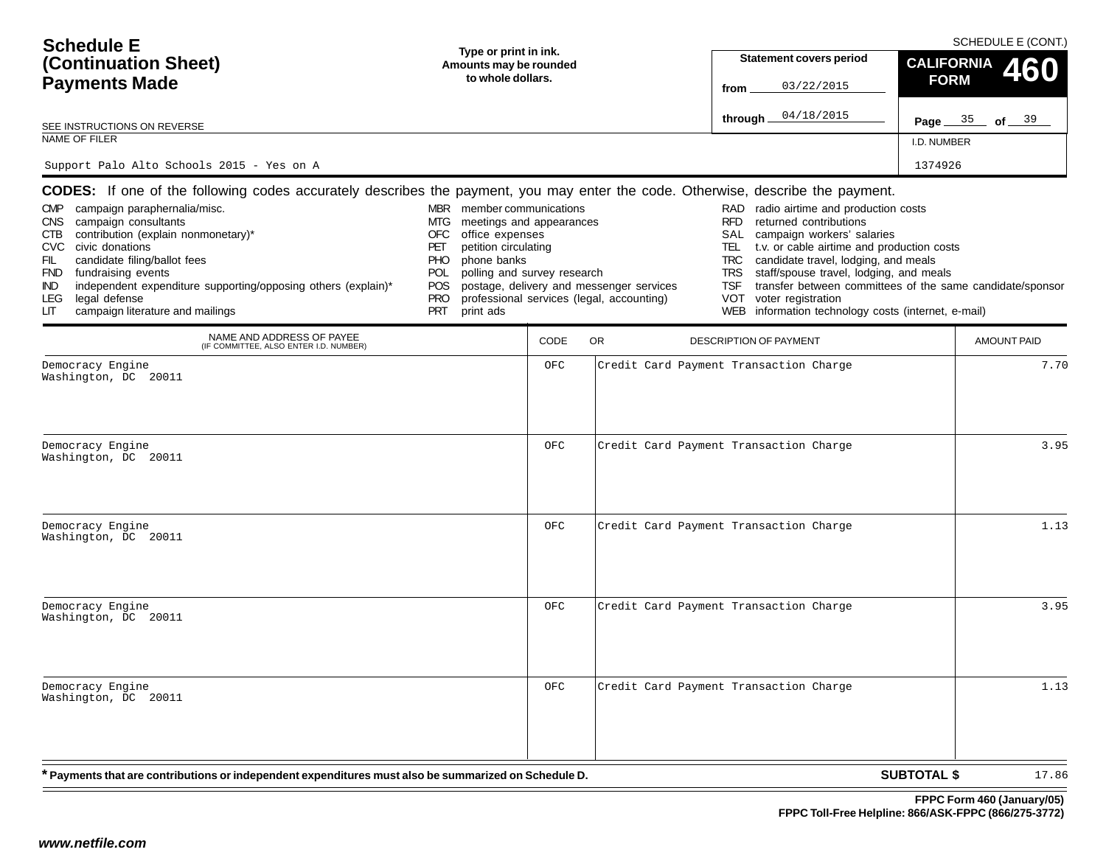| <b>Schedule E</b><br>(Continuation Sheet)<br><b>Payments Made</b><br>SEE INSTRUCTIONS ON REVERSE<br>NAME OF FILER<br>Support Palo Alto Schools 2015 - Yes on A                                                                                                                                                                                                                                                                                                                                                                   | Type or print in ink.<br>Amounts may be rounded<br>to whole dollars.                                                                                                                                                                     |             |                                                                                       | <b>Statement covers period</b><br>03/22/2015<br>from<br>04/18/2015<br>through _                                                                                                                                                                                                                                                                                                                                                                                     | <b>CALIFORNIA</b><br><b>FORM</b><br>Page 35 of 39<br>I.D. NUMBER<br>1374926 | SCHEDULE E (CONT.)<br>460 |
|----------------------------------------------------------------------------------------------------------------------------------------------------------------------------------------------------------------------------------------------------------------------------------------------------------------------------------------------------------------------------------------------------------------------------------------------------------------------------------------------------------------------------------|------------------------------------------------------------------------------------------------------------------------------------------------------------------------------------------------------------------------------------------|-------------|---------------------------------------------------------------------------------------|---------------------------------------------------------------------------------------------------------------------------------------------------------------------------------------------------------------------------------------------------------------------------------------------------------------------------------------------------------------------------------------------------------------------------------------------------------------------|-----------------------------------------------------------------------------|---------------------------|
| <b>CODES:</b> If one of the following codes accurately describes the payment, you may enter the code. Otherwise, describe the payment.<br>campaign paraphernalia/misc.<br><b>CMP</b><br>campaign consultants<br><b>CNS</b><br>contribution (explain nonmonetary)*<br>CTB<br><b>CVC</b><br>civic donations<br>candidate filing/ballot fees<br>FIL<br>fundraising events<br><b>FND</b><br>independent expenditure supporting/opposing others (explain)*<br>IND.<br>legal defense<br>LEG<br>campaign literature and mailings<br>LIТ | MBR member communications<br>meetings and appearances<br>MTG<br>office expenses<br>OFC<br>petition circulating<br>PET<br>phone banks<br><b>PHO</b><br>polling and survey research<br>POL<br>POS<br><b>PRO</b><br><b>PRT</b><br>print ads |             | postage, delivery and messenger services<br>professional services (legal, accounting) | radio airtime and production costs<br>RAD<br><b>RFD</b><br>returned contributions<br>campaign workers' salaries<br>SAL<br>t.v. or cable airtime and production costs<br>TEL<br>candidate travel, lodging, and meals<br><b>TRC</b><br>staff/spouse travel, lodging, and meals<br><b>TRS</b><br>transfer between committees of the same candidate/sponsor<br><b>TSF</b><br><b>VOT</b><br>voter registration<br>information technology costs (internet, e-mail)<br>WEB |                                                                             |                           |
| NAME AND ADDRESS OF PAYEE<br>(IF COMMITTEE, ALSO ENTER I.D. NUMBER)                                                                                                                                                                                                                                                                                                                                                                                                                                                              |                                                                                                                                                                                                                                          | <b>CODE</b> | OR                                                                                    | <b>DESCRIPTION OF PAYMENT</b>                                                                                                                                                                                                                                                                                                                                                                                                                                       |                                                                             | <b>AMOUNT PAID</b>        |
| Democracy Engine<br>Washington, DC 20011<br>Democracy Engine<br>Washington, DC 20011                                                                                                                                                                                                                                                                                                                                                                                                                                             |                                                                                                                                                                                                                                          | OFC<br>OFC  |                                                                                       | Credit Card Payment Transaction Charge<br>Credit Card Payment Transaction Charge                                                                                                                                                                                                                                                                                                                                                                                    |                                                                             | 7.70<br>3.95              |
| Democracy Engine<br>Washington, DC 20011                                                                                                                                                                                                                                                                                                                                                                                                                                                                                         |                                                                                                                                                                                                                                          | OFC         |                                                                                       | Credit Card Payment Transaction Charge                                                                                                                                                                                                                                                                                                                                                                                                                              |                                                                             | 1.13                      |
| Democracy Engine<br>Washington, DC 20011                                                                                                                                                                                                                                                                                                                                                                                                                                                                                         |                                                                                                                                                                                                                                          | OFC         |                                                                                       | Credit Card Payment Transaction Charge                                                                                                                                                                                                                                                                                                                                                                                                                              |                                                                             | 3.95                      |
| Democracy Engine<br>Washington, DC 20011                                                                                                                                                                                                                                                                                                                                                                                                                                                                                         |                                                                                                                                                                                                                                          | OFC         |                                                                                       | Credit Card Payment Transaction Charge                                                                                                                                                                                                                                                                                                                                                                                                                              |                                                                             | 1.13                      |
| * Payments that are contributions or independent expenditures must also be summarized on Schedule D.                                                                                                                                                                                                                                                                                                                                                                                                                             |                                                                                                                                                                                                                                          |             |                                                                                       |                                                                                                                                                                                                                                                                                                                                                                                                                                                                     | <b>SUBTOTAL \$</b>                                                          | 17.86                     |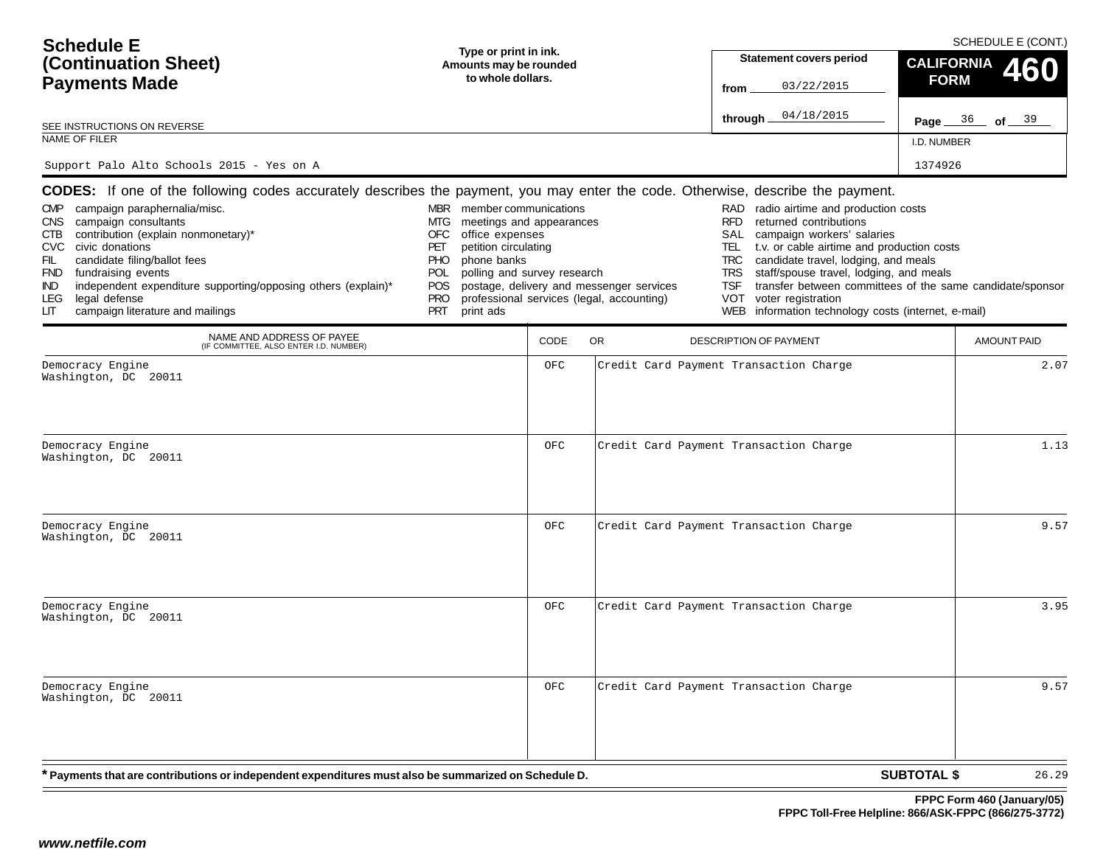| <b>Schedule E</b><br>(Continuation Sheet)<br><b>Payments Made</b><br>SEE INSTRUCTIONS ON REVERSE<br>NAME OF FILER<br>Support Palo Alto Schools 2015 - Yes on A                                                                                                                                                                                                                                                                                                                                                                   | Type or print in ink.<br>Amounts may be rounded<br>to whole dollars.                                                                                                                                                                     |             |                                                                                       | <b>Statement covers period</b><br>03/22/2015<br>from<br>04/18/2015<br>through _                                                                                                                                                                                                                                                                                                                                                                                     | <b>CALIFORNIA</b><br><b>FORM</b><br>Page 36 of 39<br>I.D. NUMBER<br>1374926 | SCHEDULE E (CONT.)<br>460 |
|----------------------------------------------------------------------------------------------------------------------------------------------------------------------------------------------------------------------------------------------------------------------------------------------------------------------------------------------------------------------------------------------------------------------------------------------------------------------------------------------------------------------------------|------------------------------------------------------------------------------------------------------------------------------------------------------------------------------------------------------------------------------------------|-------------|---------------------------------------------------------------------------------------|---------------------------------------------------------------------------------------------------------------------------------------------------------------------------------------------------------------------------------------------------------------------------------------------------------------------------------------------------------------------------------------------------------------------------------------------------------------------|-----------------------------------------------------------------------------|---------------------------|
| <b>CODES:</b> If one of the following codes accurately describes the payment, you may enter the code. Otherwise, describe the payment.<br>campaign paraphernalia/misc.<br><b>CMP</b><br>campaign consultants<br><b>CNS</b><br>contribution (explain nonmonetary)*<br>CTB<br><b>CVC</b><br>civic donations<br>candidate filing/ballot fees<br>FIL<br>fundraising events<br><b>FND</b><br>independent expenditure supporting/opposing others (explain)*<br>IND.<br>legal defense<br>LEG<br>campaign literature and mailings<br>LIТ | MBR member communications<br>meetings and appearances<br>MTG<br>office expenses<br>OFC<br>petition circulating<br>PET<br>phone banks<br><b>PHO</b><br>polling and survey research<br>POL<br>POS<br><b>PRO</b><br><b>PRT</b><br>print ads |             | postage, delivery and messenger services<br>professional services (legal, accounting) | radio airtime and production costs<br>RAD<br><b>RFD</b><br>returned contributions<br>campaign workers' salaries<br>SAL<br>t.v. or cable airtime and production costs<br>TEL<br>candidate travel, lodging, and meals<br><b>TRC</b><br>staff/spouse travel, lodging, and meals<br><b>TRS</b><br>transfer between committees of the same candidate/sponsor<br><b>TSF</b><br><b>VOT</b><br>voter registration<br>information technology costs (internet, e-mail)<br>WEB |                                                                             |                           |
| NAME AND ADDRESS OF PAYEE<br>(IF COMMITTEE, ALSO ENTER I.D. NUMBER)                                                                                                                                                                                                                                                                                                                                                                                                                                                              |                                                                                                                                                                                                                                          | <b>CODE</b> | OR                                                                                    | <b>DESCRIPTION OF PAYMENT</b>                                                                                                                                                                                                                                                                                                                                                                                                                                       |                                                                             | <b>AMOUNT PAID</b>        |
| Democracy Engine<br>Washington, DC 20011<br>Democracy Engine                                                                                                                                                                                                                                                                                                                                                                                                                                                                     |                                                                                                                                                                                                                                          | OFC<br>OFC  |                                                                                       | Credit Card Payment Transaction Charge<br>Credit Card Payment Transaction Charge                                                                                                                                                                                                                                                                                                                                                                                    |                                                                             | 2.07<br>1.13              |
| Washington, DC 20011<br>Democracy Engine                                                                                                                                                                                                                                                                                                                                                                                                                                                                                         |                                                                                                                                                                                                                                          | OFC         |                                                                                       | Credit Card Payment Transaction Charge                                                                                                                                                                                                                                                                                                                                                                                                                              |                                                                             | 9.57                      |
| Washington, DC 20011                                                                                                                                                                                                                                                                                                                                                                                                                                                                                                             |                                                                                                                                                                                                                                          |             |                                                                                       |                                                                                                                                                                                                                                                                                                                                                                                                                                                                     |                                                                             |                           |
| Democracy Engine<br>Washington, DC 20011                                                                                                                                                                                                                                                                                                                                                                                                                                                                                         |                                                                                                                                                                                                                                          | OFC         |                                                                                       | Credit Card Payment Transaction Charge                                                                                                                                                                                                                                                                                                                                                                                                                              |                                                                             | 3.95                      |
| Democracy Engine<br>Washington, DC 20011                                                                                                                                                                                                                                                                                                                                                                                                                                                                                         |                                                                                                                                                                                                                                          | OFC         |                                                                                       | Credit Card Payment Transaction Charge                                                                                                                                                                                                                                                                                                                                                                                                                              |                                                                             | 9.57                      |
| * Payments that are contributions or independent expenditures must also be summarized on Schedule D.                                                                                                                                                                                                                                                                                                                                                                                                                             |                                                                                                                                                                                                                                          |             |                                                                                       |                                                                                                                                                                                                                                                                                                                                                                                                                                                                     | <b>SUBTOTAL \$</b>                                                          | 26.29                     |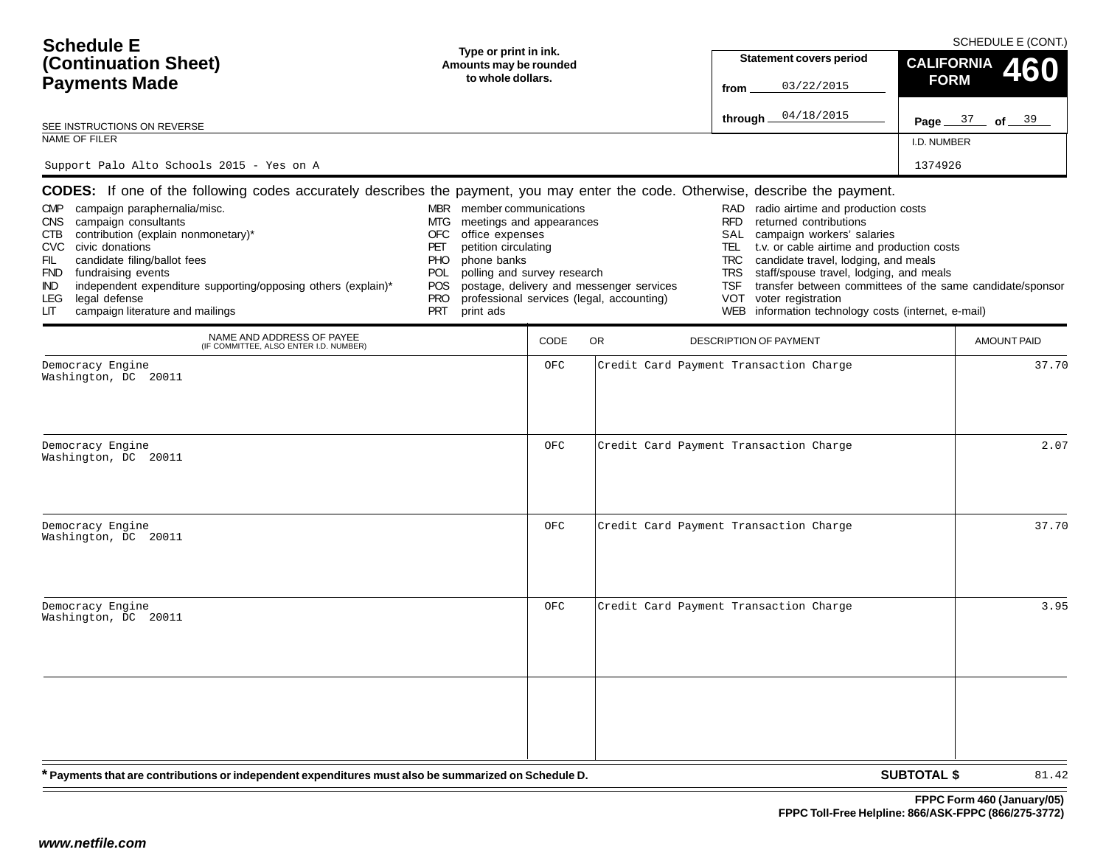| <b>Schedule E</b><br>(Continuation Sheet)<br><b>Payments Made</b><br>SEE INSTRUCTIONS ON REVERSE<br>NAME OF FILER<br>Support Palo Alto Schools 2015 - Yes on A                                                                                                                                                                                                                                                                                                                                                                   | Type or print in ink.<br>Amounts may be rounded<br>to whole dollars.                                                                                                                                                                     |            |                                                                                       | <b>Statement covers period</b><br>03/22/2015<br>from<br>04/18/2015<br>through.                                                                                                                                                                                                                                                                                                                                                                                             | <b>CALIFORNIA</b><br><b>FORM</b><br>Page 37 of 39<br>I.D. NUMBER<br>1374926 | SCHEDULE E (CONT.)<br>460 |
|----------------------------------------------------------------------------------------------------------------------------------------------------------------------------------------------------------------------------------------------------------------------------------------------------------------------------------------------------------------------------------------------------------------------------------------------------------------------------------------------------------------------------------|------------------------------------------------------------------------------------------------------------------------------------------------------------------------------------------------------------------------------------------|------------|---------------------------------------------------------------------------------------|----------------------------------------------------------------------------------------------------------------------------------------------------------------------------------------------------------------------------------------------------------------------------------------------------------------------------------------------------------------------------------------------------------------------------------------------------------------------------|-----------------------------------------------------------------------------|---------------------------|
| <b>CODES:</b> If one of the following codes accurately describes the payment, you may enter the code. Otherwise, describe the payment.<br>campaign paraphernalia/misc.<br><b>CMP</b><br>campaign consultants<br><b>CNS</b><br>contribution (explain nonmonetary)*<br>CTB<br><b>CVC</b><br>civic donations<br>candidate filing/ballot fees<br>FIL<br>fundraising events<br><b>FND</b><br>independent expenditure supporting/opposing others (explain)*<br>IND.<br>legal defense<br>LEG<br>campaign literature and mailings<br>LIТ | MBR member communications<br>meetings and appearances<br>MTG<br>office expenses<br>OFC<br>petition circulating<br>PET<br>phone banks<br><b>PHO</b><br>polling and survey research<br><b>POL</b><br>POS<br><b>PRO</b><br>PRT<br>print ads |            | postage, delivery and messenger services<br>professional services (legal, accounting) | radio airtime and production costs<br>RAD<br><b>RFD</b><br>returned contributions<br>campaign workers' salaries<br>SAL<br>t.v. or cable airtime and production costs<br>TEL<br>candidate travel, lodging, and meals<br><b>TRC</b><br>staff/spouse travel, lodging, and meals<br><b>TRS</b><br>transfer between committees of the same candidate/sponsor<br><b>TSF</b><br><b>VOT</b><br>voter registration<br>information technology costs (internet, e-mail)<br><b>WEB</b> |                                                                             |                           |
| NAME AND ADDRESS OF PAYEE<br>(IF COMMITTEE, ALSO ENTER I.D. NUMBER)                                                                                                                                                                                                                                                                                                                                                                                                                                                              |                                                                                                                                                                                                                                          | CODE       | OR                                                                                    | DESCRIPTION OF PAYMENT                                                                                                                                                                                                                                                                                                                                                                                                                                                     |                                                                             | <b>AMOUNT PAID</b>        |
| Democracy Engine<br>Washington, DC 20011<br>Democracy Engine<br>Washington, DC 20011                                                                                                                                                                                                                                                                                                                                                                                                                                             |                                                                                                                                                                                                                                          | OFC<br>OFC |                                                                                       | Credit Card Payment Transaction Charge<br>Credit Card Payment Transaction Charge                                                                                                                                                                                                                                                                                                                                                                                           |                                                                             | 37.70<br>2.07             |
| Democracy Engine<br>Washington, DC 20011                                                                                                                                                                                                                                                                                                                                                                                                                                                                                         |                                                                                                                                                                                                                                          | OFC        |                                                                                       | Credit Card Payment Transaction Charge                                                                                                                                                                                                                                                                                                                                                                                                                                     |                                                                             | 37.70                     |
| Democracy Engine<br>Washington, DC 20011                                                                                                                                                                                                                                                                                                                                                                                                                                                                                         |                                                                                                                                                                                                                                          | OFC        |                                                                                       | Credit Card Payment Transaction Charge                                                                                                                                                                                                                                                                                                                                                                                                                                     |                                                                             | 3.95                      |
| * Payments that are contributions or independent expenditures must also be summarized on Schedule D.                                                                                                                                                                                                                                                                                                                                                                                                                             |                                                                                                                                                                                                                                          |            |                                                                                       |                                                                                                                                                                                                                                                                                                                                                                                                                                                                            | <b>SUBTOTAL \$</b>                                                          | 81.42                     |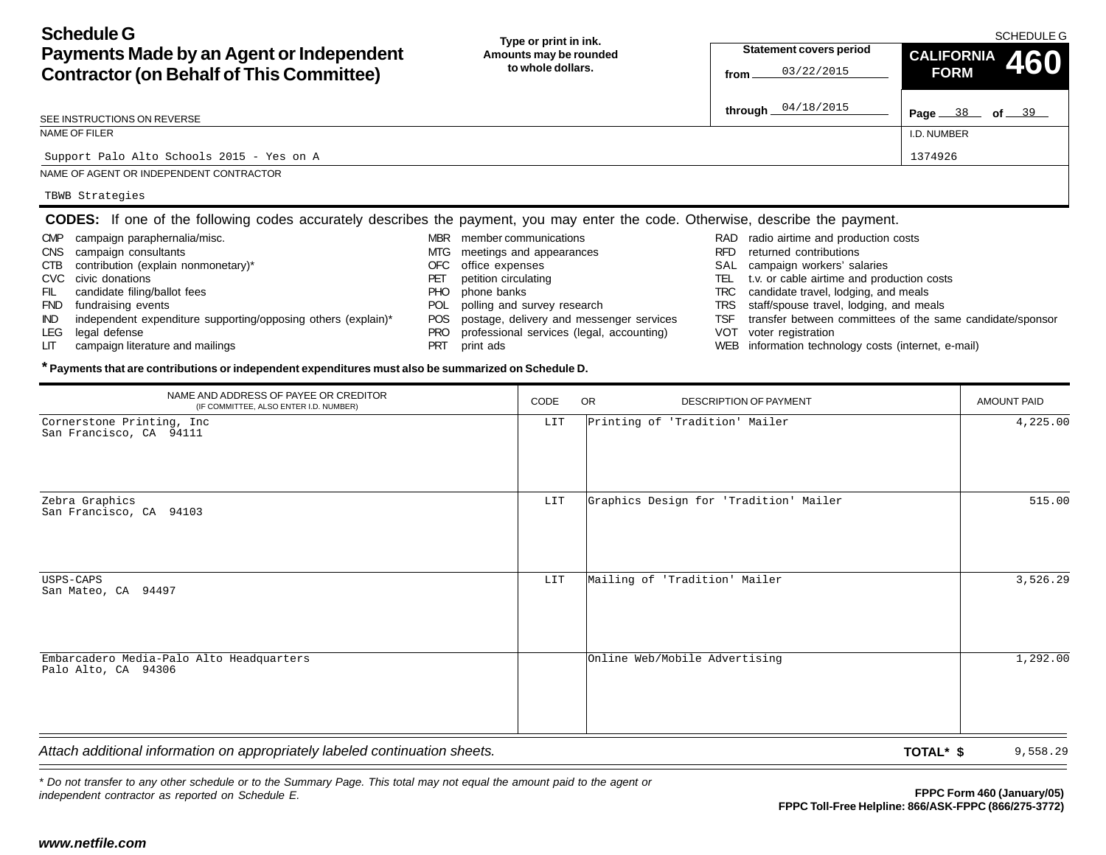**Schedule GPayments Made by an Agent or Independent Contractor (on Behalf of This Committee) Page** 38 of 39 **Type or print in ink. Amounts may be rounded to whole dollars.**SCHEDULE GI.D. NUMBERSEE INSTRUCTIONS ON REVERSENAME OF FILERNAME OF AGENT OR INDEPENDENT CONTRACTOR**Statement covers period fromthrough CALIFORNIA 460 FORMCODES:** If one of the following codes accurately describes the payment, you may enter the code. Otherwise, describe the payment. RAD radio airtime and production costs RFD returned contributionsSAL campaign workers' salaries TEL t.v. or cable airtime and production costs TRC candidate travel, lodging, and meals TRS staff/spouse travel, lodging, and meals TSF transfer between committees of the same candidate/sponsor MBR member communicationsMTG meetings and appearances OFC office expenses PET petition circulating PHO phone banks POL polling and survey research POS postage, delivery and messenger services CMP campaign paraphernalia/misc. CNS campaign consultants CTB contribution (explain nonmonetary)\* CVC civic donationsFIL candidate filing/ballot fees FND fundraising events IND independent expenditure supporting/opposing others (explain)\* Support Palo Alto Schools 2015 - Yes on AA 1374926 TBWB Strategies

- PRO professional services (legal, accounting)
- PRT print ads

### **\* Payments that are contributions or independent expenditures must also be summarized on Schedule D.**

| through $04/18/2015$<br>Page 38 of 39<br>SEE INSTRUCTIONS ON REVERSE<br>NAME OF FILER<br>I.D. NUMBER<br>1374926<br>Support Palo Alto Schools 2015 - Yes on A<br>NAME OF AGENT OR INDEPENDENT CONTRACTOR<br>TBWB Strategies<br><b>CODES:</b> If one of the following codes accurately describes the payment, you may enter the code. Otherwise, describe the payment.<br>MBR member communications<br>campaign paraphernalia/misc.<br>RAD radio airtime and production costs<br><b>CMP</b><br>campaign consultants<br>RFD returned contributions<br>MTG meetings and appearances<br><b>CNS</b><br>contribution (explain nonmonetary)*<br>office expenses<br>SAL campaign workers' salaries<br>CTB<br><b>OFC</b>                                              |                    |
|-------------------------------------------------------------------------------------------------------------------------------------------------------------------------------------------------------------------------------------------------------------------------------------------------------------------------------------------------------------------------------------------------------------------------------------------------------------------------------------------------------------------------------------------------------------------------------------------------------------------------------------------------------------------------------------------------------------------------------------------------------------|--------------------|
|                                                                                                                                                                                                                                                                                                                                                                                                                                                                                                                                                                                                                                                                                                                                                             |                    |
|                                                                                                                                                                                                                                                                                                                                                                                                                                                                                                                                                                                                                                                                                                                                                             |                    |
|                                                                                                                                                                                                                                                                                                                                                                                                                                                                                                                                                                                                                                                                                                                                                             |                    |
|                                                                                                                                                                                                                                                                                                                                                                                                                                                                                                                                                                                                                                                                                                                                                             |                    |
|                                                                                                                                                                                                                                                                                                                                                                                                                                                                                                                                                                                                                                                                                                                                                             |                    |
|                                                                                                                                                                                                                                                                                                                                                                                                                                                                                                                                                                                                                                                                                                                                                             |                    |
| petition circulating<br>TEL t.v. or cable airtime and production costs<br>CVC civic donations<br>PET<br>phone banks<br>TRC candidate travel, lodging, and meals<br>FIL<br>candidate filing/ballot fees<br>PHO<br>polling and survey research<br>TRS staff/spouse travel, lodging, and meals<br>fundraising events<br>POL<br><b>FND</b><br>POS postage, delivery and messenger services<br>TSF transfer between committees of the same candidate/sponsor<br>independent expenditure supporting/opposing others (explain)*<br>IND.<br>legal defense<br>professional services (legal, accounting)<br>VOT voter registration<br>LEG<br>PRO<br>campaign literature and mailings<br>WEB information technology costs (internet, e-mail)<br>PRT<br>print ads<br>LГ |                    |
| * Payments that are contributions or independent expenditures must also be summarized on Schedule D.                                                                                                                                                                                                                                                                                                                                                                                                                                                                                                                                                                                                                                                        |                    |
| NAME AND ADDRESS OF PAYEE OR CREDITOR<br>CODE<br><b>OR</b><br>DESCRIPTION OF PAYMENT<br>(IF COMMITTEE, ALSO ENTER I.D. NUMBER)                                                                                                                                                                                                                                                                                                                                                                                                                                                                                                                                                                                                                              | <b>AMOUNT PAID</b> |
| Cornerstone Printing, Inc<br>Printing of 'Tradition' Mailer<br>LIT<br>San Francisco, CA 94111                                                                                                                                                                                                                                                                                                                                                                                                                                                                                                                                                                                                                                                               | 4,225.00           |
| Zebra Graphics<br>Graphics Design for 'Tradition' Mailer<br>LIT<br>San Francisco, CA 94103                                                                                                                                                                                                                                                                                                                                                                                                                                                                                                                                                                                                                                                                  | 515.00             |
| Mailing of 'Tradition' Mailer<br>USPS-CAPS<br>LIT<br>San Mateo, CA 94497                                                                                                                                                                                                                                                                                                                                                                                                                                                                                                                                                                                                                                                                                    | 3,526.29           |
| Embarcadero Media-Palo Alto Headquarters<br>Online Web/Mobile Advertising<br>Palo Alto, CA 94306                                                                                                                                                                                                                                                                                                                                                                                                                                                                                                                                                                                                                                                            | 1,292.00           |
| Attach additional information on appropriately labeled continuation sheets.<br>TOTAL* \$                                                                                                                                                                                                                                                                                                                                                                                                                                                                                                                                                                                                                                                                    | 9,558.29           |
| * Do not transfer to any other schedule or to the Summary Page. This total may not equal the amount paid to the agent or<br>FPPC Form 460 (January/05)<br>independent contractor as reported on Schedule E.<br>FPPC Toll-Free Helpline: 866/ASK-FPPC (866/275-3772)<br>www.netfile.com                                                                                                                                                                                                                                                                                                                                                                                                                                                                      |                    |